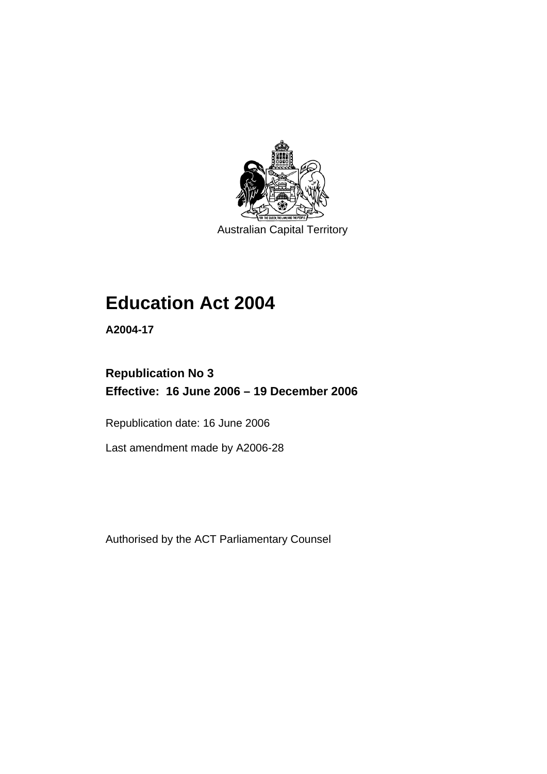

Australian Capital Territory

# **Education Act 2004**

**A2004-17** 

# **Republication No 3 Effective: 16 June 2006 – 19 December 2006**

Republication date: 16 June 2006

Last amendment made by A2006-28

Authorised by the ACT Parliamentary Counsel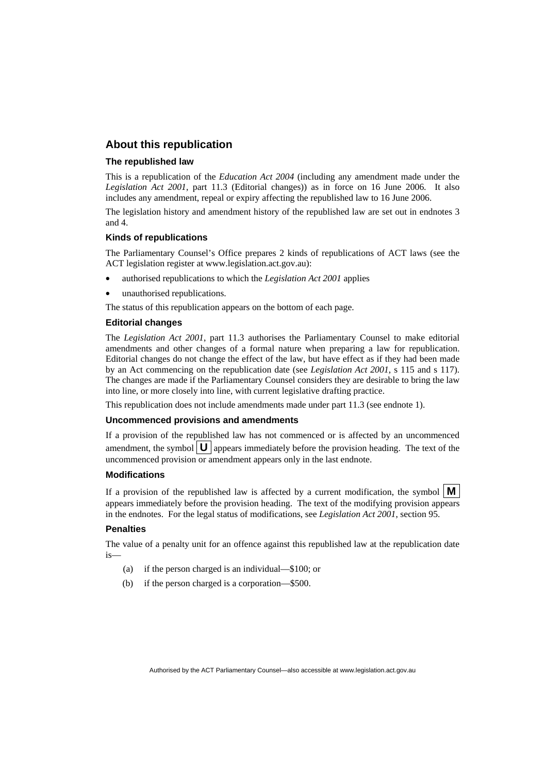#### **About this republication**

#### **The republished law**

This is a republication of the *Education Act 2004* (including any amendment made under the *Legislation Act 2001*, part 11.3 (Editorial changes)) as in force on 16 June 2006*.* It also includes any amendment, repeal or expiry affecting the republished law to 16 June 2006.

The legislation history and amendment history of the republished law are set out in endnotes 3 and 4.

#### **Kinds of republications**

The Parliamentary Counsel's Office prepares 2 kinds of republications of ACT laws (see the ACT legislation register at www.legislation.act.gov.au):

- authorised republications to which the *Legislation Act 2001* applies
- unauthorised republications.

The status of this republication appears on the bottom of each page.

#### **Editorial changes**

The *Legislation Act 2001*, part 11.3 authorises the Parliamentary Counsel to make editorial amendments and other changes of a formal nature when preparing a law for republication. Editorial changes do not change the effect of the law, but have effect as if they had been made by an Act commencing on the republication date (see *Legislation Act 2001*, s 115 and s 117). The changes are made if the Parliamentary Counsel considers they are desirable to bring the law into line, or more closely into line, with current legislative drafting practice.

This republication does not include amendments made under part 11.3 (see endnote 1).

#### **Uncommenced provisions and amendments**

If a provision of the republished law has not commenced or is affected by an uncommenced amendment, the symbol  $\mathbf{U}$  appears immediately before the provision heading. The text of the uncommenced provision or amendment appears only in the last endnote.

#### **Modifications**

If a provision of the republished law is affected by a current modification, the symbol  $\mathbf{M}$ appears immediately before the provision heading. The text of the modifying provision appears in the endnotes. For the legal status of modifications, see *Legislation Act 2001*, section 95.

#### **Penalties**

The value of a penalty unit for an offence against this republished law at the republication date is—

- (a) if the person charged is an individual—\$100; or
- (b) if the person charged is a corporation—\$500.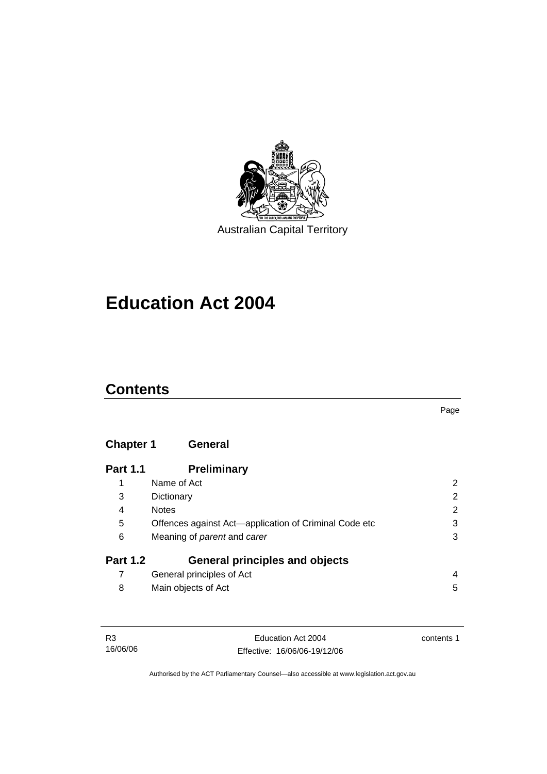

Australian Capital Territory

# **Education Act 2004**

# **Contents**

Page

# **Chapter 1 General**

| <b>Part 1.1</b> | <b>Preliminary</b>                                    |   |
|-----------------|-------------------------------------------------------|---|
|                 | Name of Act                                           |   |
| 3               | Dictionary                                            | 2 |
| 4               | <b>Notes</b>                                          | 2 |
| 5               | Offences against Act-application of Criminal Code etc | 3 |
| 6               | Meaning of parent and carer                           | 3 |
| <b>Part 1.2</b> | <b>General principles and objects</b>                 |   |
|                 | General principles of Act                             | 4 |
| 8               | Main objects of Act                                   | 5 |

| R3       | Education Act 2004           | contents 1 |
|----------|------------------------------|------------|
| 16/06/06 | Effective: 16/06/06-19/12/06 |            |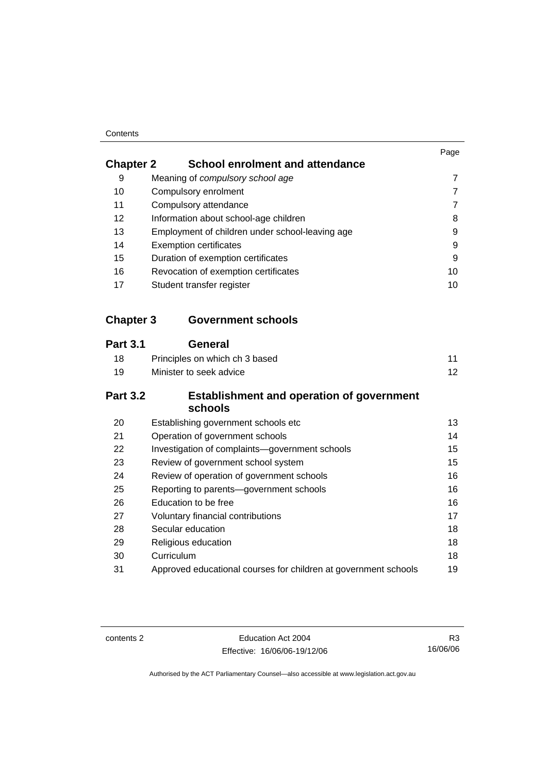#### **Contents**

|                  |                                                             | Page            |
|------------------|-------------------------------------------------------------|-----------------|
| <b>Chapter 2</b> | <b>School enrolment and attendance</b>                      |                 |
| 9                | Meaning of compulsory school age                            | 7               |
| 10               | Compulsory enrolment                                        | 7               |
| 11               | Compulsory attendance                                       | 7               |
| 12               | Information about school-age children                       | 8               |
| 13               | Employment of children under school-leaving age             | 9               |
| 14               | <b>Exemption certificates</b>                               | 9               |
| 15               | Duration of exemption certificates                          | 9               |
| 16               | Revocation of exemption certificates                        | 10              |
| 17               | Student transfer register                                   | 10              |
| <b>Chapter 3</b> | <b>Government schools</b>                                   |                 |
| <b>Part 3.1</b>  | <b>General</b>                                              |                 |
| 18               | Principles on which ch 3 based                              | 11              |
| 19               | Minister to seek advice                                     | 12 <sup>2</sup> |
| <b>Part 3.2</b>  | <b>Establishment and operation of government</b><br>schools |                 |
| 20               | Establishing government schools etc                         | 13              |
| 21               | Operation of government schools                             | 14              |
| 22               | Investigation of complaints-government schools              | 15              |
| 23               | Review of government school system                          | 15              |
| 24               | Review of operation of government schools                   | 16              |
| 25               | Reporting to parents-government schools                     | 16              |

contents 2 Education Act 2004 Effective: 16/06/06-19/12/06

R3 16/06/06

Authorised by the ACT Parliamentary Counsel—also accessible at www.legislation.act.gov.au

26 Education to be free 16 and 16 and 16 and 16 and 16 and 16 and 16 and 16 and 16 and 16 and 16 and 16 and 16 and 16 and 16 and 16 and 16 and 16 and 16 and 16 and 16 and 16 and 16 and 16 and 16 and 16 and 16 and 16 and 16 27 Voluntary financial contributions 17 28 Secular education 18 29 Religious education 18 30 Curriculum 18 31 Approved educational courses for children at government schools 19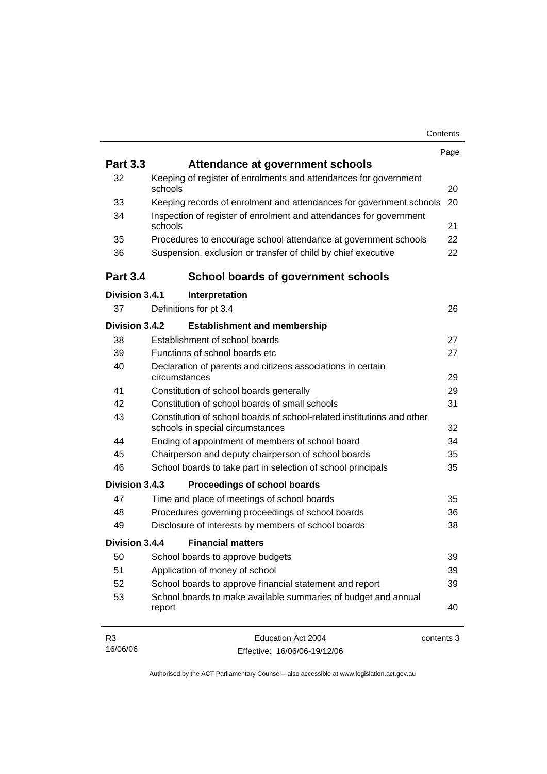|                            |                                                                                                            | Page       |
|----------------------------|------------------------------------------------------------------------------------------------------------|------------|
| <b>Part 3.3</b>            | Attendance at government schools                                                                           |            |
| 32                         | Keeping of register of enrolments and attendances for government<br>schools                                | 20         |
| 33                         | Keeping records of enrolment and attendances for government schools                                        | 20         |
| 34                         | Inspection of register of enrolment and attendances for government<br>schools                              | 21         |
| 35                         | Procedures to encourage school attendance at government schools                                            | 22         |
| 36                         | Suspension, exclusion or transfer of child by chief executive                                              | 22         |
| <b>Part 3.4</b>            | <b>School boards of government schools</b>                                                                 |            |
| Division 3.4.1             | Interpretation                                                                                             |            |
| 37                         | Definitions for pt 3.4                                                                                     | 26         |
| Division 3.4.2             | <b>Establishment and membership</b>                                                                        |            |
| 38                         | Establishment of school boards                                                                             | 27         |
| 39                         | Functions of school boards etc                                                                             | 27         |
| 40                         | Declaration of parents and citizens associations in certain<br>circumstances                               | 29         |
| 41                         | Constitution of school boards generally                                                                    | 29         |
| 42                         | Constitution of school boards of small schools                                                             | 31         |
| 43                         | Constitution of school boards of school-related institutions and other<br>schools in special circumstances | 32         |
| 44                         | Ending of appointment of members of school board                                                           | 34         |
| 45                         | Chairperson and deputy chairperson of school boards                                                        | 35         |
| 46                         | School boards to take part in selection of school principals                                               | 35         |
| Division 3.4.3             | Proceedings of school boards                                                                               |            |
| 47                         | Time and place of meetings of school boards                                                                | 35         |
| 48                         | Procedures governing proceedings of school boards                                                          | 36         |
| 49                         | Disclosure of interests by members of school boards                                                        | 38         |
| Division 3.4.4             | <b>Financial matters</b>                                                                                   |            |
| 50                         | School boards to approve budgets                                                                           | 39         |
| 51                         | Application of money of school                                                                             | 39         |
| 52                         | School boards to approve financial statement and report                                                    | 39         |
| 53                         | School boards to make available summaries of budget and annual<br>report                                   | 40         |
| R <sub>3</sub><br>16/06/06 | Education Act 2004<br>Effective: 16/06/06-19/12/06                                                         | contents 3 |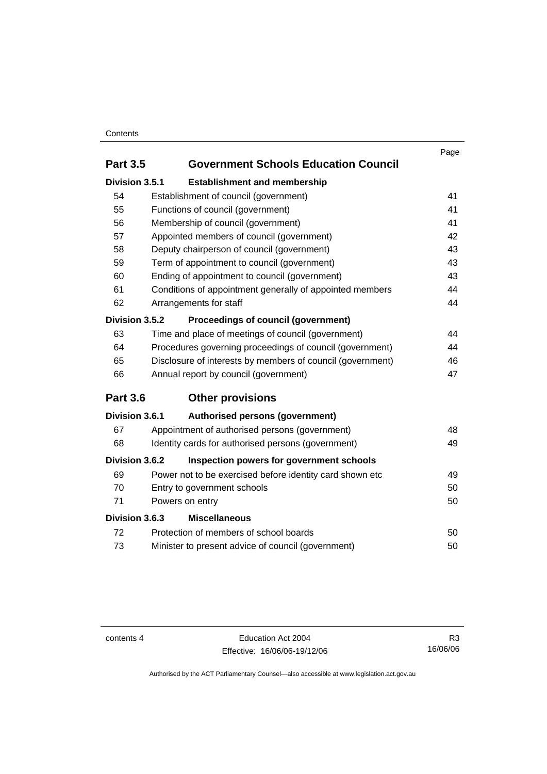#### **Contents**

|                 |                                                            | Page |
|-----------------|------------------------------------------------------------|------|
| <b>Part 3.5</b> | <b>Government Schools Education Council</b>                |      |
| Division 3.5.1  | <b>Establishment and membership</b>                        |      |
| 54              | Establishment of council (government)                      | 41   |
| 55              | Functions of council (government)                          | 41   |
| 56              | Membership of council (government)                         | 41   |
| 57              | Appointed members of council (government)                  | 42   |
| 58              | Deputy chairperson of council (government)                 | 43   |
| 59              | Term of appointment to council (government)                | 43   |
| 60              | Ending of appointment to council (government)              | 43   |
| 61              | Conditions of appointment generally of appointed members   | 44   |
| 62              | Arrangements for staff                                     | 44   |
| Division 3.5.2  | <b>Proceedings of council (government)</b>                 |      |
| 63              | Time and place of meetings of council (government)         | 44   |
| 64              | Procedures governing proceedings of council (government)   | 44   |
| 65              | Disclosure of interests by members of council (government) | 46   |
| 66              | Annual report by council (government)                      | 47   |
| <b>Part 3.6</b> | <b>Other provisions</b>                                    |      |
| Division 3.6.1  | Authorised persons (government)                            |      |
| 67              | Appointment of authorised persons (government)             | 48   |
| 68              | Identity cards for authorised persons (government)         | 49   |
| Division 3.6.2  | Inspection powers for government schools                   |      |
| 69              | Power not to be exercised before identity card shown etc   | 49   |
| 70              | Entry to government schools                                | 50   |
| 71              | Powers on entry                                            | 50   |
| Division 3.6.3  | <b>Miscellaneous</b>                                       |      |
| 72              | Protection of members of school boards                     | 50   |
| 73              | Minister to present advice of council (government)         | 50   |
|                 |                                                            |      |

contents 4 Education Act 2004 Effective: 16/06/06-19/12/06

R3 16/06/06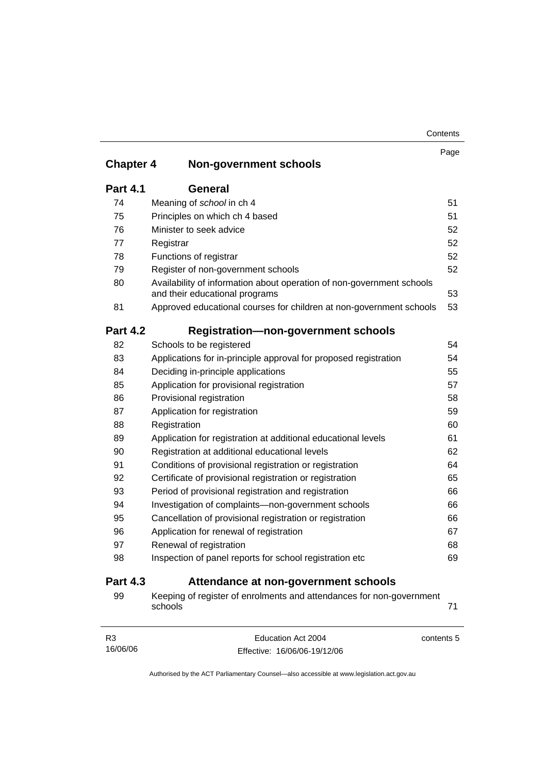| Contents |
|----------|
|----------|

|                  |                                                                                                         | Page |
|------------------|---------------------------------------------------------------------------------------------------------|------|
| <b>Chapter 4</b> | <b>Non-government schools</b>                                                                           |      |
| <b>Part 4.1</b>  | General                                                                                                 |      |
| 74               | Meaning of school in ch 4                                                                               | 51   |
| 75               | Principles on which ch 4 based                                                                          | 51   |
| 76               | Minister to seek advice                                                                                 | 52   |
| 77               | Registrar                                                                                               | 52   |
| 78               | Functions of registrar                                                                                  | 52   |
| 79               | Register of non-government schools                                                                      | 52   |
| 80               | Availability of information about operation of non-government schools<br>and their educational programs | 53   |
| 81               | Approved educational courses for children at non-government schools                                     | 53   |
| <b>Part 4.2</b>  | <b>Registration-non-government schools</b>                                                              |      |
| 82               | Schools to be registered                                                                                | 54   |
| 83               | Applications for in-principle approval for proposed registration                                        | 54   |
| 84               | Deciding in-principle applications                                                                      | 55   |
| 85               | Application for provisional registration                                                                | 57   |
| 86               | Provisional registration                                                                                | 58   |
| 87               | Application for registration                                                                            | 59   |
| 88               | Registration                                                                                            | 60   |
| 89               | Application for registration at additional educational levels                                           | 61   |
| 90               | Registration at additional educational levels                                                           | 62   |
| 91               | Conditions of provisional registration or registration                                                  | 64   |
| 92               | Certificate of provisional registration or registration                                                 | 65   |
| 93               | Period of provisional registration and registration                                                     | 66   |
| 94               | Investigation of complaints-non-government schools                                                      | 66   |
| 95               | Cancellation of provisional registration or registration                                                | 66   |
| 96               | Application for renewal of registration                                                                 | 67   |
| 97               | Renewal of registration                                                                                 | 68   |
| 98               | Inspection of panel reports for school registration etc                                                 | 69   |
| <b>Part 4.3</b>  | Attendance at non-government schools                                                                    |      |
| 99               | Keeping of register of enrolments and attendances for non-government                                    |      |

|            |                              | schools |          |
|------------|------------------------------|---------|----------|
| contents 5 | Education Act 2004           |         | R3       |
|            | Effective: 16/06/06-19/12/06 |         | 16/06/06 |

Authorised by the ACT Parliamentary Counsel—also accessible at www.legislation.act.gov.au

Effective: 16/06/06-19/12/06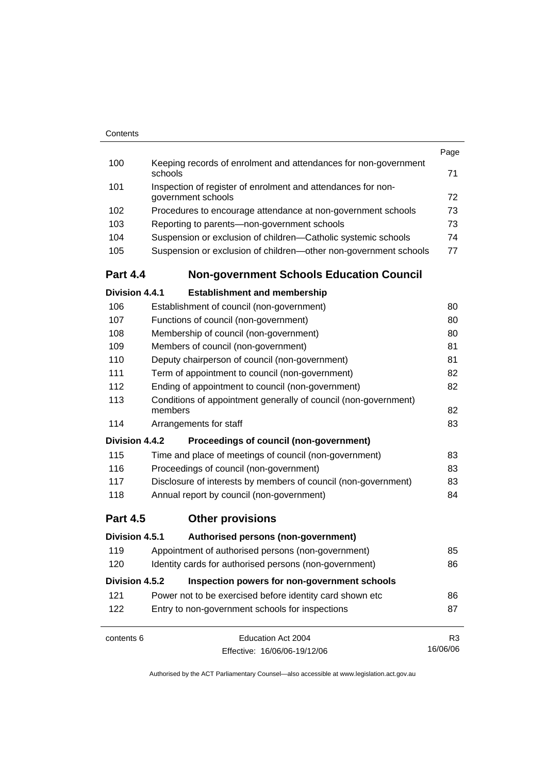| Contents |                                                                            |      |
|----------|----------------------------------------------------------------------------|------|
|          |                                                                            | Page |
| 100      | Keeping records of enrolment and attendances for non-government<br>schools | 71   |
| 101      | Inspection of register of enrolment and attendances for non-               |      |
|          | government schools                                                         | 72   |
| 102      | Procedures to encourage attendance at non-government schools               | 73   |
| 103      | Reporting to parents—non-government schools                                | 73   |
| 104      | Suspension or exclusion of children-Catholic systemic schools              | 74   |
| 105      | Suspension or exclusion of children—other non-government schools           | 77   |
|          |                                                                            |      |

# **Part 4.4 Non-government Schools Education Council**

| Division 4.4.1  |                                           | <b>Establishment and membership</b>                             |                |
|-----------------|-------------------------------------------|-----------------------------------------------------------------|----------------|
| 106             | Establishment of council (non-government) |                                                                 | 80             |
| 107             | Functions of council (non-government)     |                                                                 | 80             |
| 108             | Membership of council (non-government)    |                                                                 | 80             |
| 109             | Members of council (non-government)       |                                                                 | 81             |
| 110             |                                           | Deputy chairperson of council (non-government)                  | 81             |
| 111             |                                           | Term of appointment to council (non-government)                 | 82             |
| 112             |                                           | Ending of appointment to council (non-government)               | 82             |
| 113             | members                                   | Conditions of appointment generally of council (non-government) | 82             |
| 114             | Arrangements for staff                    |                                                                 | 83             |
| Division 4.4.2  |                                           | Proceedings of council (non-government)                         |                |
| 115             |                                           | Time and place of meetings of council (non-government)          | 83             |
| 116             | Proceedings of council (non-government)   |                                                                 | 83             |
| 117             |                                           | Disclosure of interests by members of council (non-government)  | 83             |
| 118             | Annual report by council (non-government) |                                                                 | 84             |
| <b>Part 4.5</b> | <b>Other provisions</b>                   |                                                                 |                |
| Division 4.5.1  |                                           | Authorised persons (non-government)                             |                |
| 119             |                                           | Appointment of authorised persons (non-government)              | 85             |
| 120             |                                           | Identity cards for authorised persons (non-government)          | 86             |
| Division 4.5.2  |                                           | Inspection powers for non-government schools                    |                |
| 121             |                                           | Power not to be exercised before identity card shown etc        | 86             |
| 122             |                                           | Entry to non-government schools for inspections                 | 87             |
| contents 6      |                                           | Education Act 2004                                              | R <sub>3</sub> |
|                 |                                           | Effective: 16/06/06-19/12/06                                    | 16/06/06       |

Effective: 16/06/06-19/12/06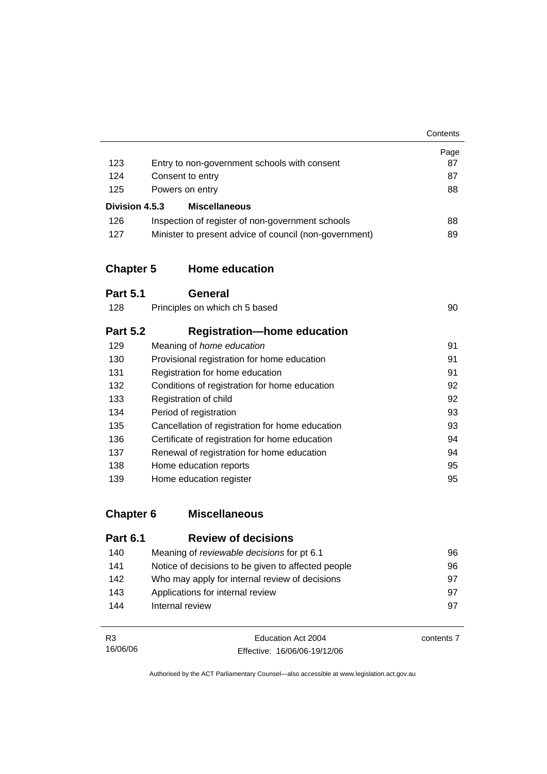|                  |                                                        | Contents |
|------------------|--------------------------------------------------------|----------|
|                  |                                                        | Page     |
| 123              | Entry to non-government schools with consent           | 87       |
| 124              | Consent to entry                                       | 87       |
| 125              | Powers on entry                                        | 88       |
| Division 4.5.3   | <b>Miscellaneous</b>                                   |          |
| 126              | Inspection of register of non-government schools       | 88       |
| 127              | Minister to present advice of council (non-government) | 89       |
| <b>Chapter 5</b> | <b>Home education</b>                                  |          |
| <b>Part 5.1</b>  | General                                                |          |
| 128              | Principles on which ch 5 based                         | 90       |
| <b>Part 5.2</b>  | <b>Registration-home education</b>                     |          |
| 129              | Meaning of home education                              | 91       |
| 130              | Provisional registration for home education            | 91       |
| 131              | Registration for home education                        | 91       |
| 132              | Conditions of registration for home education          | 92       |
| 133              | Registration of child                                  | 92       |
| 134              | Period of registration                                 | 93       |
| 135              | Cancellation of registration for home education        | 93       |
| 136              | Certificate of registration for home education         | 94       |
| 137              | Renewal of registration for home education             | 94       |
| 138              | Home education reports                                 | 95       |
| 139              | Home education register                                | 95       |
| <b>Chapter 6</b> | <b>Miscellaneous</b>                                   |          |
| <b>Part 6.1</b>  | <b>Review of decisions</b>                             |          |

| . u. v. . | NY YIY YI YI YYYIYIYIIY                            |    |
|-----------|----------------------------------------------------|----|
| 140       | Meaning of <i>reviewable decisions</i> for pt 6.1  | 96 |
| 141       | Notice of decisions to be given to affected people | 96 |
| 142       | Who may apply for internal review of decisions     | 97 |
| 143       | Applications for internal review                   | 97 |
| 144       | Internal review                                    | 97 |
|           |                                                    |    |

| R3       | Education Act 2004           | contents 7 |
|----------|------------------------------|------------|
| 16/06/06 | Effective: 16/06/06-19/12/06 |            |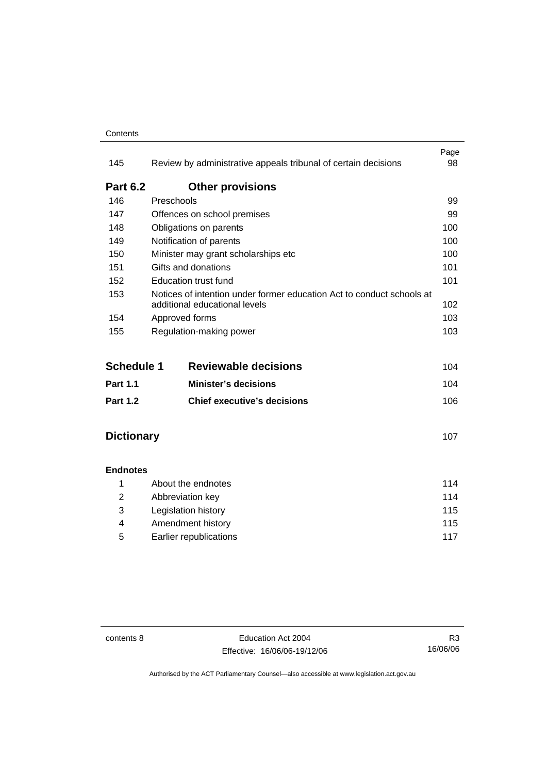#### **Contents**

| 145             | Review by administrative appeals tribunal of certain decisions                                         | Page<br>98 |
|-----------------|--------------------------------------------------------------------------------------------------------|------------|
| <b>Part 6.2</b> | <b>Other provisions</b>                                                                                |            |
| 146             | Preschools                                                                                             | 99         |
| 147             | Offences on school premises                                                                            | 99         |
| 148             | Obligations on parents                                                                                 | 100        |
| 149             | Notification of parents                                                                                | 100        |
| 150             | Minister may grant scholarships etc                                                                    | 100        |
| 151             | Gifts and donations                                                                                    | 101        |
| 152             | Education trust fund                                                                                   | 101        |
| 153             | Notices of intention under former education Act to conduct schools at<br>additional educational levels | 102        |
| 154             | Approved forms                                                                                         | 103        |
| 155             | Regulation-making power                                                                                | 103        |

| <b>Schedule 1</b> | <b>Reviewable decisions</b>        | 104  |
|-------------------|------------------------------------|------|
| <b>Part 1.1</b>   | <b>Minister's decisions</b>        | 104  |
| <b>Part 1.2</b>   | <b>Chief executive's decisions</b> | 106. |

## **Dictionary** 107

#### **Endnotes**

|   | About the endnotes     | 114 |
|---|------------------------|-----|
| 2 | Abbreviation key       | 114 |
| 3 | Legislation history    | 115 |
| 4 | Amendment history      | 115 |
| 5 | Earlier republications | 117 |

contents 8 Education Act 2004 Effective: 16/06/06-19/12/06

R3 16/06/06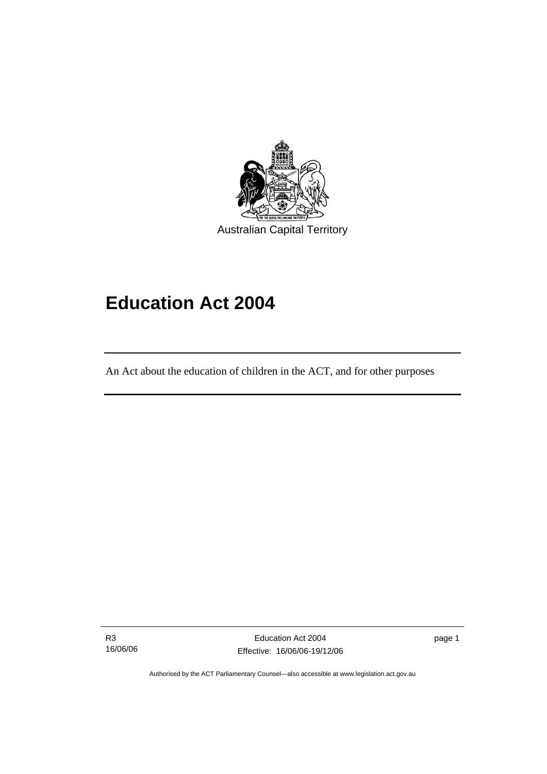

Australian Capital Territory

# **Education Act 2004**

An Act about the education of children in the ACT, and for other purposes

R3 16/06/06

l

Education Act 2004 Effective: 16/06/06-19/12/06 page 1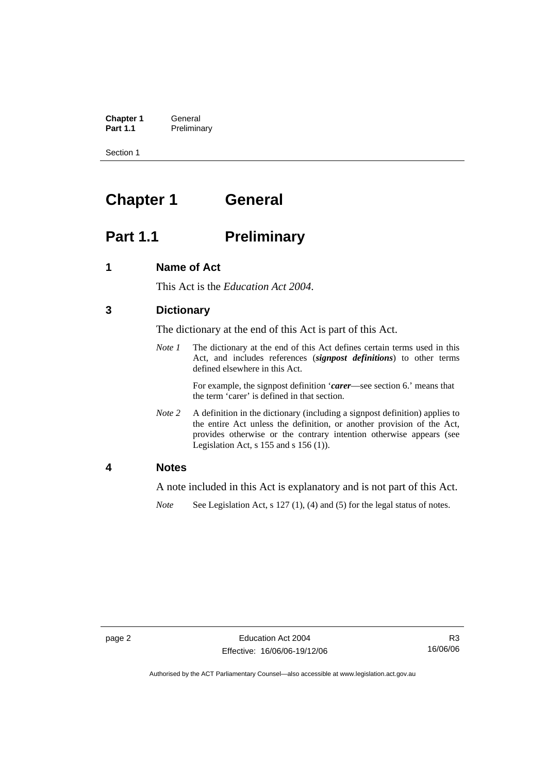**Chapter 1** General<br>**Part 1.1** Prelimina **Preliminary** 

Section 1

# **Chapter 1 General**

# **Part 1.1** Preliminary

### **1 Name of Act**

This Act is the *Education Act 2004*.

### **3 Dictionary**

The dictionary at the end of this Act is part of this Act.

*Note 1* The dictionary at the end of this Act defines certain terms used in this Act, and includes references (*signpost definitions*) to other terms defined elsewhere in this Act.

> For example, the signpost definition '*carer*—see section 6.' means that the term 'carer' is defined in that section.

*Note 2* A definition in the dictionary (including a signpost definition) applies to the entire Act unless the definition, or another provision of the Act, provides otherwise or the contrary intention otherwise appears (see Legislation Act, s 155 and s 156 (1)).

#### **4 Notes**

A note included in this Act is explanatory and is not part of this Act.

*Note* See Legislation Act, s 127 (1), (4) and (5) for the legal status of notes.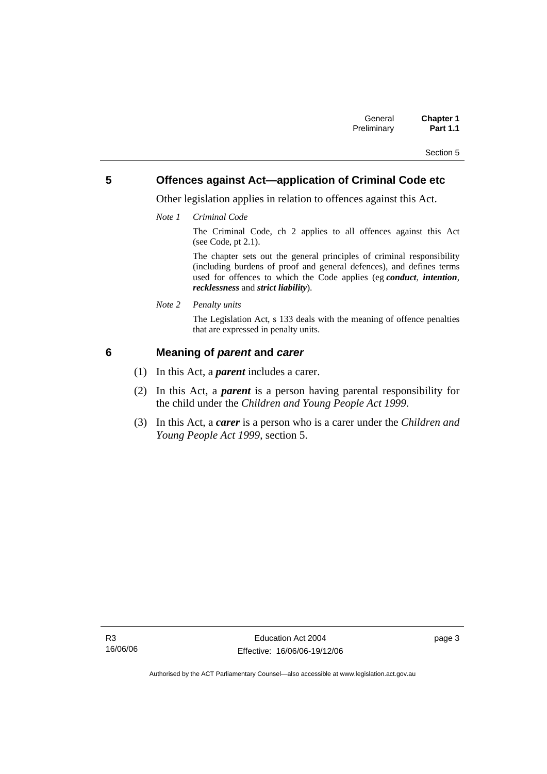### **5 Offences against Act—application of Criminal Code etc**

Other legislation applies in relation to offences against this Act.

*Note 1 Criminal Code*

The Criminal Code, ch 2 applies to all offences against this Act (see Code, pt 2.1).

The chapter sets out the general principles of criminal responsibility (including burdens of proof and general defences), and defines terms used for offences to which the Code applies (eg *conduct*, *intention*, *recklessness* and *strict liability*).

*Note 2 Penalty units* 

The Legislation Act, s 133 deals with the meaning of offence penalties that are expressed in penalty units.

### **6 Meaning of** *parent* **and** *carer*

- (1) In this Act, a *parent* includes a carer.
- (2) In this Act, a *parent* is a person having parental responsibility for the child under the *Children and Young People Act 1999*.
- (3) In this Act, a *carer* is a person who is a carer under the *Children and Young People Act 1999*, section 5.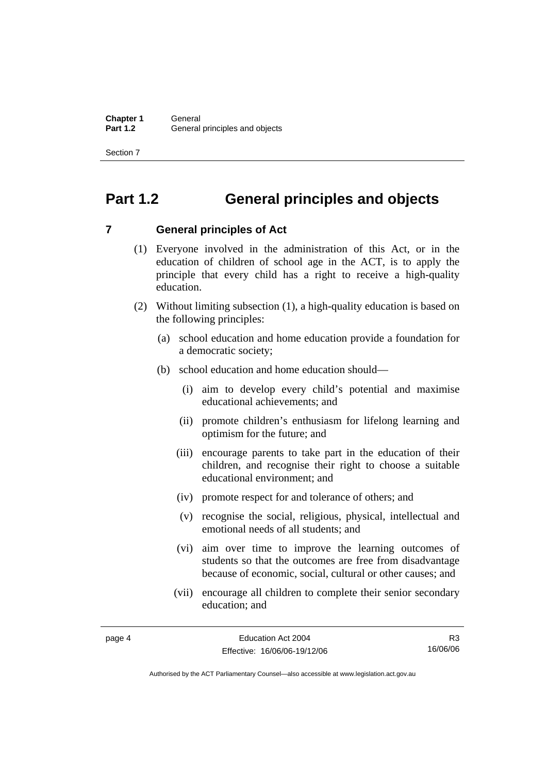# **Part 1.2 General principles and objects**

### **7 General principles of Act**

- (1) Everyone involved in the administration of this Act, or in the education of children of school age in the ACT, is to apply the principle that every child has a right to receive a high-quality education.
- (2) Without limiting subsection (1), a high-quality education is based on the following principles:
	- (a) school education and home education provide a foundation for a democratic society;
	- (b) school education and home education should—
		- (i) aim to develop every child's potential and maximise educational achievements; and
		- (ii) promote children's enthusiasm for lifelong learning and optimism for the future; and
		- (iii) encourage parents to take part in the education of their children, and recognise their right to choose a suitable educational environment; and
		- (iv) promote respect for and tolerance of others; and
		- (v) recognise the social, religious, physical, intellectual and emotional needs of all students; and
		- (vi) aim over time to improve the learning outcomes of students so that the outcomes are free from disadvantage because of economic, social, cultural or other causes; and
		- (vii) encourage all children to complete their senior secondary education; and

R3 16/06/06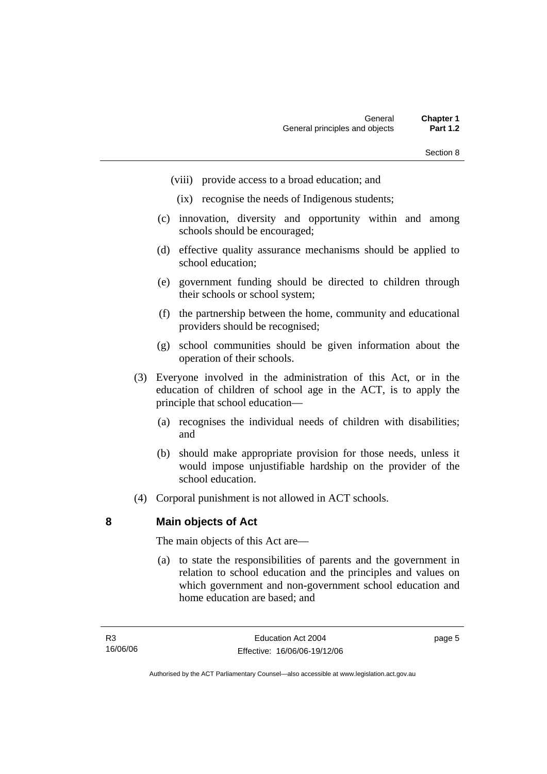- (viii) provide access to a broad education; and
- (ix) recognise the needs of Indigenous students;
- (c) innovation, diversity and opportunity within and among schools should be encouraged;
- (d) effective quality assurance mechanisms should be applied to school education;
- (e) government funding should be directed to children through their schools or school system;
- (f) the partnership between the home, community and educational providers should be recognised;
- (g) school communities should be given information about the operation of their schools.
- (3) Everyone involved in the administration of this Act, or in the education of children of school age in the ACT, is to apply the principle that school education—
	- (a) recognises the individual needs of children with disabilities; and
	- (b) should make appropriate provision for those needs, unless it would impose unjustifiable hardship on the provider of the school education.
- (4) Corporal punishment is not allowed in ACT schools.

#### **8 Main objects of Act**

The main objects of this Act are—

 (a) to state the responsibilities of parents and the government in relation to school education and the principles and values on which government and non-government school education and home education are based; and

page 5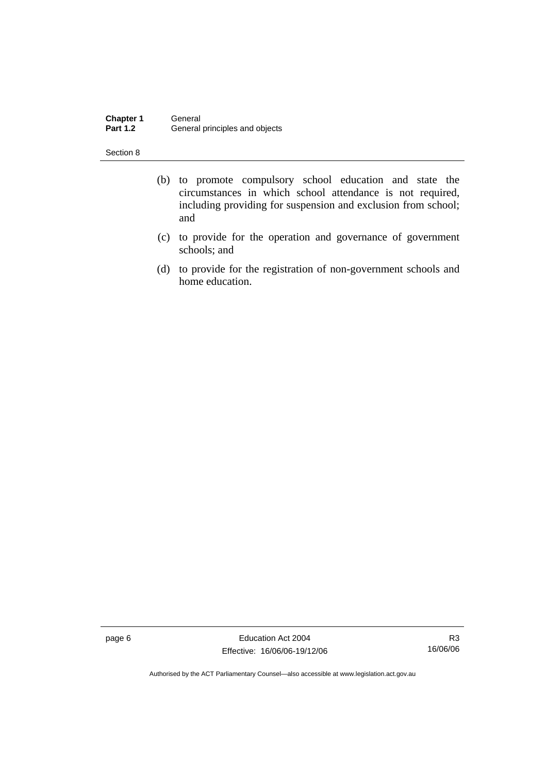**Chapter 1** General<br>**Part 1.2** General General principles and objects

Section 8

- (b) to promote compulsory school education and state the circumstances in which school attendance is not required, including providing for suspension and exclusion from school; and
- (c) to provide for the operation and governance of government schools; and
- (d) to provide for the registration of non-government schools and home education.

page 6 Education Act 2004 Effective: 16/06/06-19/12/06

R3 16/06/06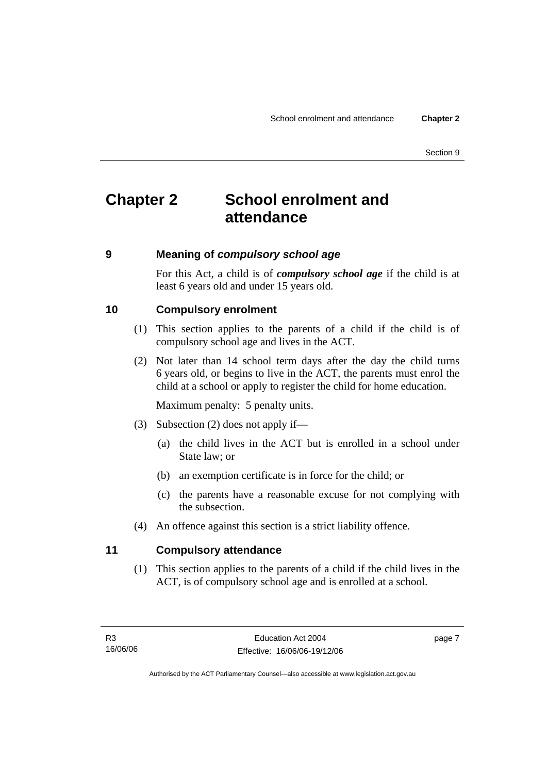# **Chapter 2 School enrolment and attendance**

#### **9 Meaning of** *compulsory school age*

For this Act, a child is of *compulsory school age* if the child is at least 6 years old and under 15 years old.

#### **10 Compulsory enrolment**

- (1) This section applies to the parents of a child if the child is of compulsory school age and lives in the ACT.
- (2) Not later than 14 school term days after the day the child turns 6 years old, or begins to live in the ACT, the parents must enrol the child at a school or apply to register the child for home education.

Maximum penalty: 5 penalty units.

- (3) Subsection (2) does not apply if—
	- (a) the child lives in the ACT but is enrolled in a school under State law; or
	- (b) an exemption certificate is in force for the child; or
	- (c) the parents have a reasonable excuse for not complying with the subsection.
- (4) An offence against this section is a strict liability offence.

#### **11 Compulsory attendance**

 (1) This section applies to the parents of a child if the child lives in the ACT, is of compulsory school age and is enrolled at a school.

page 7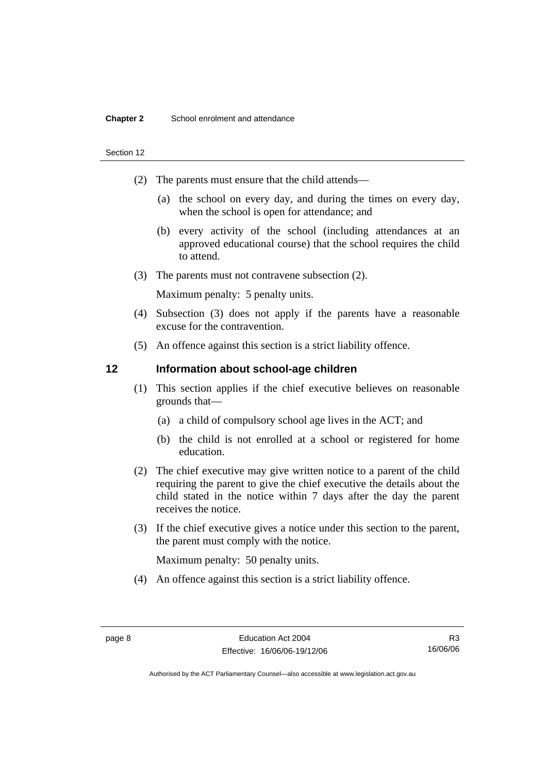#### **Chapter 2** School enrolment and attendance

#### Section 12

- (2) The parents must ensure that the child attends—
	- (a) the school on every day, and during the times on every day, when the school is open for attendance; and
	- (b) every activity of the school (including attendances at an approved educational course) that the school requires the child to attend.
- (3) The parents must not contravene subsection (2).

Maximum penalty: 5 penalty units.

- (4) Subsection (3) does not apply if the parents have a reasonable excuse for the contravention.
- (5) An offence against this section is a strict liability offence.

#### **12 Information about school-age children**

- (1) This section applies if the chief executive believes on reasonable grounds that—
	- (a) a child of compulsory school age lives in the ACT; and
	- (b) the child is not enrolled at a school or registered for home education.
- (2) The chief executive may give written notice to a parent of the child requiring the parent to give the chief executive the details about the child stated in the notice within 7 days after the day the parent receives the notice.
- (3) If the chief executive gives a notice under this section to the parent, the parent must comply with the notice.

Maximum penalty: 50 penalty units.

(4) An offence against this section is a strict liability offence.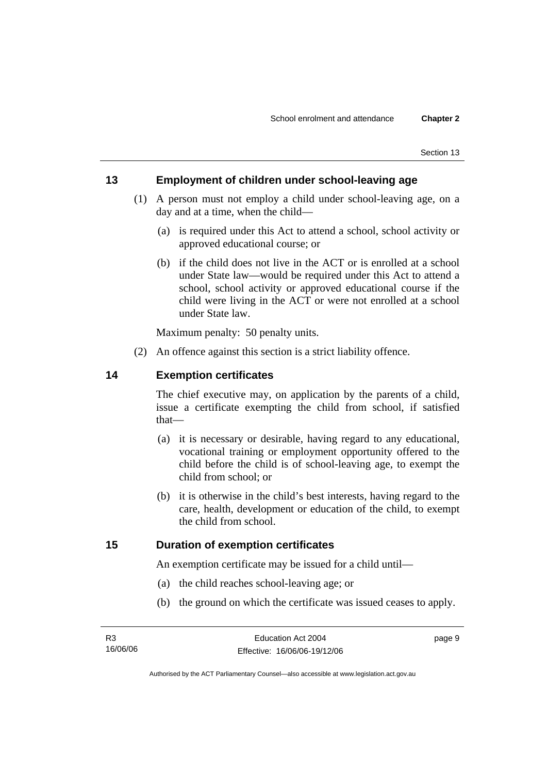### **13 Employment of children under school-leaving age**

- (1) A person must not employ a child under school-leaving age, on a day and at a time, when the child—
	- (a) is required under this Act to attend a school, school activity or approved educational course; or
	- (b) if the child does not live in the ACT or is enrolled at a school under State law—would be required under this Act to attend a school, school activity or approved educational course if the child were living in the ACT or were not enrolled at a school under State law.

Maximum penalty: 50 penalty units.

(2) An offence against this section is a strict liability offence.

### **14 Exemption certificates**

The chief executive may, on application by the parents of a child, issue a certificate exempting the child from school, if satisfied that—

- (a) it is necessary or desirable, having regard to any educational, vocational training or employment opportunity offered to the child before the child is of school-leaving age, to exempt the child from school; or
- (b) it is otherwise in the child's best interests, having regard to the care, health, development or education of the child, to exempt the child from school.

#### **15 Duration of exemption certificates**

An exemption certificate may be issued for a child until—

- (a) the child reaches school-leaving age; or
- (b) the ground on which the certificate was issued ceases to apply.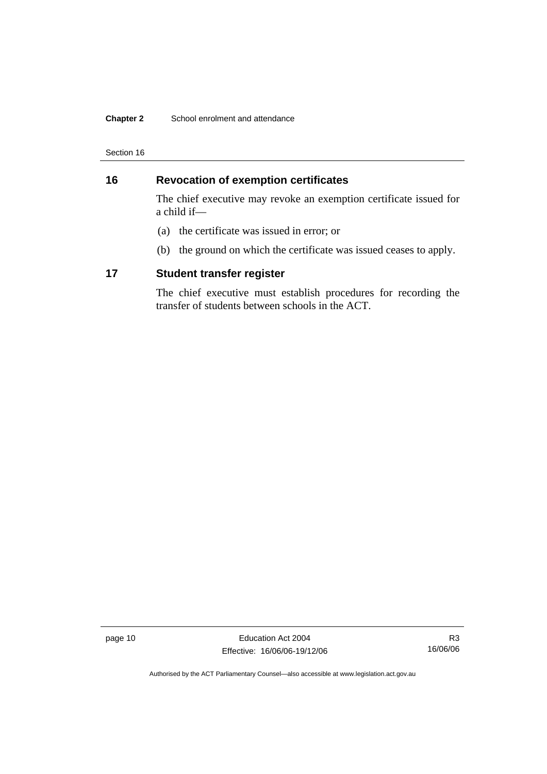#### **Chapter 2** School enrolment and attendance

Section 16

## **16 Revocation of exemption certificates**

The chief executive may revoke an exemption certificate issued for a child if—

- (a) the certificate was issued in error; or
- (b) the ground on which the certificate was issued ceases to apply.

#### **17 Student transfer register**

The chief executive must establish procedures for recording the transfer of students between schools in the ACT.

page 10 **Education Act 2004** Effective: 16/06/06-19/12/06

R3 16/06/06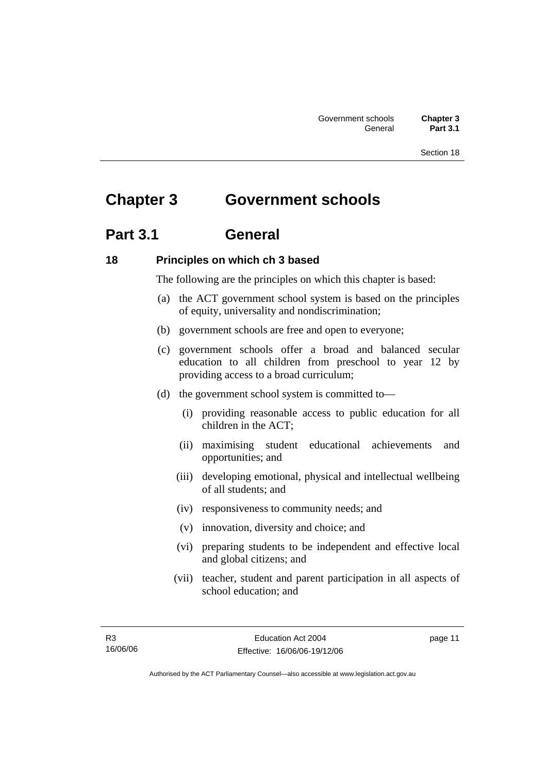# **Chapter 3 Government schools**

## **Part 3.1 General**

#### **18 Principles on which ch 3 based**

The following are the principles on which this chapter is based:

- (a) the ACT government school system is based on the principles of equity, universality and nondiscrimination;
- (b) government schools are free and open to everyone;
- (c) government schools offer a broad and balanced secular education to all children from preschool to year 12 by providing access to a broad curriculum;
- (d) the government school system is committed to—
	- (i) providing reasonable access to public education for all children in the ACT;
	- (ii) maximising student educational achievements and opportunities; and
	- (iii) developing emotional, physical and intellectual wellbeing of all students; and
	- (iv) responsiveness to community needs; and
	- (v) innovation, diversity and choice; and
	- (vi) preparing students to be independent and effective local and global citizens; and
	- (vii) teacher, student and parent participation in all aspects of school education; and

page 11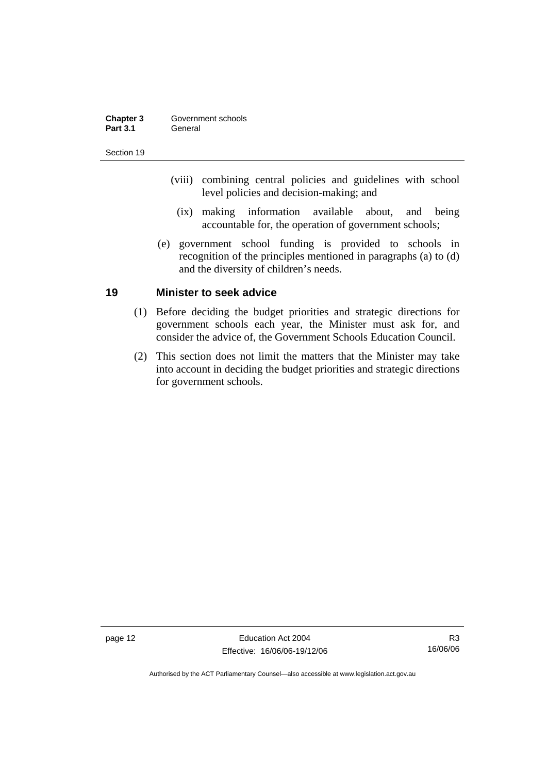| Chapter 3       | Government schools |
|-----------------|--------------------|
| <b>Part 3.1</b> | General            |

- (viii) combining central policies and guidelines with school level policies and decision-making; and
	- (ix) making information available about, and being accountable for, the operation of government schools;
- (e) government school funding is provided to schools in recognition of the principles mentioned in paragraphs (a) to (d) and the diversity of children's needs.

#### **19 Minister to seek advice**

- (1) Before deciding the budget priorities and strategic directions for government schools each year, the Minister must ask for, and consider the advice of, the Government Schools Education Council.
- (2) This section does not limit the matters that the Minister may take into account in deciding the budget priorities and strategic directions for government schools.

page 12 Education Act 2004 Effective: 16/06/06-19/12/06

R3 16/06/06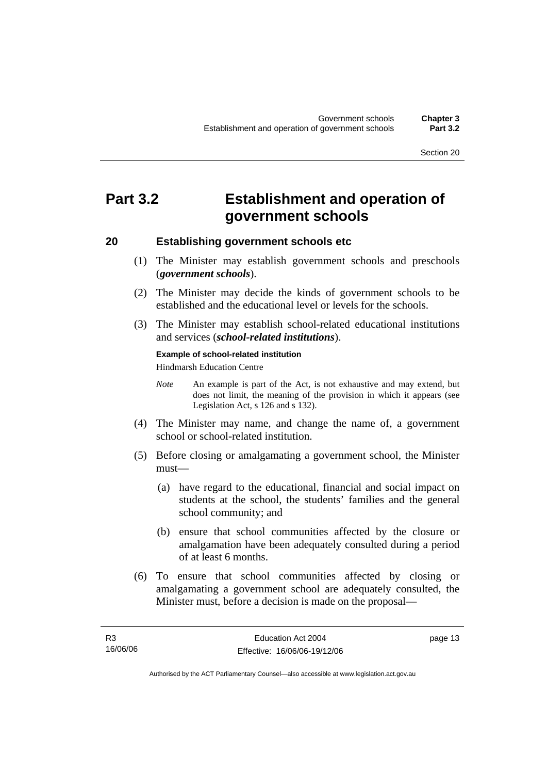# **Part 3.2 Establishment and operation of government schools**

#### **20 Establishing government schools etc**

- (1) The Minister may establish government schools and preschools (*government schools*).
- (2) The Minister may decide the kinds of government schools to be established and the educational level or levels for the schools.
- (3) The Minister may establish school-related educational institutions and services (*school-related institutions*).

# **Example of school-related institution**

Hindmarsh Education Centre

- *Note* An example is part of the Act, is not exhaustive and may extend, but does not limit, the meaning of the provision in which it appears (see Legislation Act, s 126 and s 132).
- (4) The Minister may name, and change the name of, a government school or school-related institution.
- (5) Before closing or amalgamating a government school, the Minister must—
	- (a) have regard to the educational, financial and social impact on students at the school, the students' families and the general school community; and
	- (b) ensure that school communities affected by the closure or amalgamation have been adequately consulted during a period of at least 6 months.
- (6) To ensure that school communities affected by closing or amalgamating a government school are adequately consulted, the Minister must, before a decision is made on the proposal—

page 13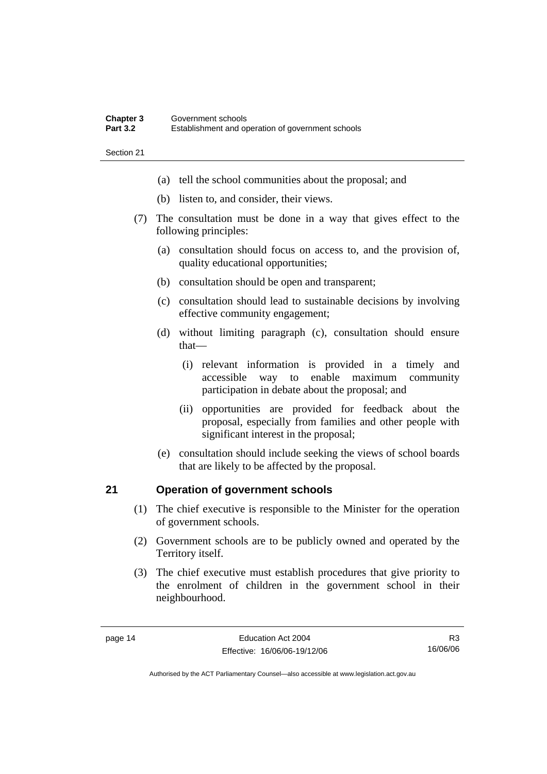#### **Chapter 3** Government schools<br> **Part 3.2** Establishment and or **Part 3.2** Establishment and operation of government schools

Section 21

- (a) tell the school communities about the proposal; and
- (b) listen to, and consider, their views.
- (7) The consultation must be done in a way that gives effect to the following principles:
	- (a) consultation should focus on access to, and the provision of, quality educational opportunities;
	- (b) consultation should be open and transparent;
	- (c) consultation should lead to sustainable decisions by involving effective community engagement;
	- (d) without limiting paragraph (c), consultation should ensure that—
		- (i) relevant information is provided in a timely and accessible way to enable maximum community participation in debate about the proposal; and
		- (ii) opportunities are provided for feedback about the proposal, especially from families and other people with significant interest in the proposal;
	- (e) consultation should include seeking the views of school boards that are likely to be affected by the proposal.

### **21 Operation of government schools**

- (1) The chief executive is responsible to the Minister for the operation of government schools.
- (2) Government schools are to be publicly owned and operated by the Territory itself.
- (3) The chief executive must establish procedures that give priority to the enrolment of children in the government school in their neighbourhood.

R3 16/06/06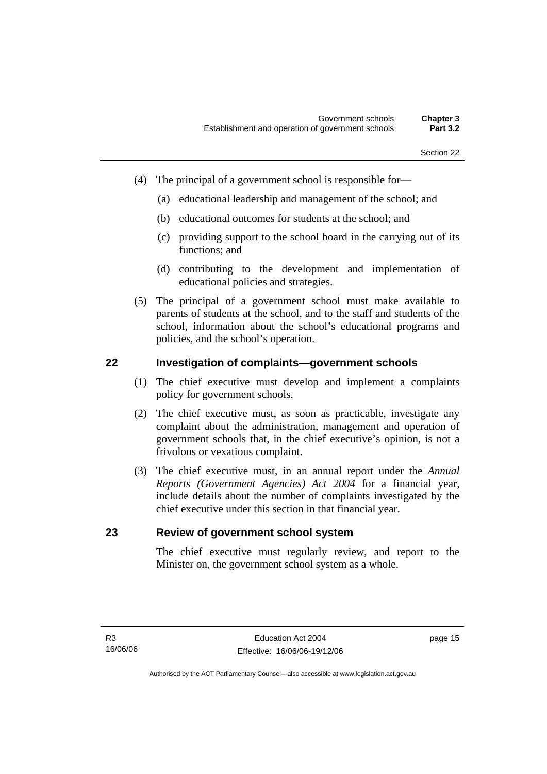- (4) The principal of a government school is responsible for—
	- (a) educational leadership and management of the school; and
	- (b) educational outcomes for students at the school; and
	- (c) providing support to the school board in the carrying out of its functions; and
	- (d) contributing to the development and implementation of educational policies and strategies.
- (5) The principal of a government school must make available to parents of students at the school, and to the staff and students of the school, information about the school's educational programs and policies, and the school's operation.

#### **22 Investigation of complaints—government schools**

- (1) The chief executive must develop and implement a complaints policy for government schools.
- (2) The chief executive must, as soon as practicable, investigate any complaint about the administration, management and operation of government schools that, in the chief executive's opinion, is not a frivolous or vexatious complaint.
- (3) The chief executive must, in an annual report under the *Annual Reports (Government Agencies) Act 2004* for a financial year, include details about the number of complaints investigated by the chief executive under this section in that financial year.

#### **23 Review of government school system**

The chief executive must regularly review, and report to the Minister on, the government school system as a whole.

page 15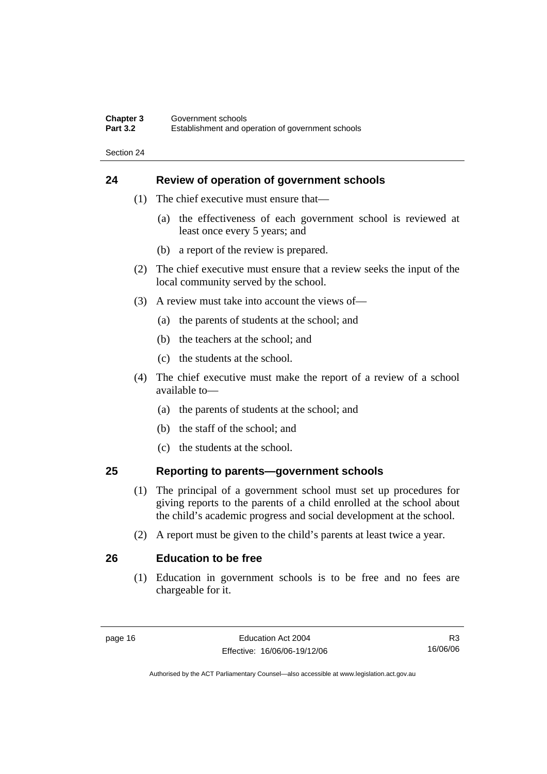#### **Chapter 3** Government schools<br> **Part 3.2** Establishment and or **Part 3.2** Establishment and operation of government schools

Section 24

#### **24 Review of operation of government schools**

- (1) The chief executive must ensure that—
	- (a) the effectiveness of each government school is reviewed at least once every 5 years; and
	- (b) a report of the review is prepared.
- (2) The chief executive must ensure that a review seeks the input of the local community served by the school.
- (3) A review must take into account the views of—
	- (a) the parents of students at the school; and
	- (b) the teachers at the school; and
	- (c) the students at the school.
- (4) The chief executive must make the report of a review of a school available to—
	- (a) the parents of students at the school; and
	- (b) the staff of the school; and
	- (c) the students at the school.

### **25 Reporting to parents—government schools**

- (1) The principal of a government school must set up procedures for giving reports to the parents of a child enrolled at the school about the child's academic progress and social development at the school.
- (2) A report must be given to the child's parents at least twice a year.

#### **26 Education to be free**

 (1) Education in government schools is to be free and no fees are chargeable for it.

R3 16/06/06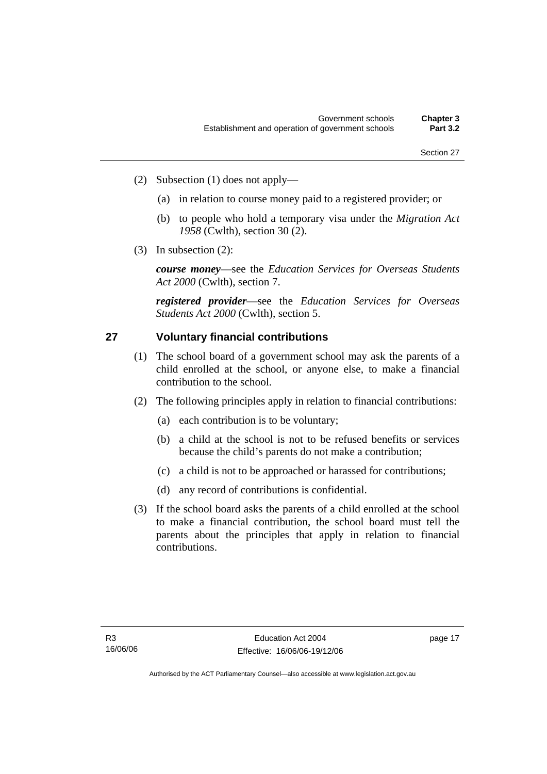- (2) Subsection (1) does not apply—
	- (a) in relation to course money paid to a registered provider; or
	- (b) to people who hold a temporary visa under the *Migration Act 1958* (Cwlth), section 30 (2).
- (3) In subsection (2):

*course money*—see the *Education Services for Overseas Students Act 2000* (Cwlth), section 7.

*registered provider*—see the *Education Services for Overseas Students Act 2000* (Cwlth), section 5.

### **27 Voluntary financial contributions**

- (1) The school board of a government school may ask the parents of a child enrolled at the school, or anyone else, to make a financial contribution to the school.
- (2) The following principles apply in relation to financial contributions:
	- (a) each contribution is to be voluntary;
	- (b) a child at the school is not to be refused benefits or services because the child's parents do not make a contribution;
	- (c) a child is not to be approached or harassed for contributions;
	- (d) any record of contributions is confidential.
- (3) If the school board asks the parents of a child enrolled at the school to make a financial contribution, the school board must tell the parents about the principles that apply in relation to financial contributions.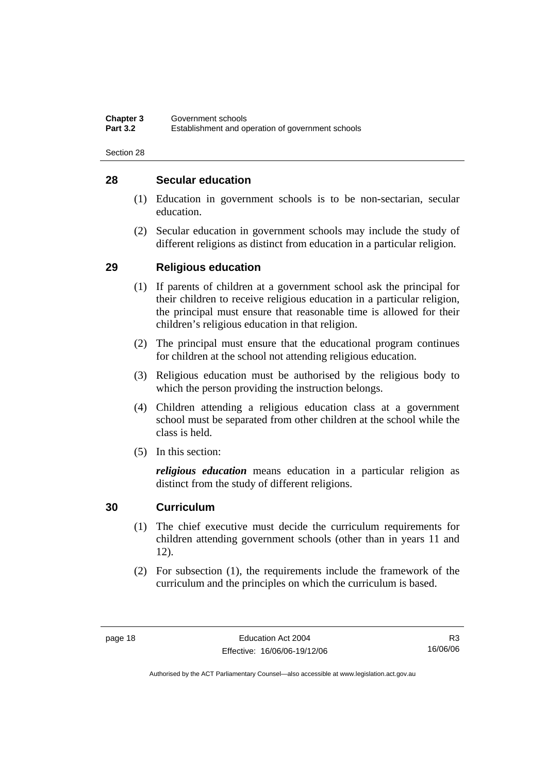### **28 Secular education**

- (1) Education in government schools is to be non-sectarian, secular education.
- (2) Secular education in government schools may include the study of different religions as distinct from education in a particular religion.

### **29 Religious education**

- (1) If parents of children at a government school ask the principal for their children to receive religious education in a particular religion, the principal must ensure that reasonable time is allowed for their children's religious education in that religion.
- (2) The principal must ensure that the educational program continues for children at the school not attending religious education.
- (3) Religious education must be authorised by the religious body to which the person providing the instruction belongs.
- (4) Children attending a religious education class at a government school must be separated from other children at the school while the class is held.
- (5) In this section:

*religious education* means education in a particular religion as distinct from the study of different religions.

### **30 Curriculum**

- (1) The chief executive must decide the curriculum requirements for children attending government schools (other than in years 11 and 12).
- (2) For subsection (1), the requirements include the framework of the curriculum and the principles on which the curriculum is based.

R3 16/06/06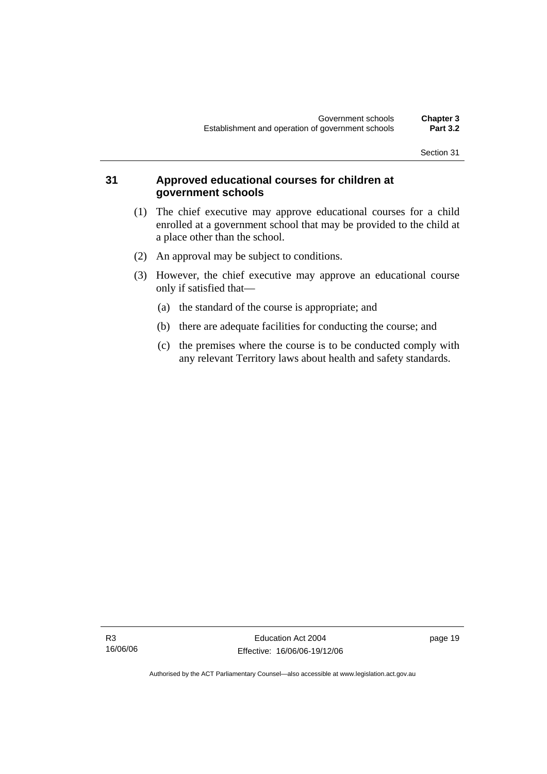### **31 Approved educational courses for children at government schools**

- (1) The chief executive may approve educational courses for a child enrolled at a government school that may be provided to the child at a place other than the school.
- (2) An approval may be subject to conditions.
- (3) However, the chief executive may approve an educational course only if satisfied that—
	- (a) the standard of the course is appropriate; and
	- (b) there are adequate facilities for conducting the course; and
	- (c) the premises where the course is to be conducted comply with any relevant Territory laws about health and safety standards.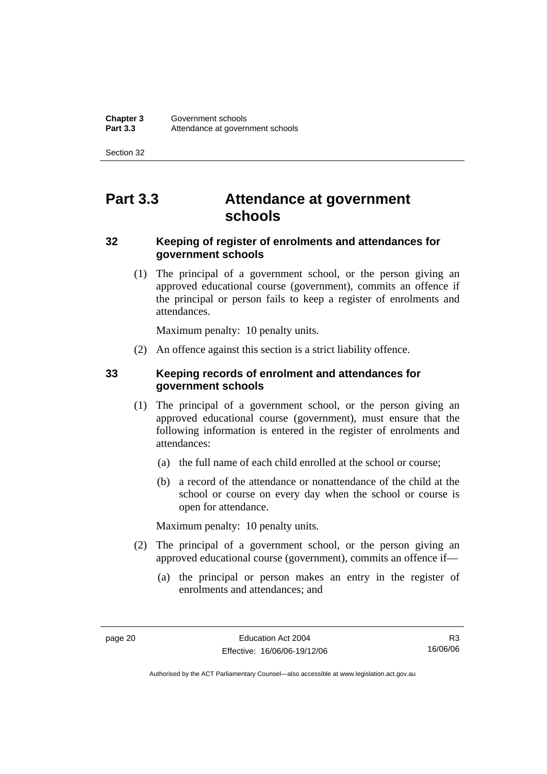# **Part 3.3 Attendance at government schools**

### **32 Keeping of register of enrolments and attendances for government schools**

 (1) The principal of a government school, or the person giving an approved educational course (government), commits an offence if the principal or person fails to keep a register of enrolments and attendances.

Maximum penalty: 10 penalty units.

(2) An offence against this section is a strict liability offence.

### **33 Keeping records of enrolment and attendances for government schools**

- (1) The principal of a government school, or the person giving an approved educational course (government), must ensure that the following information is entered in the register of enrolments and attendances:
	- (a) the full name of each child enrolled at the school or course;
	- (b) a record of the attendance or nonattendance of the child at the school or course on every day when the school or course is open for attendance.

Maximum penalty: 10 penalty units.

- (2) The principal of a government school, or the person giving an approved educational course (government), commits an offence if—
	- (a) the principal or person makes an entry in the register of enrolments and attendances; and

R3 16/06/06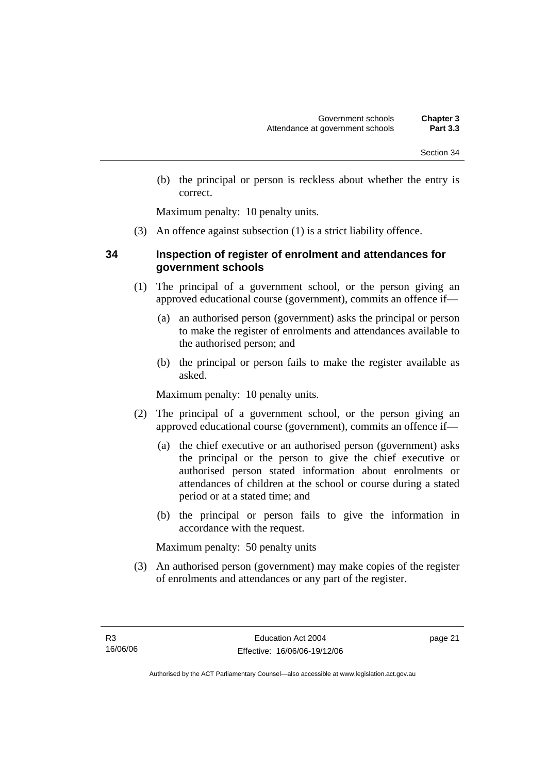(b) the principal or person is reckless about whether the entry is correct.

Maximum penalty: 10 penalty units.

(3) An offence against subsection (1) is a strict liability offence.

#### **34 Inspection of register of enrolment and attendances for government schools**

- (1) The principal of a government school, or the person giving an approved educational course (government), commits an offence if—
	- (a) an authorised person (government) asks the principal or person to make the register of enrolments and attendances available to the authorised person; and
	- (b) the principal or person fails to make the register available as asked.

Maximum penalty: 10 penalty units.

- (2) The principal of a government school, or the person giving an approved educational course (government), commits an offence if—
	- (a) the chief executive or an authorised person (government) asks the principal or the person to give the chief executive or authorised person stated information about enrolments or attendances of children at the school or course during a stated period or at a stated time; and
	- (b) the principal or person fails to give the information in accordance with the request.

Maximum penalty: 50 penalty units

 (3) An authorised person (government) may make copies of the register of enrolments and attendances or any part of the register.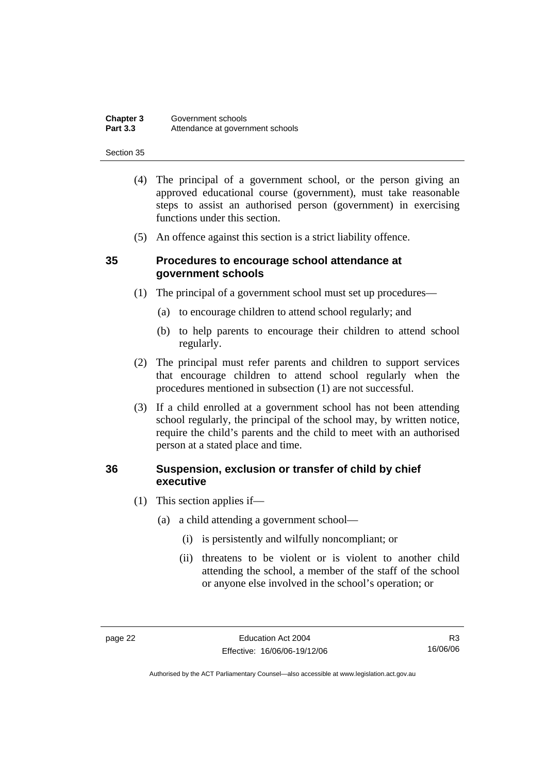| <b>Chapter 3</b> | Government schools               |
|------------------|----------------------------------|
| <b>Part 3.3</b>  | Attendance at government schools |

- (4) The principal of a government school, or the person giving an approved educational course (government), must take reasonable steps to assist an authorised person (government) in exercising functions under this section.
- (5) An offence against this section is a strict liability offence.

### **35 Procedures to encourage school attendance at government schools**

- (1) The principal of a government school must set up procedures—
	- (a) to encourage children to attend school regularly; and
	- (b) to help parents to encourage their children to attend school regularly.
- (2) The principal must refer parents and children to support services that encourage children to attend school regularly when the procedures mentioned in subsection (1) are not successful.
- (3) If a child enrolled at a government school has not been attending school regularly, the principal of the school may, by written notice, require the child's parents and the child to meet with an authorised person at a stated place and time.

#### **36 Suspension, exclusion or transfer of child by chief executive**

- (1) This section applies if—
	- (a) a child attending a government school—
		- (i) is persistently and wilfully noncompliant; or
		- (ii) threatens to be violent or is violent to another child attending the school, a member of the staff of the school or anyone else involved in the school's operation; or

R3 16/06/06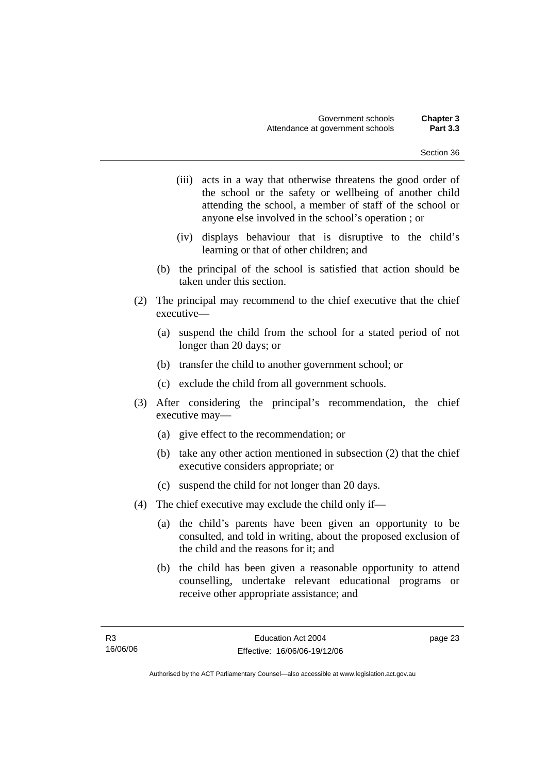- (iii) acts in a way that otherwise threatens the good order of the school or the safety or wellbeing of another child attending the school, a member of staff of the school or anyone else involved in the school's operation ; or
- (iv) displays behaviour that is disruptive to the child's learning or that of other children; and
- (b) the principal of the school is satisfied that action should be taken under this section.
- (2) The principal may recommend to the chief executive that the chief executive—
	- (a) suspend the child from the school for a stated period of not longer than 20 days; or
	- (b) transfer the child to another government school; or
	- (c) exclude the child from all government schools.
- (3) After considering the principal's recommendation, the chief executive may—
	- (a) give effect to the recommendation; or
	- (b) take any other action mentioned in subsection (2) that the chief executive considers appropriate; or
	- (c) suspend the child for not longer than 20 days.
- (4) The chief executive may exclude the child only if—
	- (a) the child's parents have been given an opportunity to be consulted, and told in writing, about the proposed exclusion of the child and the reasons for it; and
	- (b) the child has been given a reasonable opportunity to attend counselling, undertake relevant educational programs or receive other appropriate assistance; and

page 23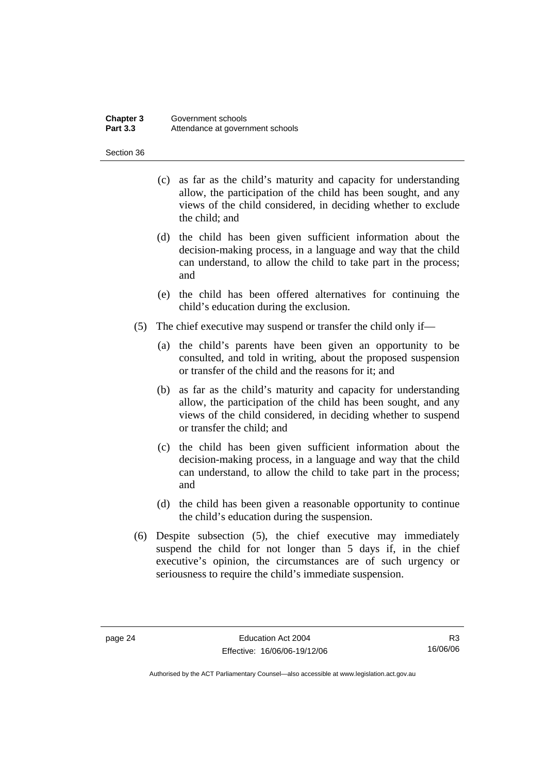#### **Chapter 3** Government schools<br> **Part 3.3** Attendance at govern Attendance at government schools

Section 36

- (c) as far as the child's maturity and capacity for understanding allow, the participation of the child has been sought, and any views of the child considered, in deciding whether to exclude the child; and
- (d) the child has been given sufficient information about the decision-making process, in a language and way that the child can understand, to allow the child to take part in the process; and
- (e) the child has been offered alternatives for continuing the child's education during the exclusion.
- (5) The chief executive may suspend or transfer the child only if—
	- (a) the child's parents have been given an opportunity to be consulted, and told in writing, about the proposed suspension or transfer of the child and the reasons for it; and
	- (b) as far as the child's maturity and capacity for understanding allow, the participation of the child has been sought, and any views of the child considered, in deciding whether to suspend or transfer the child; and
	- (c) the child has been given sufficient information about the decision-making process, in a language and way that the child can understand, to allow the child to take part in the process; and
	- (d) the child has been given a reasonable opportunity to continue the child's education during the suspension.
- (6) Despite subsection (5), the chief executive may immediately suspend the child for not longer than 5 days if, in the chief executive's opinion, the circumstances are of such urgency or seriousness to require the child's immediate suspension.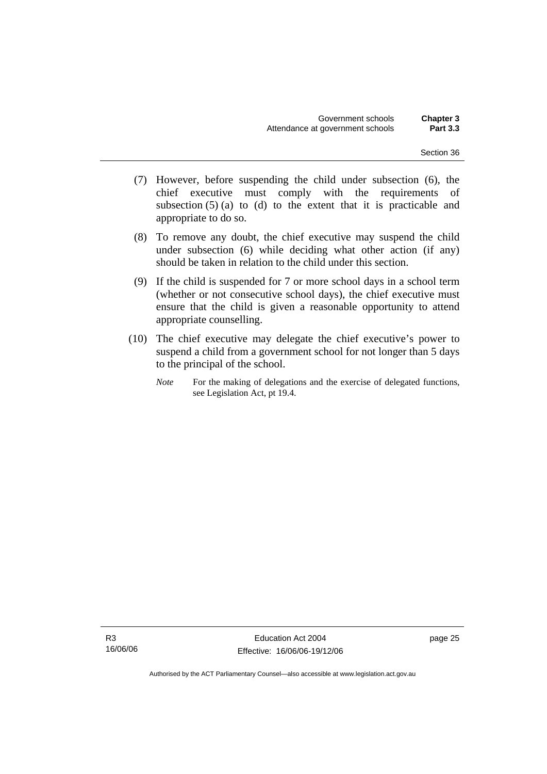- (7) However, before suspending the child under subsection (6), the chief executive must comply with the requirements of subsection  $(5)$  (a) to (d) to the extent that it is practicable and appropriate to do so.
- (8) To remove any doubt, the chief executive may suspend the child under subsection (6) while deciding what other action (if any) should be taken in relation to the child under this section.
- (9) If the child is suspended for 7 or more school days in a school term (whether or not consecutive school days), the chief executive must ensure that the child is given a reasonable opportunity to attend appropriate counselling.
- (10) The chief executive may delegate the chief executive's power to suspend a child from a government school for not longer than 5 days to the principal of the school.
	- *Note* For the making of delegations and the exercise of delegated functions, see Legislation Act, pt 19.4.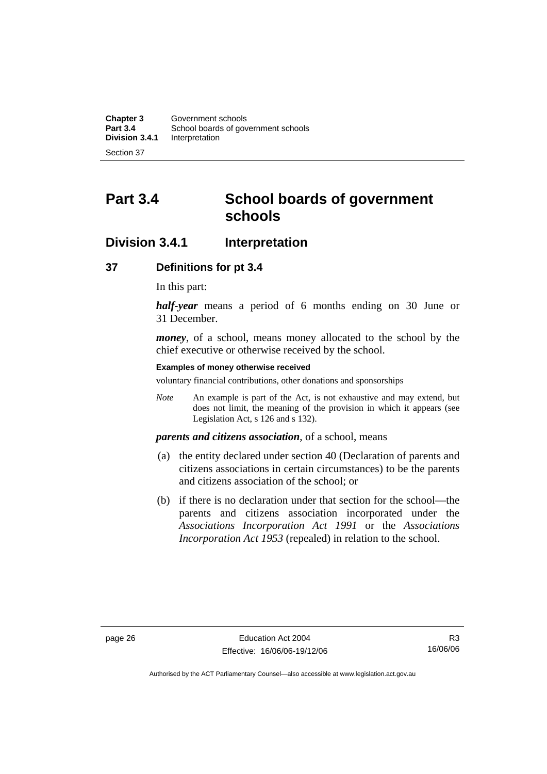**Chapter 3** Government schools<br> **Part 3.4** School boards of government **Part 3.4** School boards of government schools<br>**Division 3.4.1** Interpretation **Interpretation** 

Section 37

# **Part 3.4 School boards of government schools**

## **Division 3.4.1 Interpretation**

#### **37 Definitions for pt 3.4**

In this part:

*half-year* means a period of 6 months ending on 30 June or 31 December.

*money*, of a school, means money allocated to the school by the chief executive or otherwise received by the school.

#### **Examples of money otherwise received**

voluntary financial contributions, other donations and sponsorships

*Note* An example is part of the Act, is not exhaustive and may extend, but does not limit, the meaning of the provision in which it appears (see Legislation Act, s 126 and s 132).

#### *parents and citizens association*, of a school, means

- (a) the entity declared under section 40 (Declaration of parents and citizens associations in certain circumstances) to be the parents and citizens association of the school; or
- (b) if there is no declaration under that section for the school—the parents and citizens association incorporated under the *Associations Incorporation Act 1991* or the *Associations Incorporation Act 1953* (repealed) in relation to the school.

R3 16/06/06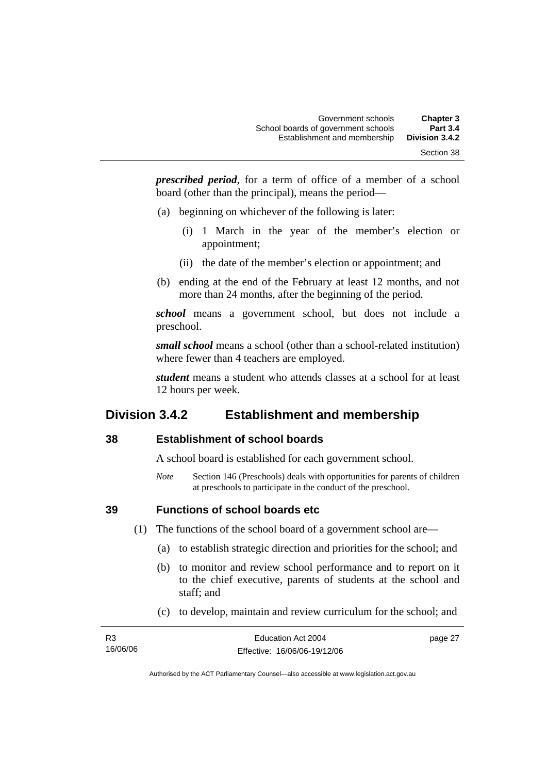*prescribed period*, for a term of office of a member of a school board (other than the principal), means the period—

- (a) beginning on whichever of the following is later:
	- (i) 1 March in the year of the member's election or appointment;
	- (ii) the date of the member's election or appointment; and
- (b) ending at the end of the February at least 12 months, and not more than 24 months, after the beginning of the period.

*school* means a government school, but does not include a preschool.

*small school* means a school (other than a school-related institution) where fewer than 4 teachers are employed.

*student* means a student who attends classes at a school for at least 12 hours per week.

# **Division 3.4.2 Establishment and membership**

### **38 Establishment of school boards**

A school board is established for each government school.

*Note* Section 146 (Preschools) deals with opportunities for parents of children at preschools to participate in the conduct of the preschool.

### **39 Functions of school boards etc**

- (1) The functions of the school board of a government school are—
	- (a) to establish strategic direction and priorities for the school; and
	- (b) to monitor and review school performance and to report on it to the chief executive, parents of students at the school and staff; and
	- (c) to develop, maintain and review curriculum for the school; and

| R <sub>3</sub> | Education Act 2004           | page 27 |
|----------------|------------------------------|---------|
| 16/06/06       | Effective: 16/06/06-19/12/06 |         |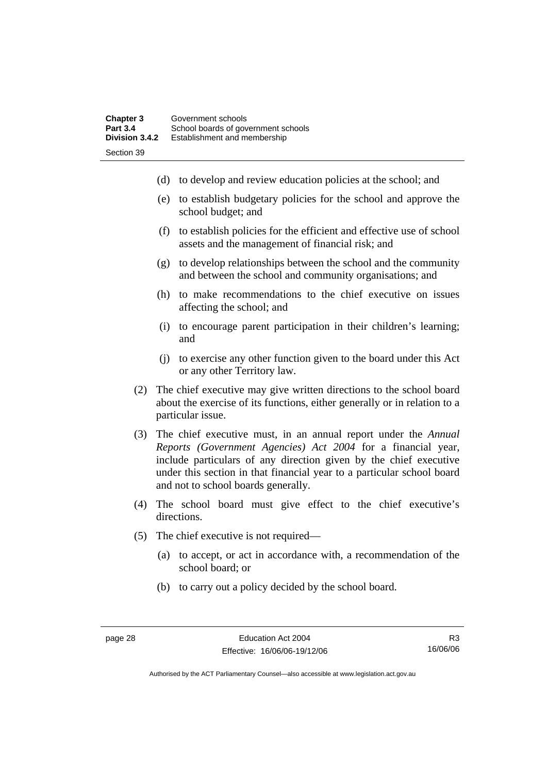- (d) to develop and review education policies at the school; and
- (e) to establish budgetary policies for the school and approve the school budget; and
- (f) to establish policies for the efficient and effective use of school assets and the management of financial risk; and
- (g) to develop relationships between the school and the community and between the school and community organisations; and
- (h) to make recommendations to the chief executive on issues affecting the school; and
- (i) to encourage parent participation in their children's learning; and
- (j) to exercise any other function given to the board under this Act or any other Territory law.
- (2) The chief executive may give written directions to the school board about the exercise of its functions, either generally or in relation to a particular issue.
- (3) The chief executive must, in an annual report under the *Annual Reports (Government Agencies) Act 2004* for a financial year, include particulars of any direction given by the chief executive under this section in that financial year to a particular school board and not to school boards generally.
- (4) The school board must give effect to the chief executive's directions.
- (5) The chief executive is not required—
	- (a) to accept, or act in accordance with, a recommendation of the school board; or
	- (b) to carry out a policy decided by the school board.

R3 16/06/06

Authorised by the ACT Parliamentary Counsel—also accessible at www.legislation.act.gov.au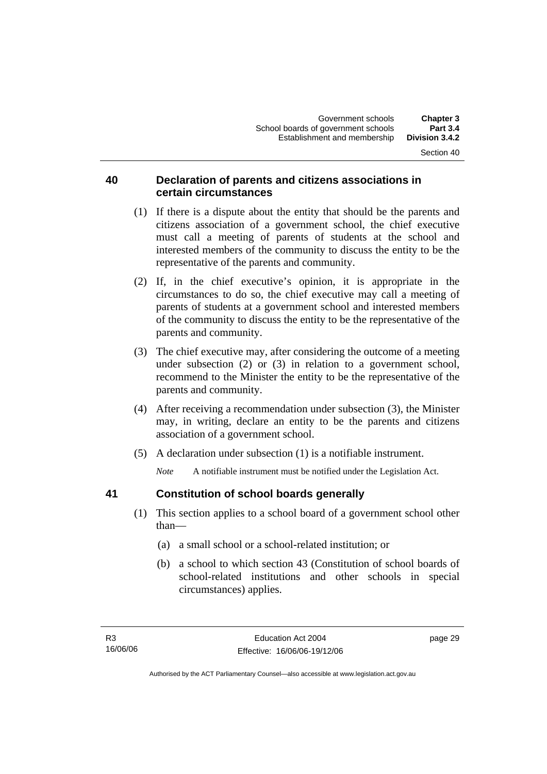### **40 Declaration of parents and citizens associations in certain circumstances**

- (1) If there is a dispute about the entity that should be the parents and citizens association of a government school, the chief executive must call a meeting of parents of students at the school and interested members of the community to discuss the entity to be the representative of the parents and community.
- (2) If, in the chief executive's opinion, it is appropriate in the circumstances to do so, the chief executive may call a meeting of parents of students at a government school and interested members of the community to discuss the entity to be the representative of the parents and community.
- (3) The chief executive may, after considering the outcome of a meeting under subsection (2) or (3) in relation to a government school, recommend to the Minister the entity to be the representative of the parents and community.
- (4) After receiving a recommendation under subsection (3), the Minister may, in writing, declare an entity to be the parents and citizens association of a government school.
- (5) A declaration under subsection (1) is a notifiable instrument.

*Note* A notifiable instrument must be notified under the Legislation Act.

### **41 Constitution of school boards generally**

- (1) This section applies to a school board of a government school other than—
	- (a) a small school or a school-related institution; or
	- (b) a school to which section 43 (Constitution of school boards of school-related institutions and other schools in special circumstances) applies.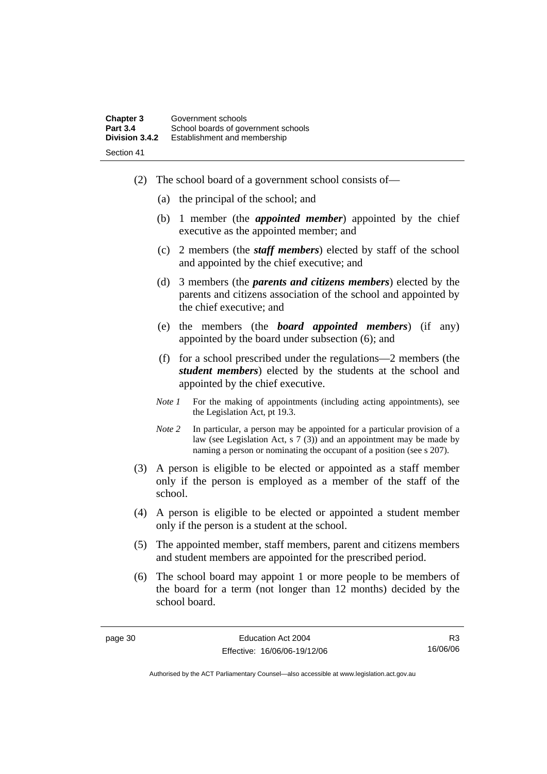- (2) The school board of a government school consists of—
	- (a) the principal of the school; and
	- (b) 1 member (the *appointed member*) appointed by the chief executive as the appointed member; and
	- (c) 2 members (the *staff members*) elected by staff of the school and appointed by the chief executive; and
	- (d) 3 members (the *parents and citizens members*) elected by the parents and citizens association of the school and appointed by the chief executive; and
	- (e) the members (the *board appointed members*) (if any) appointed by the board under subsection (6); and
	- (f) for a school prescribed under the regulations—2 members (the *student members*) elected by the students at the school and appointed by the chief executive.
	- *Note 1* For the making of appointments (including acting appointments), see the Legislation Act, pt 19.3.
	- *Note 2* In particular, a person may be appointed for a particular provision of a law (see Legislation Act, s  $7(3)$ ) and an appointment may be made by naming a person or nominating the occupant of a position (see s 207).
- (3) A person is eligible to be elected or appointed as a staff member only if the person is employed as a member of the staff of the school.
- (4) A person is eligible to be elected or appointed a student member only if the person is a student at the school.
- (5) The appointed member, staff members, parent and citizens members and student members are appointed for the prescribed period.
- (6) The school board may appoint 1 or more people to be members of the board for a term (not longer than 12 months) decided by the school board.

R3 16/06/06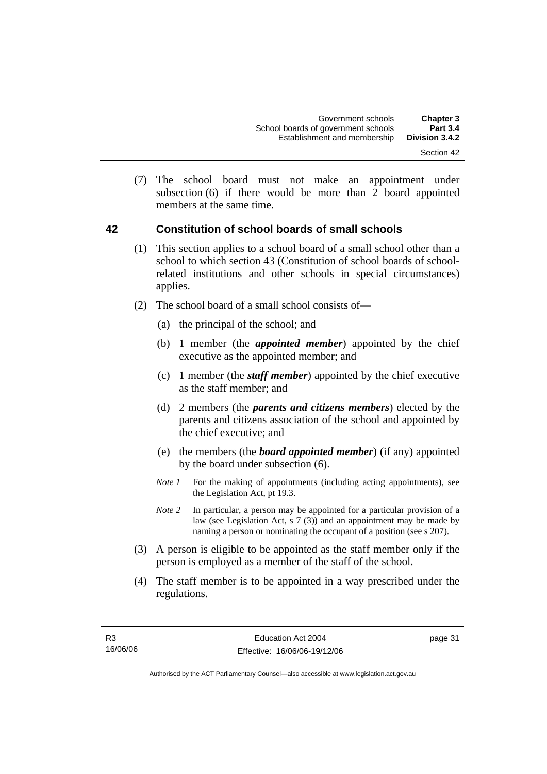- Section 42
- (7) The school board must not make an appointment under subsection (6) if there would be more than 2 board appointed members at the same time.

#### **42 Constitution of school boards of small schools**

- (1) This section applies to a school board of a small school other than a school to which section 43 (Constitution of school boards of schoolrelated institutions and other schools in special circumstances) applies.
- (2) The school board of a small school consists of—
	- (a) the principal of the school; and
	- (b) 1 member (the *appointed member*) appointed by the chief executive as the appointed member; and
	- (c) 1 member (the *staff member*) appointed by the chief executive as the staff member; and
	- (d) 2 members (the *parents and citizens members*) elected by the parents and citizens association of the school and appointed by the chief executive; and
	- (e) the members (the *board appointed member*) (if any) appointed by the board under subsection (6).
	- *Note 1* For the making of appointments (including acting appointments), see the Legislation Act, pt 19.3.
	- *Note 2* In particular, a person may be appointed for a particular provision of a law (see Legislation Act, s 7 (3)) and an appointment may be made by naming a person or nominating the occupant of a position (see s 207).
- (3) A person is eligible to be appointed as the staff member only if the person is employed as a member of the staff of the school.
- (4) The staff member is to be appointed in a way prescribed under the regulations.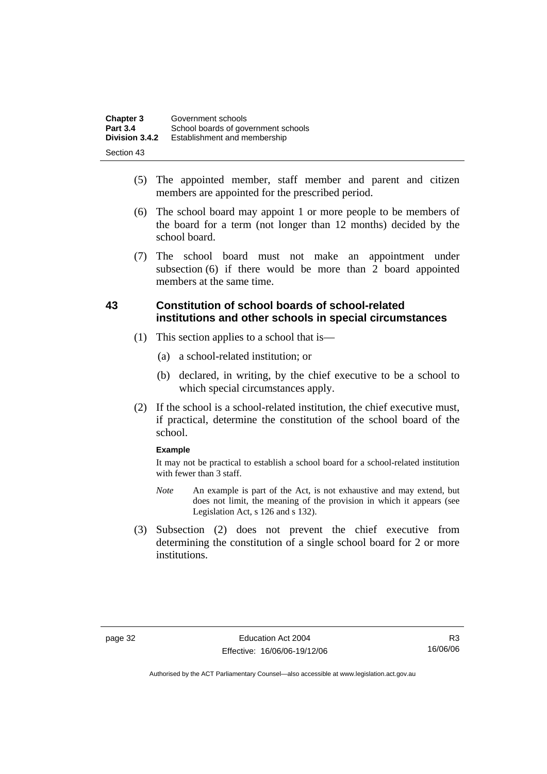| <b>Chapter 3</b> | Government schools                  |
|------------------|-------------------------------------|
| <b>Part 3.4</b>  | School boards of government schools |
| Division 3.4.2   | Establishment and membership        |
| Section 43       |                                     |

- (5) The appointed member, staff member and parent and citizen members are appointed for the prescribed period.
- (6) The school board may appoint 1 or more people to be members of the board for a term (not longer than 12 months) decided by the school board.
- (7) The school board must not make an appointment under subsection (6) if there would be more than 2 board appointed members at the same time.

### **43 Constitution of school boards of school-related institutions and other schools in special circumstances**

- (1) This section applies to a school that is—
	- (a) a school-related institution; or
	- (b) declared, in writing, by the chief executive to be a school to which special circumstances apply.
- (2) If the school is a school-related institution, the chief executive must, if practical, determine the constitution of the school board of the school.

#### **Example**

It may not be practical to establish a school board for a school-related institution with fewer than 3 staff.

- *Note* An example is part of the Act, is not exhaustive and may extend, but does not limit, the meaning of the provision in which it appears (see Legislation Act, s 126 and s 132).
- (3) Subsection (2) does not prevent the chief executive from determining the constitution of a single school board for 2 or more institutions.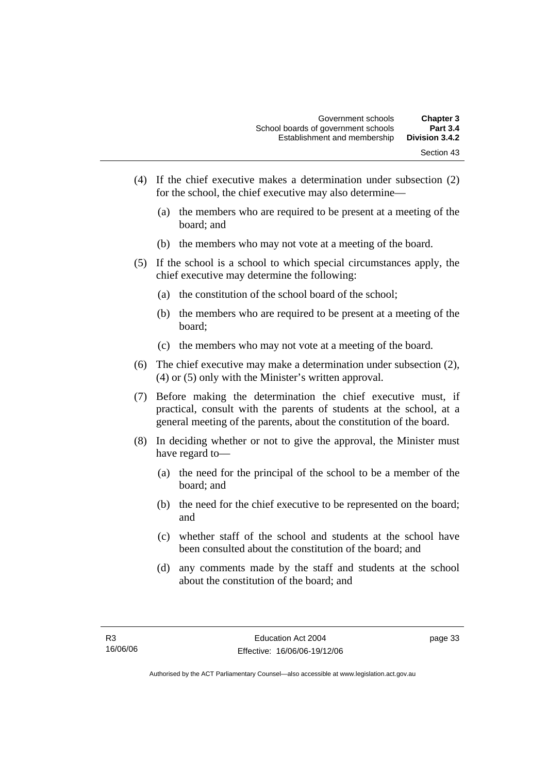- Section 43
- (4) If the chief executive makes a determination under subsection (2) for the school, the chief executive may also determine—
	- (a) the members who are required to be present at a meeting of the board; and
	- (b) the members who may not vote at a meeting of the board.
- (5) If the school is a school to which special circumstances apply, the chief executive may determine the following:
	- (a) the constitution of the school board of the school;
	- (b) the members who are required to be present at a meeting of the board;
	- (c) the members who may not vote at a meeting of the board.
- (6) The chief executive may make a determination under subsection (2), (4) or (5) only with the Minister's written approval.
- (7) Before making the determination the chief executive must, if practical, consult with the parents of students at the school, at a general meeting of the parents, about the constitution of the board.
- (8) In deciding whether or not to give the approval, the Minister must have regard to—
	- (a) the need for the principal of the school to be a member of the board; and
	- (b) the need for the chief executive to be represented on the board; and
	- (c) whether staff of the school and students at the school have been consulted about the constitution of the board; and
	- (d) any comments made by the staff and students at the school about the constitution of the board; and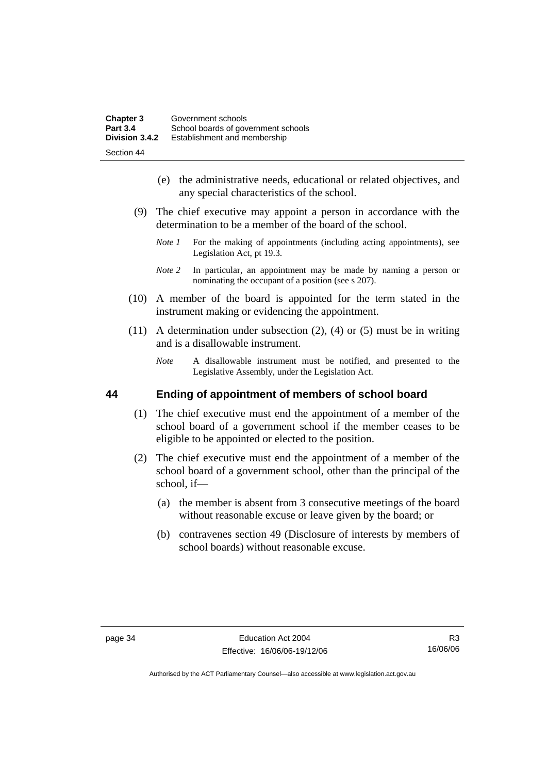| <b>Chapter 3</b> | Government schools                  |
|------------------|-------------------------------------|
| <b>Part 3.4</b>  | School boards of government schools |
| Division 3.4.2   | Establishment and membership        |
| Section 44       |                                     |

- (e) the administrative needs, educational or related objectives, and any special characteristics of the school.
- (9) The chief executive may appoint a person in accordance with the determination to be a member of the board of the school.
	- *Note 1* For the making of appointments (including acting appointments), see Legislation Act, pt 19.3.
	- *Note 2* In particular, an appointment may be made by naming a person or nominating the occupant of a position (see s 207).
- (10) A member of the board is appointed for the term stated in the instrument making or evidencing the appointment.
- (11) A determination under subsection (2), (4) or (5) must be in writing and is a disallowable instrument.
	- *Note* A disallowable instrument must be notified, and presented to the Legislative Assembly, under the Legislation Act.

### **44 Ending of appointment of members of school board**

- (1) The chief executive must end the appointment of a member of the school board of a government school if the member ceases to be eligible to be appointed or elected to the position.
- (2) The chief executive must end the appointment of a member of the school board of a government school, other than the principal of the school, if—
	- (a) the member is absent from 3 consecutive meetings of the board without reasonable excuse or leave given by the board; or
	- (b) contravenes section 49 (Disclosure of interests by members of school boards) without reasonable excuse.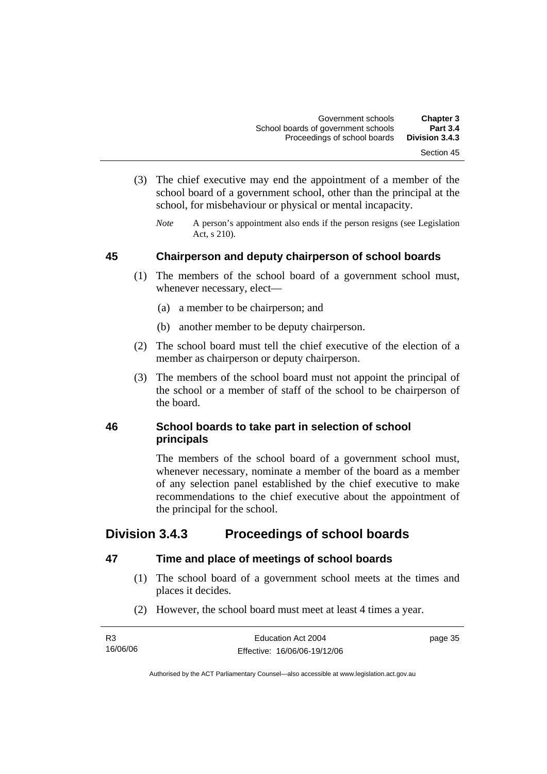- (3) The chief executive may end the appointment of a member of the school board of a government school, other than the principal at the school, for misbehaviour or physical or mental incapacity.
	- *Note* A person's appointment also ends if the person resigns (see Legislation Act, s 210).

### **45 Chairperson and deputy chairperson of school boards**

- (1) The members of the school board of a government school must, whenever necessary, elect—
	- (a) a member to be chairperson; and
	- (b) another member to be deputy chairperson.
- (2) The school board must tell the chief executive of the election of a member as chairperson or deputy chairperson.
- (3) The members of the school board must not appoint the principal of the school or a member of staff of the school to be chairperson of the board.

### **46 School boards to take part in selection of school principals**

The members of the school board of a government school must, whenever necessary, nominate a member of the board as a member of any selection panel established by the chief executive to make recommendations to the chief executive about the appointment of the principal for the school.

# **Division 3.4.3 Proceedings of school boards**

### **47 Time and place of meetings of school boards**

- (1) The school board of a government school meets at the times and places it decides.
- (2) However, the school board must meet at least 4 times a year.

| R <sub>3</sub> | Education Act 2004           | page 35 |
|----------------|------------------------------|---------|
| 16/06/06       | Effective: 16/06/06-19/12/06 |         |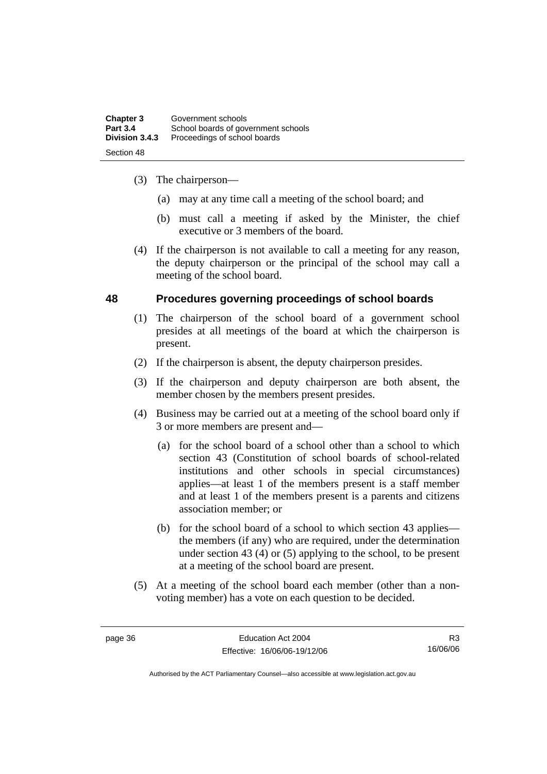| <b>Chapter 3</b> | Government schools                  |
|------------------|-------------------------------------|
| <b>Part 3.4</b>  | School boards of government schools |
| Division 3.4.3   | Proceedings of school boards        |
| Section 48       |                                     |

- (3) The chairperson—
	- (a) may at any time call a meeting of the school board; and
	- (b) must call a meeting if asked by the Minister, the chief executive or 3 members of the board.
- (4) If the chairperson is not available to call a meeting for any reason, the deputy chairperson or the principal of the school may call a meeting of the school board.

### **48 Procedures governing proceedings of school boards**

- (1) The chairperson of the school board of a government school presides at all meetings of the board at which the chairperson is present.
- (2) If the chairperson is absent, the deputy chairperson presides.
- (3) If the chairperson and deputy chairperson are both absent, the member chosen by the members present presides.
- (4) Business may be carried out at a meeting of the school board only if 3 or more members are present and—
	- (a) for the school board of a school other than a school to which section 43 (Constitution of school boards of school-related institutions and other schools in special circumstances) applies—at least 1 of the members present is a staff member and at least 1 of the members present is a parents and citizens association member; or
	- (b) for the school board of a school to which section 43 applies the members (if any) who are required, under the determination under section 43 (4) or (5) applying to the school, to be present at a meeting of the school board are present.
- (5) At a meeting of the school board each member (other than a nonvoting member) has a vote on each question to be decided.

R3 16/06/06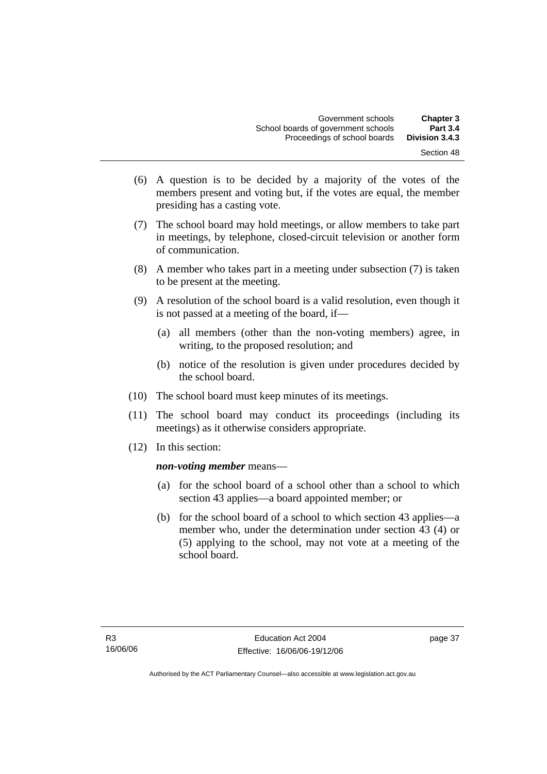- (6) A question is to be decided by a majority of the votes of the members present and voting but, if the votes are equal, the member presiding has a casting vote.
- (7) The school board may hold meetings, or allow members to take part in meetings, by telephone, closed-circuit television or another form of communication.
- (8) A member who takes part in a meeting under subsection (7) is taken to be present at the meeting.
- (9) A resolution of the school board is a valid resolution, even though it is not passed at a meeting of the board, if—
	- (a) all members (other than the non-voting members) agree, in writing, to the proposed resolution; and
	- (b) notice of the resolution is given under procedures decided by the school board.
- (10) The school board must keep minutes of its meetings.
- (11) The school board may conduct its proceedings (including its meetings) as it otherwise considers appropriate.
- (12) In this section:

### *non-voting member* means—

- (a) for the school board of a school other than a school to which section 43 applies—a board appointed member; or
- (b) for the school board of a school to which section 43 applies—a member who, under the determination under section 43 (4) or (5) applying to the school, may not vote at a meeting of the school board.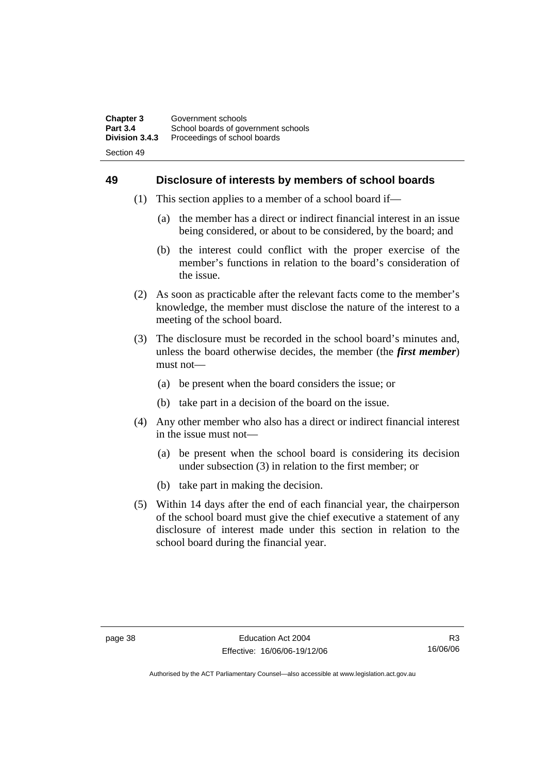### **49 Disclosure of interests by members of school boards**

- (1) This section applies to a member of a school board if—
	- (a) the member has a direct or indirect financial interest in an issue being considered, or about to be considered, by the board; and
	- (b) the interest could conflict with the proper exercise of the member's functions in relation to the board's consideration of the issue.
- (2) As soon as practicable after the relevant facts come to the member's knowledge, the member must disclose the nature of the interest to a meeting of the school board.
- (3) The disclosure must be recorded in the school board's minutes and, unless the board otherwise decides, the member (the *first member*) must not—
	- (a) be present when the board considers the issue; or
	- (b) take part in a decision of the board on the issue.
- (4) Any other member who also has a direct or indirect financial interest in the issue must not—
	- (a) be present when the school board is considering its decision under subsection (3) in relation to the first member; or
	- (b) take part in making the decision.
- (5) Within 14 days after the end of each financial year, the chairperson of the school board must give the chief executive a statement of any disclosure of interest made under this section in relation to the school board during the financial year.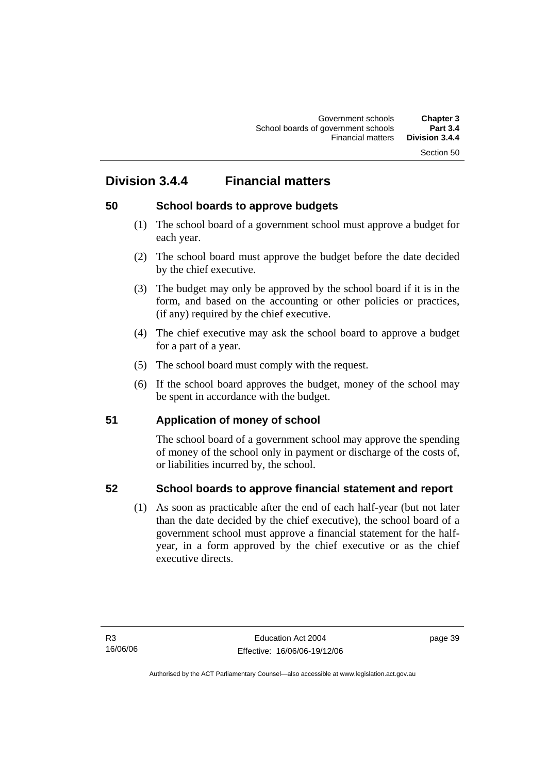# **Division 3.4.4 Financial matters**

### **50 School boards to approve budgets**

- (1) The school board of a government school must approve a budget for each year.
- (2) The school board must approve the budget before the date decided by the chief executive.
- (3) The budget may only be approved by the school board if it is in the form, and based on the accounting or other policies or practices, (if any) required by the chief executive.
- (4) The chief executive may ask the school board to approve a budget for a part of a year.
- (5) The school board must comply with the request.
- (6) If the school board approves the budget, money of the school may be spent in accordance with the budget.

### **51 Application of money of school**

The school board of a government school may approve the spending of money of the school only in payment or discharge of the costs of, or liabilities incurred by, the school.

### **52 School boards to approve financial statement and report**

 (1) As soon as practicable after the end of each half-year (but not later than the date decided by the chief executive), the school board of a government school must approve a financial statement for the halfyear, in a form approved by the chief executive or as the chief executive directs.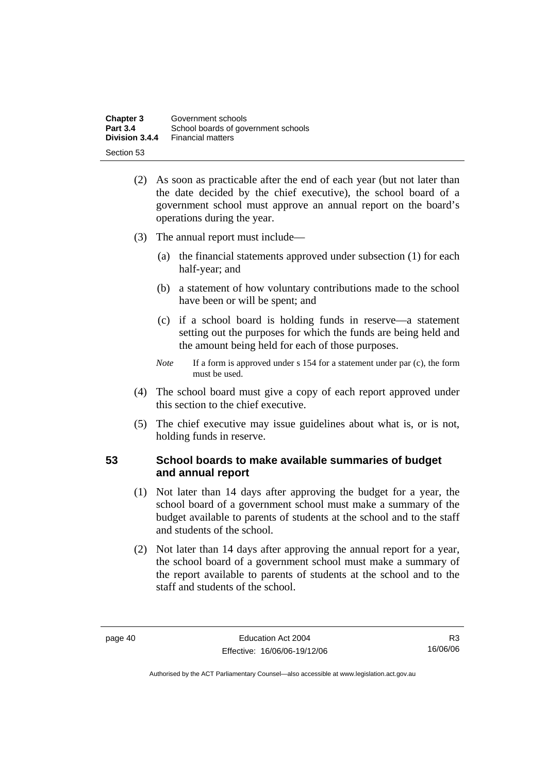| <b>Chapter 3</b> | Government schools                  |
|------------------|-------------------------------------|
| <b>Part 3.4</b>  | School boards of government schools |
| Division 3.4.4   | <b>Financial matters</b>            |
| Section 53       |                                     |

- (2) As soon as practicable after the end of each year (but not later than the date decided by the chief executive), the school board of a government school must approve an annual report on the board's operations during the year.
- (3) The annual report must include—
	- (a) the financial statements approved under subsection (1) for each half-year; and
	- (b) a statement of how voluntary contributions made to the school have been or will be spent; and
	- (c) if a school board is holding funds in reserve—a statement setting out the purposes for which the funds are being held and the amount being held for each of those purposes.
	- *Note* If a form is approved under s 154 for a statement under par (c), the form must be used.
- (4) The school board must give a copy of each report approved under this section to the chief executive.
- (5) The chief executive may issue guidelines about what is, or is not, holding funds in reserve.

### **53 School boards to make available summaries of budget and annual report**

- (1) Not later than 14 days after approving the budget for a year, the school board of a government school must make a summary of the budget available to parents of students at the school and to the staff and students of the school.
- (2) Not later than 14 days after approving the annual report for a year, the school board of a government school must make a summary of the report available to parents of students at the school and to the staff and students of the school.

R3 16/06/06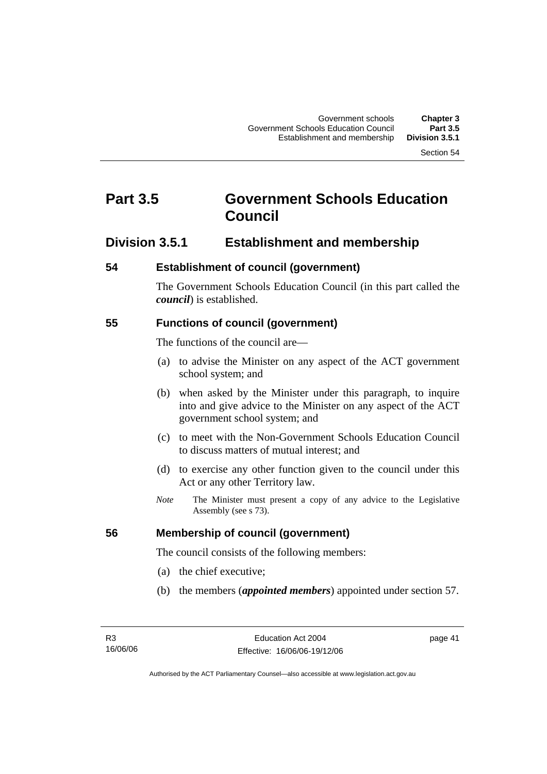# **Part 3.5 Government Schools Education Council**

### **Division 3.5.1 Establishment and membership**

### **54 Establishment of council (government)**

The Government Schools Education Council (in this part called the *council*) is established.

### **55 Functions of council (government)**

The functions of the council are—

- (a) to advise the Minister on any aspect of the ACT government school system; and
- (b) when asked by the Minister under this paragraph, to inquire into and give advice to the Minister on any aspect of the ACT government school system; and
- (c) to meet with the Non-Government Schools Education Council to discuss matters of mutual interest; and
- (d) to exercise any other function given to the council under this Act or any other Territory law.
- *Note* The Minister must present a copy of any advice to the Legislative Assembly (see s 73).

### **56 Membership of council (government)**

The council consists of the following members:

- (a) the chief executive;
- (b) the members (*appointed members*) appointed under section 57.

page 41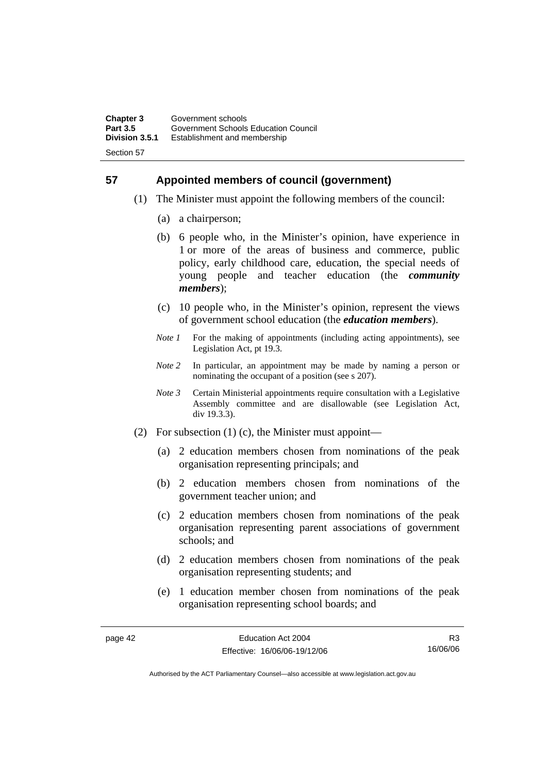### **57 Appointed members of council (government)**

- (1) The Minister must appoint the following members of the council:
	- (a) a chairperson;
	- (b) 6 people who, in the Minister's opinion, have experience in 1 or more of the areas of business and commerce, public policy, early childhood care, education, the special needs of young people and teacher education (the *community members*);
	- (c) 10 people who, in the Minister's opinion, represent the views of government school education (the *education members*).
	- *Note 1* For the making of appointments (including acting appointments), see Legislation Act, pt 19.3.
	- *Note 2* In particular, an appointment may be made by naming a person or nominating the occupant of a position (see s 207).
	- *Note 3* Certain Ministerial appointments require consultation with a Legislative Assembly committee and are disallowable (see Legislation Act, div 19.3.3).
- (2) For subsection (1) (c), the Minister must appoint—
	- (a) 2 education members chosen from nominations of the peak organisation representing principals; and
	- (b) 2 education members chosen from nominations of the government teacher union; and
	- (c) 2 education members chosen from nominations of the peak organisation representing parent associations of government schools; and
	- (d) 2 education members chosen from nominations of the peak organisation representing students; and
	- (e) 1 education member chosen from nominations of the peak organisation representing school boards; and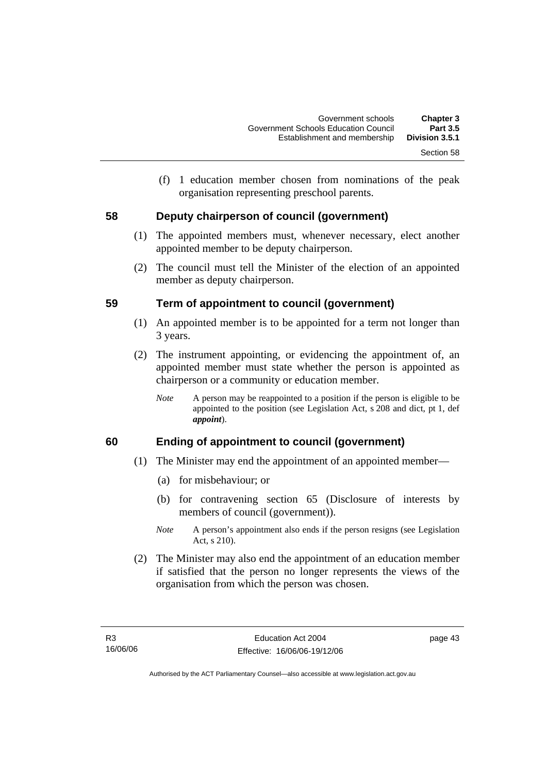(f) 1 education member chosen from nominations of the peak organisation representing preschool parents.

### **58 Deputy chairperson of council (government)**

- (1) The appointed members must, whenever necessary, elect another appointed member to be deputy chairperson.
- (2) The council must tell the Minister of the election of an appointed member as deputy chairperson.

### **59 Term of appointment to council (government)**

- (1) An appointed member is to be appointed for a term not longer than 3 years.
- (2) The instrument appointing, or evidencing the appointment of, an appointed member must state whether the person is appointed as chairperson or a community or education member.
	- *Note* A person may be reappointed to a position if the person is eligible to be appointed to the position (see Legislation Act, s 208 and dict, pt 1, def *appoint*).

### **60 Ending of appointment to council (government)**

- (1) The Minister may end the appointment of an appointed member—
	- (a) for misbehaviour; or
	- (b) for contravening section 65 (Disclosure of interests by members of council (government)).
	- *Note* A person's appointment also ends if the person resigns (see Legislation Act, s 210).
- (2) The Minister may also end the appointment of an education member if satisfied that the person no longer represents the views of the organisation from which the person was chosen.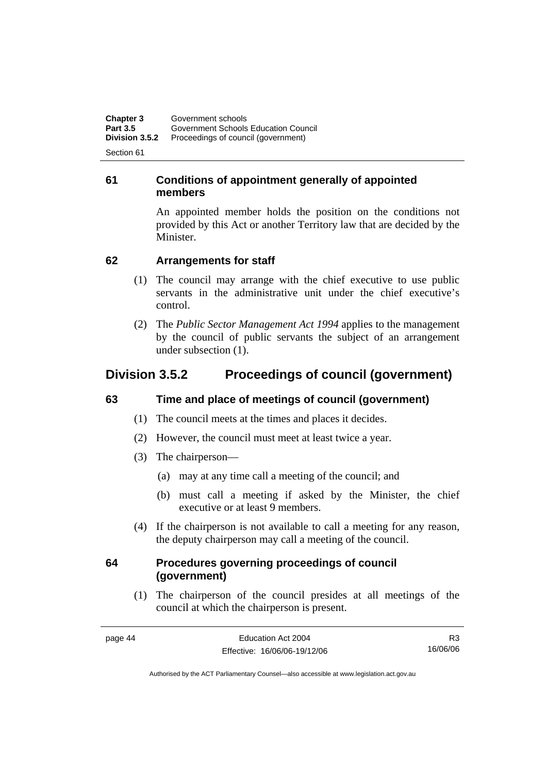**Chapter 3 Government schools**<br>**Part 3.5 Government Schools Part 3.5** Government Schools Education Council<br> **Division 3.5.2** Proceedings of council (government) **Division 3.5.2** Proceedings of council (government)

Section 61

### **61 Conditions of appointment generally of appointed members**

An appointed member holds the position on the conditions not provided by this Act or another Territory law that are decided by the Minister.

### **62 Arrangements for staff**

- (1) The council may arrange with the chief executive to use public servants in the administrative unit under the chief executive's control.
- (2) The *Public Sector Management Act 1994* applies to the management by the council of public servants the subject of an arrangement under subsection (1).

# **Division 3.5.2 Proceedings of council (government)**

### **63 Time and place of meetings of council (government)**

- (1) The council meets at the times and places it decides.
- (2) However, the council must meet at least twice a year.
- (3) The chairperson—
	- (a) may at any time call a meeting of the council; and
	- (b) must call a meeting if asked by the Minister, the chief executive or at least 9 members.
- (4) If the chairperson is not available to call a meeting for any reason, the deputy chairperson may call a meeting of the council.

### **64 Procedures governing proceedings of council (government)**

 (1) The chairperson of the council presides at all meetings of the council at which the chairperson is present.

page 44 Education Act 2004 Effective: 16/06/06-19/12/06 R3 16/06/06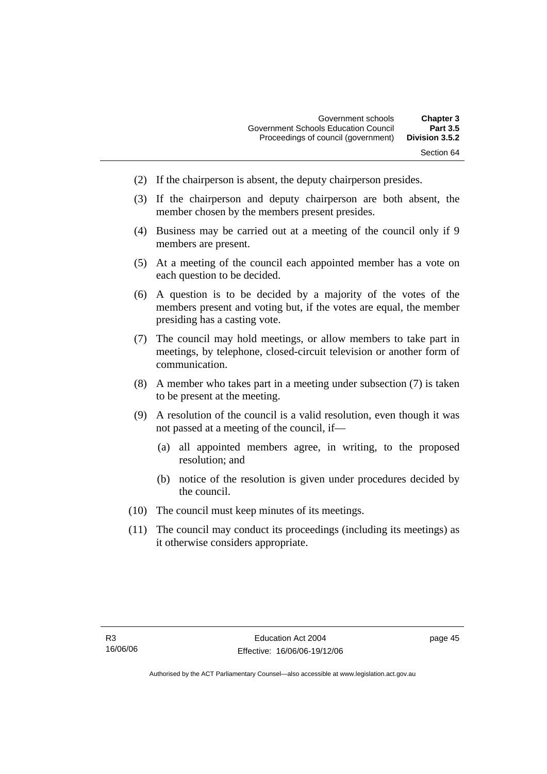- (2) If the chairperson is absent, the deputy chairperson presides.
- (3) If the chairperson and deputy chairperson are both absent, the member chosen by the members present presides.
- (4) Business may be carried out at a meeting of the council only if 9 members are present.
- (5) At a meeting of the council each appointed member has a vote on each question to be decided.
- (6) A question is to be decided by a majority of the votes of the members present and voting but, if the votes are equal, the member presiding has a casting vote.
- (7) The council may hold meetings, or allow members to take part in meetings, by telephone, closed-circuit television or another form of communication.
- (8) A member who takes part in a meeting under subsection (7) is taken to be present at the meeting.
- (9) A resolution of the council is a valid resolution, even though it was not passed at a meeting of the council, if—
	- (a) all appointed members agree, in writing, to the proposed resolution; and
	- (b) notice of the resolution is given under procedures decided by the council.
- (10) The council must keep minutes of its meetings.
- (11) The council may conduct its proceedings (including its meetings) as it otherwise considers appropriate.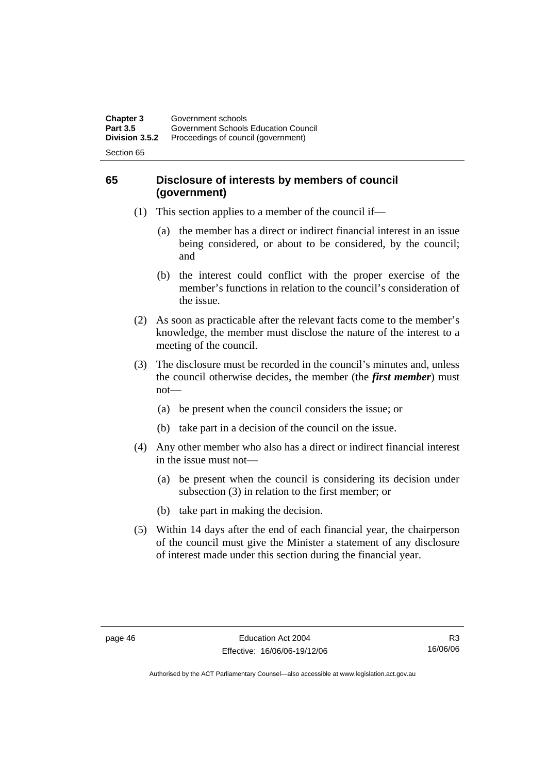### **65 Disclosure of interests by members of council (government)**

- (1) This section applies to a member of the council if—
	- (a) the member has a direct or indirect financial interest in an issue being considered, or about to be considered, by the council; and
	- (b) the interest could conflict with the proper exercise of the member's functions in relation to the council's consideration of the issue.
- (2) As soon as practicable after the relevant facts come to the member's knowledge, the member must disclose the nature of the interest to a meeting of the council.
- (3) The disclosure must be recorded in the council's minutes and, unless the council otherwise decides, the member (the *first member*) must not—
	- (a) be present when the council considers the issue; or
	- (b) take part in a decision of the council on the issue.
- (4) Any other member who also has a direct or indirect financial interest in the issue must not—
	- (a) be present when the council is considering its decision under subsection (3) in relation to the first member; or
	- (b) take part in making the decision.
- (5) Within 14 days after the end of each financial year, the chairperson of the council must give the Minister a statement of any disclosure of interest made under this section during the financial year.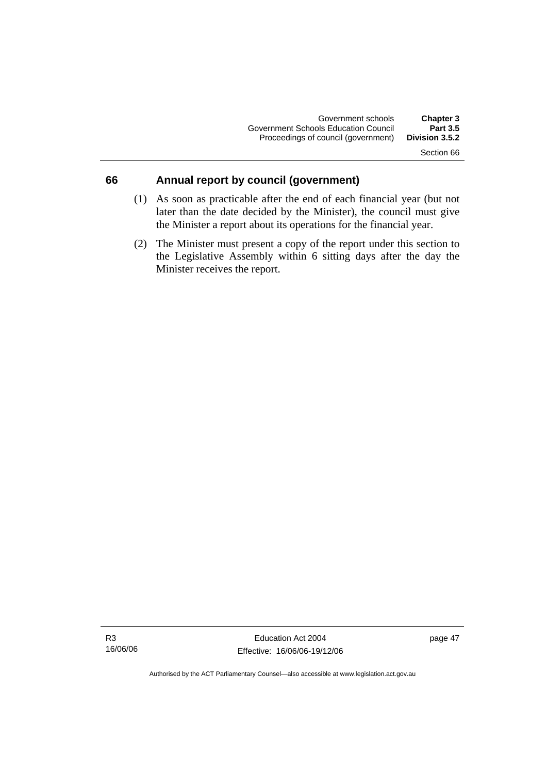### **66 Annual report by council (government)**

- (1) As soon as practicable after the end of each financial year (but not later than the date decided by the Minister), the council must give the Minister a report about its operations for the financial year.
- (2) The Minister must present a copy of the report under this section to the Legislative Assembly within 6 sitting days after the day the Minister receives the report.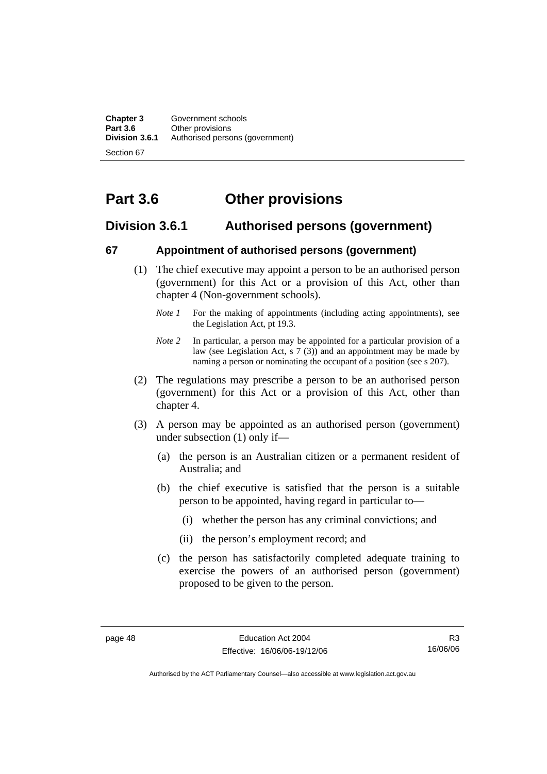**Chapter 3** Government schools<br> **Part 3.6** Other provisions **Part 3.6 Other provisions**<br>**Division 3.6.1** Authorised person Authorised persons (government)

Section 67

# **Part 3.6 Other provisions**

### **Division 3.6.1 Authorised persons (government)**

### **67 Appointment of authorised persons (government)**

- (1) The chief executive may appoint a person to be an authorised person (government) for this Act or a provision of this Act, other than chapter 4 (Non-government schools).
	- *Note 1* For the making of appointments (including acting appointments), see the Legislation Act, pt 19.3.
	- *Note 2* In particular, a person may be appointed for a particular provision of a law (see Legislation Act, s 7 (3)) and an appointment may be made by naming a person or nominating the occupant of a position (see s 207).
- (2) The regulations may prescribe a person to be an authorised person (government) for this Act or a provision of this Act, other than chapter 4.
- (3) A person may be appointed as an authorised person (government) under subsection (1) only if—
	- (a) the person is an Australian citizen or a permanent resident of Australia; and
	- (b) the chief executive is satisfied that the person is a suitable person to be appointed, having regard in particular to—
		- (i) whether the person has any criminal convictions; and
		- (ii) the person's employment record; and
	- (c) the person has satisfactorily completed adequate training to exercise the powers of an authorised person (government) proposed to be given to the person.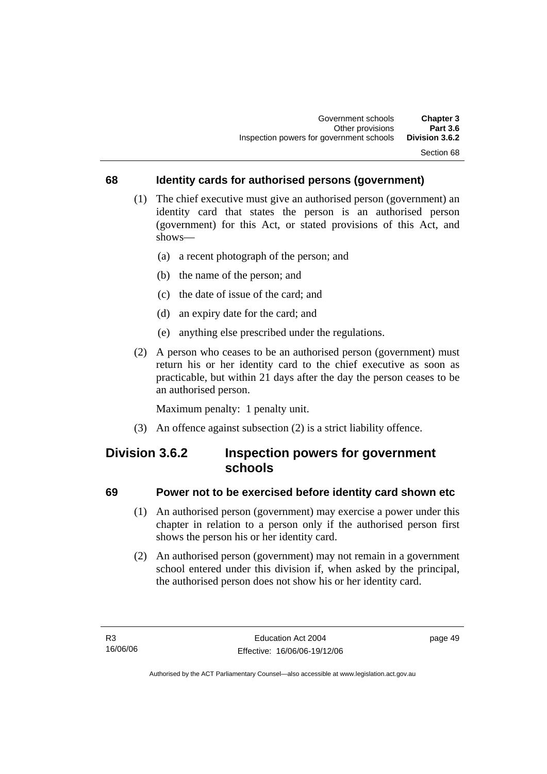### **68 Identity cards for authorised persons (government)**

- (1) The chief executive must give an authorised person (government) an identity card that states the person is an authorised person (government) for this Act, or stated provisions of this Act, and shows—
	- (a) a recent photograph of the person; and
	- (b) the name of the person; and
	- (c) the date of issue of the card; and
	- (d) an expiry date for the card; and
	- (e) anything else prescribed under the regulations.
- (2) A person who ceases to be an authorised person (government) must return his or her identity card to the chief executive as soon as practicable, but within 21 days after the day the person ceases to be an authorised person.

Maximum penalty: 1 penalty unit.

(3) An offence against subsection (2) is a strict liability offence.

# **Division 3.6.2 Inspection powers for government schools**

#### **69 Power not to be exercised before identity card shown etc**

- (1) An authorised person (government) may exercise a power under this chapter in relation to a person only if the authorised person first shows the person his or her identity card.
- (2) An authorised person (government) may not remain in a government school entered under this division if, when asked by the principal, the authorised person does not show his or her identity card.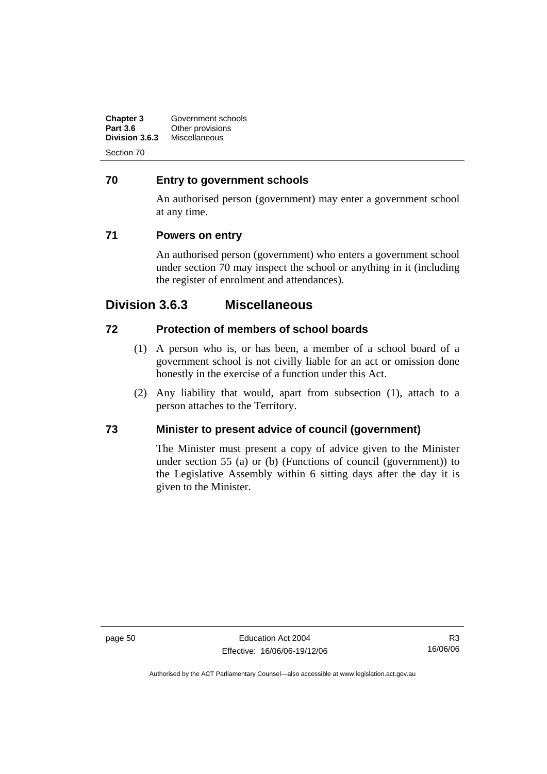| Chapter 3       | Government schools |
|-----------------|--------------------|
| <b>Part 3.6</b> | Other provisions   |
| Division 3.6.3  | Miscellaneous      |
|                 |                    |

### **70 Entry to government schools**

An authorised person (government) may enter a government school at any time.

### **71 Powers on entry**

An authorised person (government) who enters a government school under section 70 may inspect the school or anything in it (including the register of enrolment and attendances).

# **Division 3.6.3 Miscellaneous**

### **72 Protection of members of school boards**

- (1) A person who is, or has been, a member of a school board of a government school is not civilly liable for an act or omission done honestly in the exercise of a function under this Act.
- (2) Any liability that would, apart from subsection (1), attach to a person attaches to the Territory.

### **73 Minister to present advice of council (government)**

The Minister must present a copy of advice given to the Minister under section 55 (a) or (b) (Functions of council (government)) to the Legislative Assembly within 6 sitting days after the day it is given to the Minister.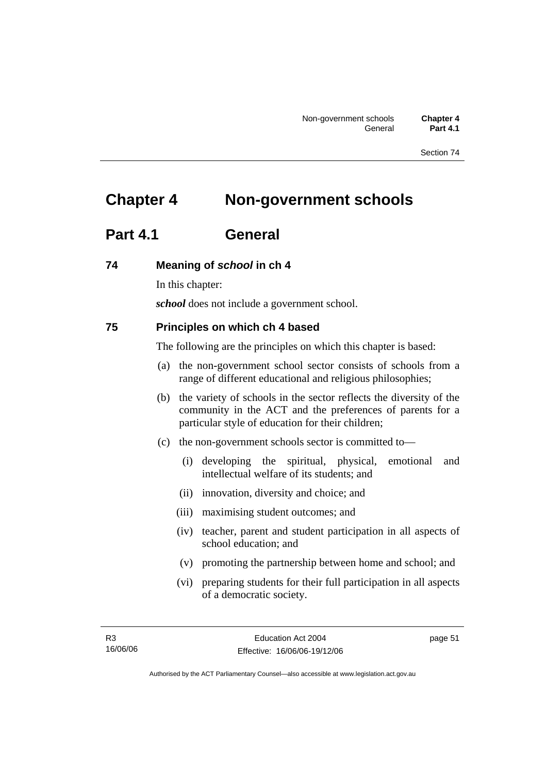# **Chapter 4 Non-government schools**

# **Part 4.1 General**

### **74 Meaning of** *school* **in ch 4**

In this chapter:

*school* does not include a government school.

### **75 Principles on which ch 4 based**

The following are the principles on which this chapter is based:

- (a) the non-government school sector consists of schools from a range of different educational and religious philosophies;
- (b) the variety of schools in the sector reflects the diversity of the community in the ACT and the preferences of parents for a particular style of education for their children;
- (c) the non-government schools sector is committed to—
	- (i) developing the spiritual, physical, emotional and intellectual welfare of its students; and
	- (ii) innovation, diversity and choice; and
	- (iii) maximising student outcomes; and
	- (iv) teacher, parent and student participation in all aspects of school education; and
	- (v) promoting the partnership between home and school; and
	- (vi) preparing students for their full participation in all aspects of a democratic society.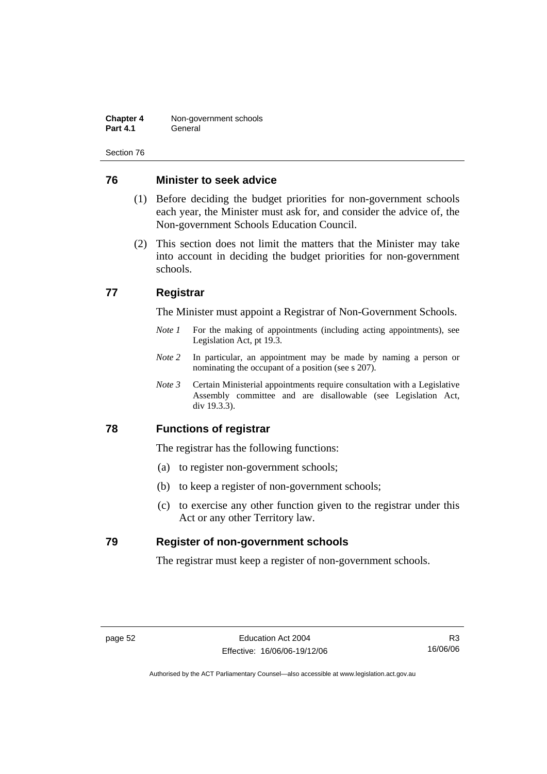**Chapter 4 Non-government schools**<br>**Part 4.1 General Part 4.1** General

Section 76

### **76 Minister to seek advice**

- (1) Before deciding the budget priorities for non-government schools each year, the Minister must ask for, and consider the advice of, the Non-government Schools Education Council.
- (2) This section does not limit the matters that the Minister may take into account in deciding the budget priorities for non-government schools.

### **77 Registrar**

The Minister must appoint a Registrar of Non-Government Schools.

- *Note 1* For the making of appointments (including acting appointments), see Legislation Act, pt 19.3.
- *Note 2* In particular, an appointment may be made by naming a person or nominating the occupant of a position (see s 207).
- *Note 3* Certain Ministerial appointments require consultation with a Legislative Assembly committee and are disallowable (see Legislation Act, div 19.3.3).

### **78 Functions of registrar**

The registrar has the following functions:

- (a) to register non-government schools;
- (b) to keep a register of non-government schools;
- (c) to exercise any other function given to the registrar under this Act or any other Territory law.

### **79 Register of non-government schools**

The registrar must keep a register of non-government schools.

R3 16/06/06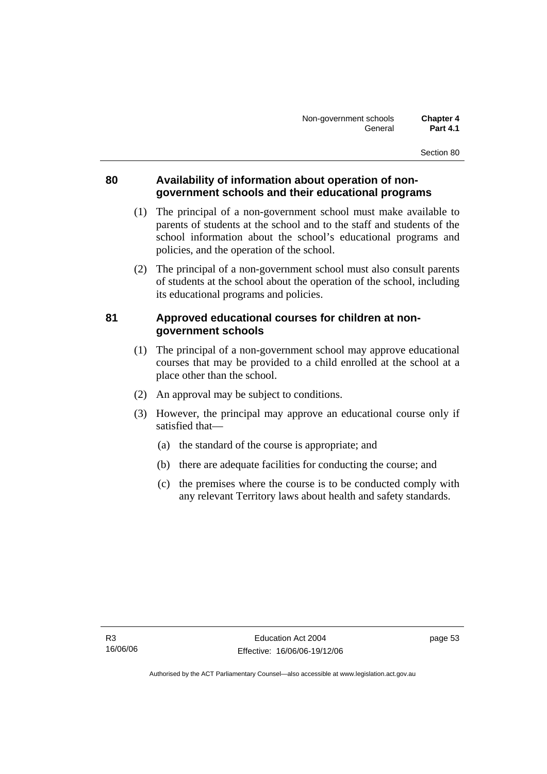### **80 Availability of information about operation of nongovernment schools and their educational programs**

- (1) The principal of a non-government school must make available to parents of students at the school and to the staff and students of the school information about the school's educational programs and policies, and the operation of the school.
- (2) The principal of a non-government school must also consult parents of students at the school about the operation of the school, including its educational programs and policies.

### **81 Approved educational courses for children at nongovernment schools**

- (1) The principal of a non-government school may approve educational courses that may be provided to a child enrolled at the school at a place other than the school.
- (2) An approval may be subject to conditions.
- (3) However, the principal may approve an educational course only if satisfied that—
	- (a) the standard of the course is appropriate; and
	- (b) there are adequate facilities for conducting the course; and
	- (c) the premises where the course is to be conducted comply with any relevant Territory laws about health and safety standards.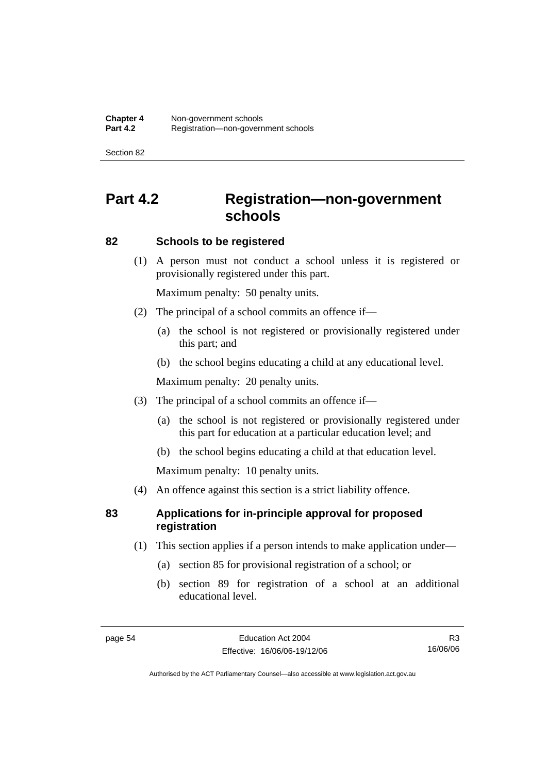# **Part 4.2 Registration—non-government schools**

#### **82 Schools to be registered**

 (1) A person must not conduct a school unless it is registered or provisionally registered under this part.

Maximum penalty: 50 penalty units.

- (2) The principal of a school commits an offence if—
	- (a) the school is not registered or provisionally registered under this part; and
	- (b) the school begins educating a child at any educational level.

Maximum penalty: 20 penalty units.

- (3) The principal of a school commits an offence if—
	- (a) the school is not registered or provisionally registered under this part for education at a particular education level; and
	- (b) the school begins educating a child at that education level.

Maximum penalty: 10 penalty units.

(4) An offence against this section is a strict liability offence.

### **83 Applications for in-principle approval for proposed registration**

- (1) This section applies if a person intends to make application under—
	- (a) section 85 for provisional registration of a school; or
	- (b) section 89 for registration of a school at an additional educational level.

R3 16/06/06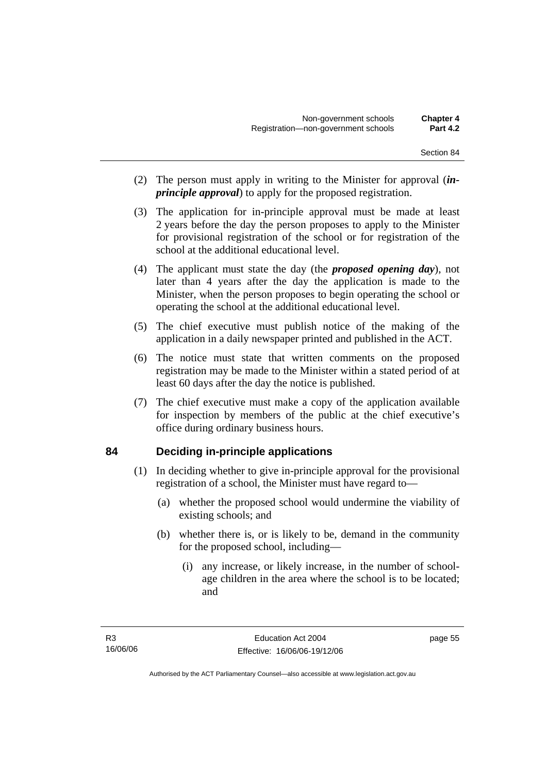- (2) The person must apply in writing to the Minister for approval (*inprinciple approval*) to apply for the proposed registration.
- (3) The application for in-principle approval must be made at least 2 years before the day the person proposes to apply to the Minister for provisional registration of the school or for registration of the school at the additional educational level.
- (4) The applicant must state the day (the *proposed opening day*), not later than 4 years after the day the application is made to the Minister, when the person proposes to begin operating the school or operating the school at the additional educational level.
- (5) The chief executive must publish notice of the making of the application in a daily newspaper printed and published in the ACT.
- (6) The notice must state that written comments on the proposed registration may be made to the Minister within a stated period of at least 60 days after the day the notice is published.
- (7) The chief executive must make a copy of the application available for inspection by members of the public at the chief executive's office during ordinary business hours.

### **84 Deciding in-principle applications**

- (1) In deciding whether to give in-principle approval for the provisional registration of a school, the Minister must have regard to—
	- (a) whether the proposed school would undermine the viability of existing schools; and
	- (b) whether there is, or is likely to be, demand in the community for the proposed school, including—
		- (i) any increase, or likely increase, in the number of schoolage children in the area where the school is to be located; and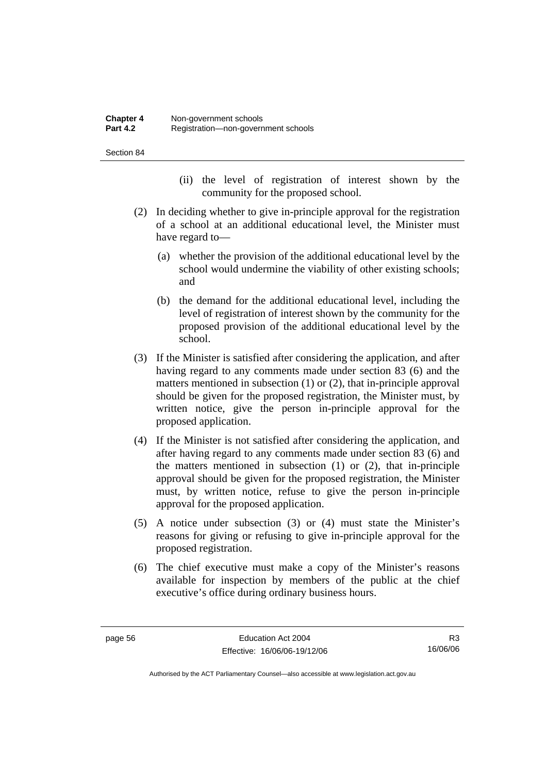- (ii) the level of registration of interest shown by the community for the proposed school.
- (2) In deciding whether to give in-principle approval for the registration of a school at an additional educational level, the Minister must have regard to—
	- (a) whether the provision of the additional educational level by the school would undermine the viability of other existing schools; and
	- (b) the demand for the additional educational level, including the level of registration of interest shown by the community for the proposed provision of the additional educational level by the school.
- (3) If the Minister is satisfied after considering the application, and after having regard to any comments made under section 83 (6) and the matters mentioned in subsection (1) or (2), that in-principle approval should be given for the proposed registration, the Minister must, by written notice, give the person in-principle approval for the proposed application.
- (4) If the Minister is not satisfied after considering the application, and after having regard to any comments made under section 83 (6) and the matters mentioned in subsection (1) or (2), that in-principle approval should be given for the proposed registration, the Minister must, by written notice, refuse to give the person in-principle approval for the proposed application.
- (5) A notice under subsection (3) or (4) must state the Minister's reasons for giving or refusing to give in-principle approval for the proposed registration.
- (6) The chief executive must make a copy of the Minister's reasons available for inspection by members of the public at the chief executive's office during ordinary business hours.

R3 16/06/06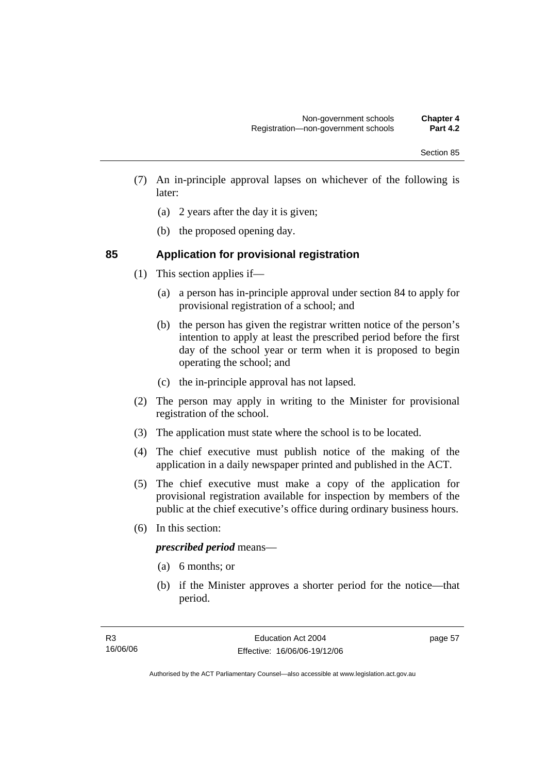- (7) An in-principle approval lapses on whichever of the following is later:
	- (a) 2 years after the day it is given;
	- (b) the proposed opening day.

### **85 Application for provisional registration**

- (1) This section applies if—
	- (a) a person has in-principle approval under section 84 to apply for provisional registration of a school; and
	- (b) the person has given the registrar written notice of the person's intention to apply at least the prescribed period before the first day of the school year or term when it is proposed to begin operating the school; and
	- (c) the in-principle approval has not lapsed.
- (2) The person may apply in writing to the Minister for provisional registration of the school.
- (3) The application must state where the school is to be located.
- (4) The chief executive must publish notice of the making of the application in a daily newspaper printed and published in the ACT.
- (5) The chief executive must make a copy of the application for provisional registration available for inspection by members of the public at the chief executive's office during ordinary business hours.
- (6) In this section:

### *prescribed period* means—

- (a) 6 months; or
- (b) if the Minister approves a shorter period for the notice—that period.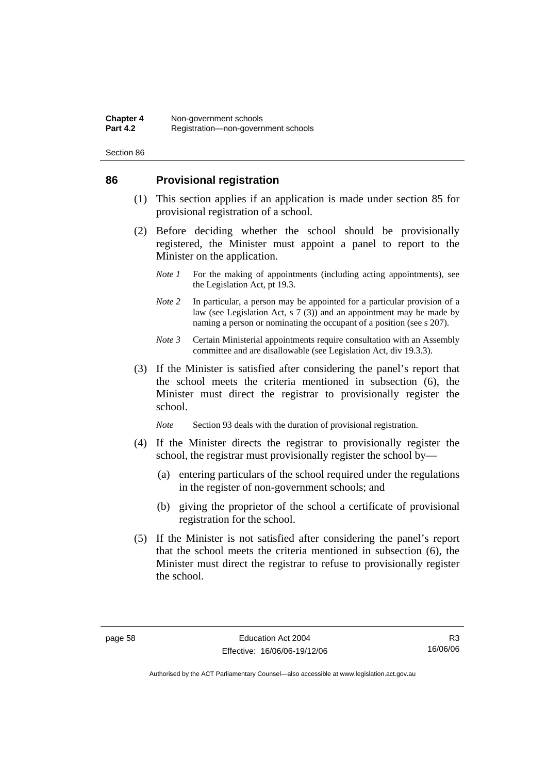#### **86 Provisional registration**

- (1) This section applies if an application is made under section 85 for provisional registration of a school.
- (2) Before deciding whether the school should be provisionally registered, the Minister must appoint a panel to report to the Minister on the application.
	- *Note 1* For the making of appointments (including acting appointments), see the Legislation Act, pt 19.3.
	- *Note* 2 In particular, a person may be appointed for a particular provision of a law (see Legislation Act, s 7 (3)) and an appointment may be made by naming a person or nominating the occupant of a position (see s 207).
	- *Note 3* Certain Ministerial appointments require consultation with an Assembly committee and are disallowable (see Legislation Act, div 19.3.3).
- (3) If the Minister is satisfied after considering the panel's report that the school meets the criteria mentioned in subsection (6), the Minister must direct the registrar to provisionally register the school.

*Note* Section 93 deals with the duration of provisional registration.

- (4) If the Minister directs the registrar to provisionally register the school, the registrar must provisionally register the school by—
	- (a) entering particulars of the school required under the regulations in the register of non-government schools; and
	- (b) giving the proprietor of the school a certificate of provisional registration for the school.
- (5) If the Minister is not satisfied after considering the panel's report that the school meets the criteria mentioned in subsection (6), the Minister must direct the registrar to refuse to provisionally register the school.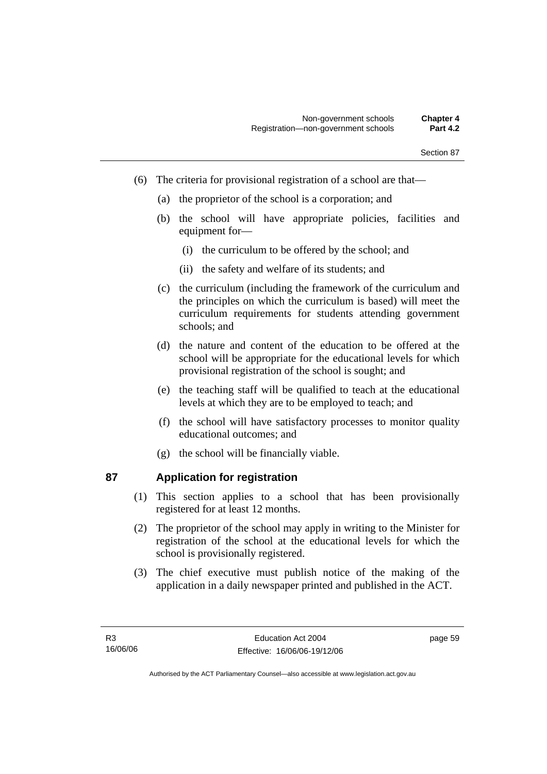- (6) The criteria for provisional registration of a school are that—
	- (a) the proprietor of the school is a corporation; and
	- (b) the school will have appropriate policies, facilities and equipment for—
		- (i) the curriculum to be offered by the school; and
		- (ii) the safety and welfare of its students; and
	- (c) the curriculum (including the framework of the curriculum and the principles on which the curriculum is based) will meet the curriculum requirements for students attending government schools; and
	- (d) the nature and content of the education to be offered at the school will be appropriate for the educational levels for which provisional registration of the school is sought; and
	- (e) the teaching staff will be qualified to teach at the educational levels at which they are to be employed to teach; and
	- (f) the school will have satisfactory processes to monitor quality educational outcomes; and
	- (g) the school will be financially viable.

### **87 Application for registration**

- (1) This section applies to a school that has been provisionally registered for at least 12 months.
- (2) The proprietor of the school may apply in writing to the Minister for registration of the school at the educational levels for which the school is provisionally registered.
- (3) The chief executive must publish notice of the making of the application in a daily newspaper printed and published in the ACT.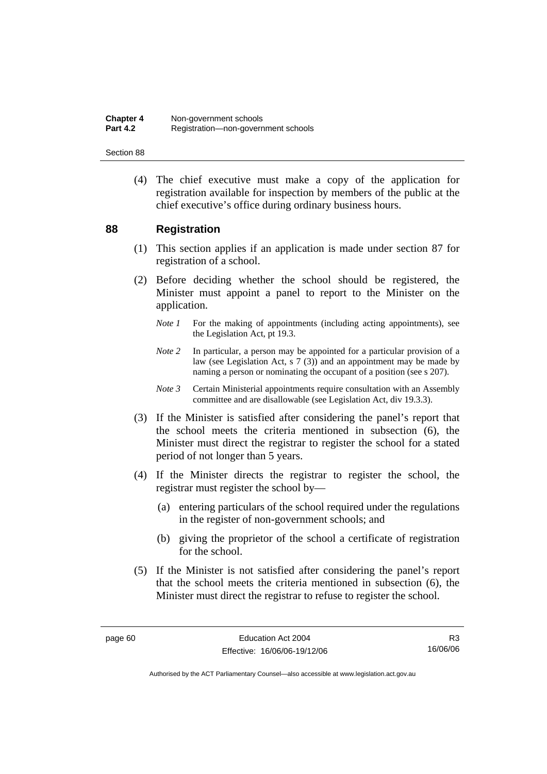**Chapter 4 Non-government schools**<br>**Part 4.2 Registration-pon-governed Part 4.2** Registration—non-government schools

Section 88

 (4) The chief executive must make a copy of the application for registration available for inspection by members of the public at the chief executive's office during ordinary business hours.

#### **88 Registration**

- (1) This section applies if an application is made under section 87 for registration of a school.
- (2) Before deciding whether the school should be registered, the Minister must appoint a panel to report to the Minister on the application.
	- *Note 1* For the making of appointments (including acting appointments), see the Legislation Act, pt 19.3.
	- *Note 2* In particular, a person may be appointed for a particular provision of a law (see Legislation Act, s 7 (3)) and an appointment may be made by naming a person or nominating the occupant of a position (see s 207).
	- *Note 3* Certain Ministerial appointments require consultation with an Assembly committee and are disallowable (see Legislation Act, div 19.3.3).
- (3) If the Minister is satisfied after considering the panel's report that the school meets the criteria mentioned in subsection (6), the Minister must direct the registrar to register the school for a stated period of not longer than 5 years.
- (4) If the Minister directs the registrar to register the school, the registrar must register the school by—
	- (a) entering particulars of the school required under the regulations in the register of non-government schools; and
	- (b) giving the proprietor of the school a certificate of registration for the school.
- (5) If the Minister is not satisfied after considering the panel's report that the school meets the criteria mentioned in subsection (6), the Minister must direct the registrar to refuse to register the school.

R3 16/06/06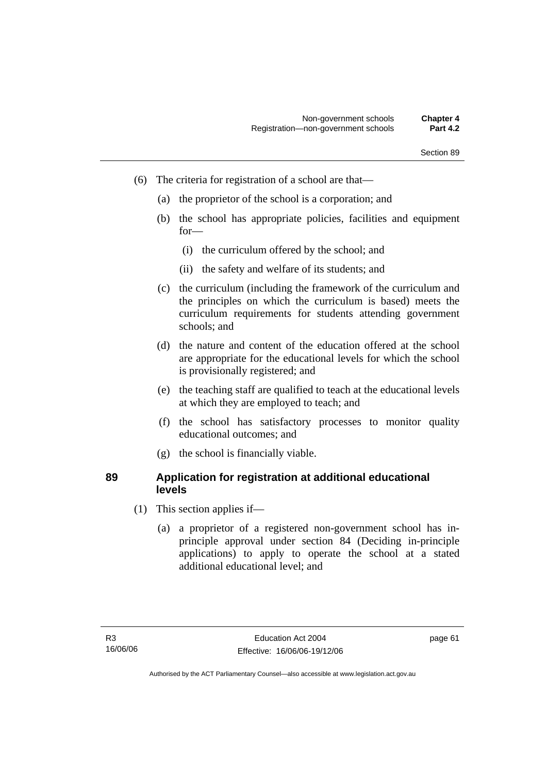- (6) The criteria for registration of a school are that—
	- (a) the proprietor of the school is a corporation; and
	- (b) the school has appropriate policies, facilities and equipment for—
		- (i) the curriculum offered by the school; and
		- (ii) the safety and welfare of its students; and
	- (c) the curriculum (including the framework of the curriculum and the principles on which the curriculum is based) meets the curriculum requirements for students attending government schools; and
	- (d) the nature and content of the education offered at the school are appropriate for the educational levels for which the school is provisionally registered; and
	- (e) the teaching staff are qualified to teach at the educational levels at which they are employed to teach; and
	- (f) the school has satisfactory processes to monitor quality educational outcomes; and
	- (g) the school is financially viable.

### **89 Application for registration at additional educational levels**

- (1) This section applies if—
	- (a) a proprietor of a registered non-government school has inprinciple approval under section 84 (Deciding in-principle applications) to apply to operate the school at a stated additional educational level; and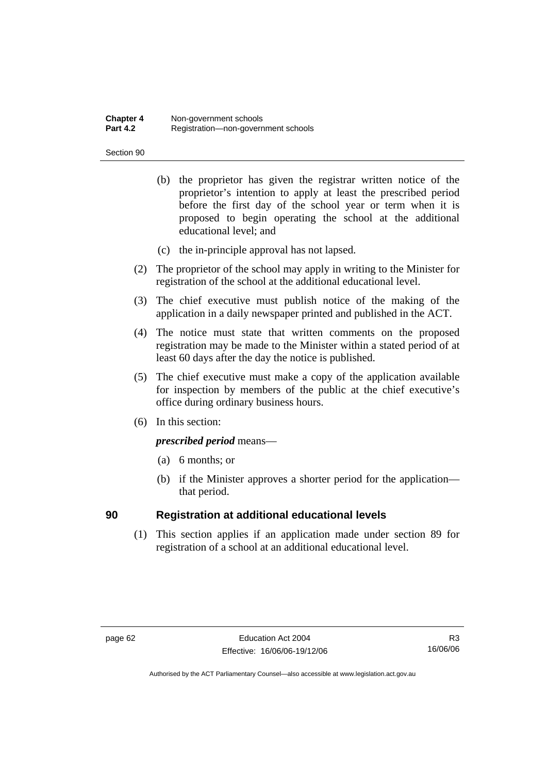#### **Chapter 4 Non-government schools**<br>**Part 4.2 Registration-pon-governed Part 4.2** Registration—non-government schools

#### Section 90

- (b) the proprietor has given the registrar written notice of the proprietor's intention to apply at least the prescribed period before the first day of the school year or term when it is proposed to begin operating the school at the additional educational level; and
- (c) the in-principle approval has not lapsed.
- (2) The proprietor of the school may apply in writing to the Minister for registration of the school at the additional educational level.
- (3) The chief executive must publish notice of the making of the application in a daily newspaper printed and published in the ACT.
- (4) The notice must state that written comments on the proposed registration may be made to the Minister within a stated period of at least 60 days after the day the notice is published.
- (5) The chief executive must make a copy of the application available for inspection by members of the public at the chief executive's office during ordinary business hours.
- (6) In this section:

*prescribed period* means—

- (a) 6 months; or
- (b) if the Minister approves a shorter period for the application that period.

### **90 Registration at additional educational levels**

 (1) This section applies if an application made under section 89 for registration of a school at an additional educational level.

R3 16/06/06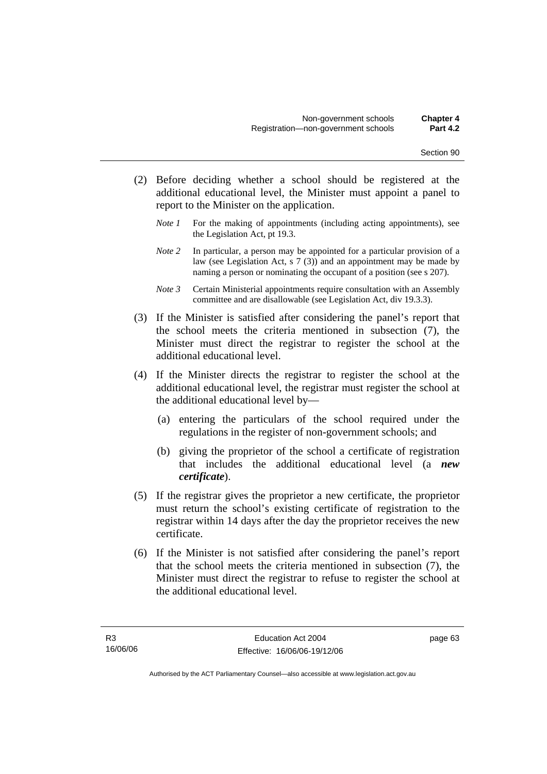- (2) Before deciding whether a school should be registered at the additional educational level, the Minister must appoint a panel to report to the Minister on the application.
	- *Note 1* For the making of appointments (including acting appointments), see the Legislation Act, pt 19.3.
	- *Note 2* In particular, a person may be appointed for a particular provision of a law (see Legislation Act, s 7 (3)) and an appointment may be made by naming a person or nominating the occupant of a position (see s 207).
	- *Note 3* Certain Ministerial appointments require consultation with an Assembly committee and are disallowable (see Legislation Act, div 19.3.3).
- (3) If the Minister is satisfied after considering the panel's report that the school meets the criteria mentioned in subsection (7), the Minister must direct the registrar to register the school at the additional educational level.
- (4) If the Minister directs the registrar to register the school at the additional educational level, the registrar must register the school at the additional educational level by—
	- (a) entering the particulars of the school required under the regulations in the register of non-government schools; and
	- (b) giving the proprietor of the school a certificate of registration that includes the additional educational level (a *new certificate*).
- (5) If the registrar gives the proprietor a new certificate, the proprietor must return the school's existing certificate of registration to the registrar within 14 days after the day the proprietor receives the new certificate.
- (6) If the Minister is not satisfied after considering the panel's report that the school meets the criteria mentioned in subsection (7), the Minister must direct the registrar to refuse to register the school at the additional educational level.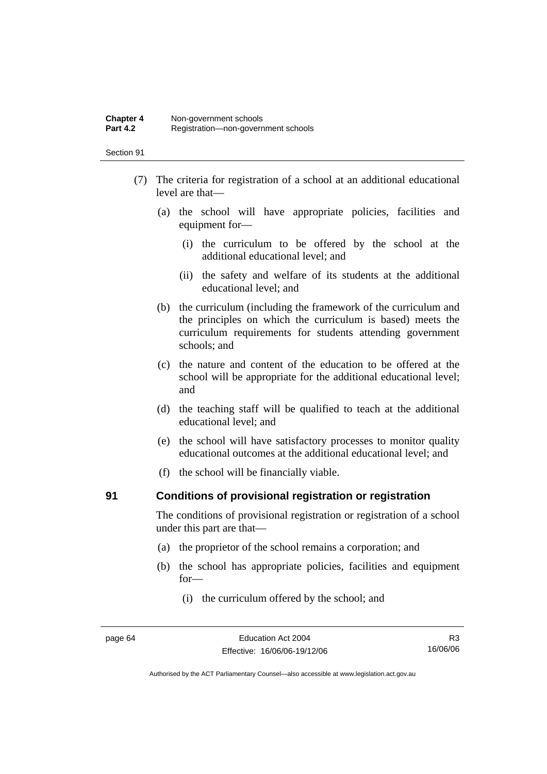#### **Chapter 4 Non-government schools**<br>**Part 4.2 Registration-pon-governed Part 4.2** Registration—non-government schools

#### Section 91

- (7) The criteria for registration of a school at an additional educational level are that—
	- (a) the school will have appropriate policies, facilities and equipment for—
		- (i) the curriculum to be offered by the school at the additional educational level; and
		- (ii) the safety and welfare of its students at the additional educational level; and
	- (b) the curriculum (including the framework of the curriculum and the principles on which the curriculum is based) meets the curriculum requirements for students attending government schools; and
	- (c) the nature and content of the education to be offered at the school will be appropriate for the additional educational level; and
	- (d) the teaching staff will be qualified to teach at the additional educational level; and
	- (e) the school will have satisfactory processes to monitor quality educational outcomes at the additional educational level; and
	- (f) the school will be financially viable.

#### **91 Conditions of provisional registration or registration**

The conditions of provisional registration or registration of a school under this part are that—

- (a) the proprietor of the school remains a corporation; and
- (b) the school has appropriate policies, facilities and equipment for—
	- (i) the curriculum offered by the school; and

R3 16/06/06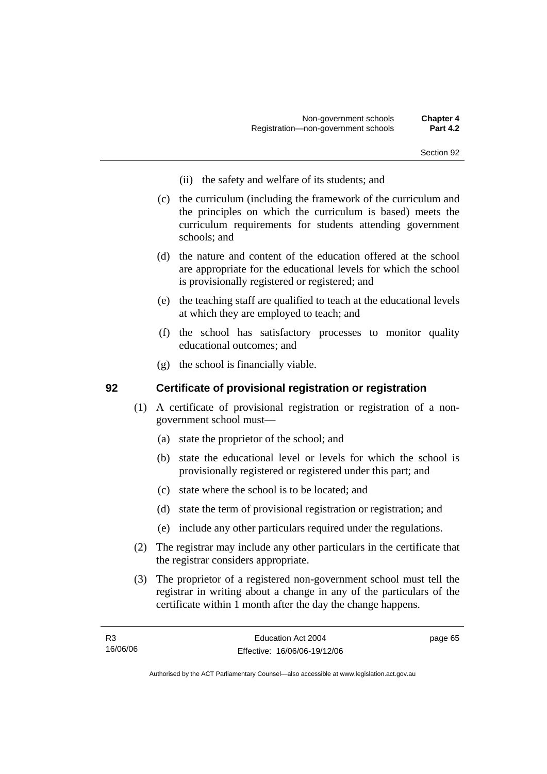- (ii) the safety and welfare of its students; and
- (c) the curriculum (including the framework of the curriculum and the principles on which the curriculum is based) meets the curriculum requirements for students attending government schools; and
- (d) the nature and content of the education offered at the school are appropriate for the educational levels for which the school is provisionally registered or registered; and
- (e) the teaching staff are qualified to teach at the educational levels at which they are employed to teach; and
- (f) the school has satisfactory processes to monitor quality educational outcomes; and
- (g) the school is financially viable.

### **92 Certificate of provisional registration or registration**

- (1) A certificate of provisional registration or registration of a nongovernment school must—
	- (a) state the proprietor of the school; and
	- (b) state the educational level or levels for which the school is provisionally registered or registered under this part; and
	- (c) state where the school is to be located; and
	- (d) state the term of provisional registration or registration; and
	- (e) include any other particulars required under the regulations.
- (2) The registrar may include any other particulars in the certificate that the registrar considers appropriate.
- (3) The proprietor of a registered non-government school must tell the registrar in writing about a change in any of the particulars of the certificate within 1 month after the day the change happens.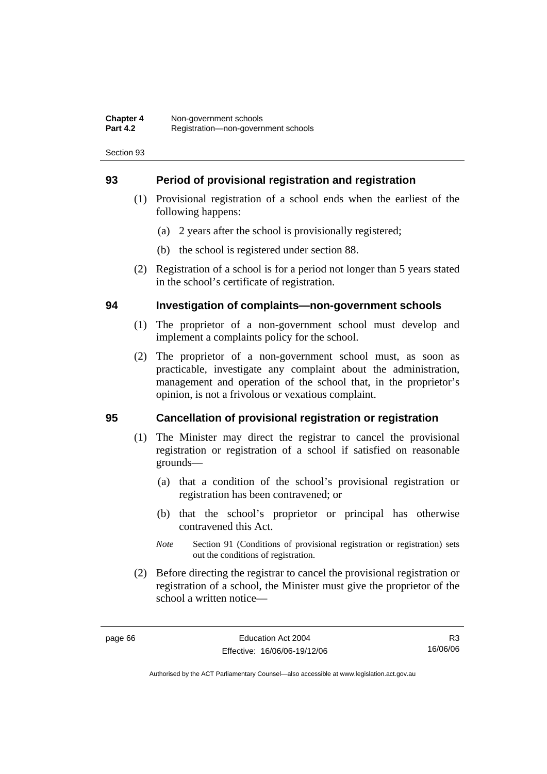## **93 Period of provisional registration and registration**

- (1) Provisional registration of a school ends when the earliest of the following happens:
	- (a) 2 years after the school is provisionally registered;
	- (b) the school is registered under section 88.
- (2) Registration of a school is for a period not longer than 5 years stated in the school's certificate of registration.

### **94 Investigation of complaints—non-government schools**

- (1) The proprietor of a non-government school must develop and implement a complaints policy for the school.
- (2) The proprietor of a non-government school must, as soon as practicable, investigate any complaint about the administration, management and operation of the school that, in the proprietor's opinion, is not a frivolous or vexatious complaint.

# **95 Cancellation of provisional registration or registration**

- (1) The Minister may direct the registrar to cancel the provisional registration or registration of a school if satisfied on reasonable grounds—
	- (a) that a condition of the school's provisional registration or registration has been contravened; or
	- (b) that the school's proprietor or principal has otherwise contravened this Act.
	- *Note* Section 91 (Conditions of provisional registration or registration) sets out the conditions of registration.
- (2) Before directing the registrar to cancel the provisional registration or registration of a school, the Minister must give the proprietor of the school a written notice—

R3 16/06/06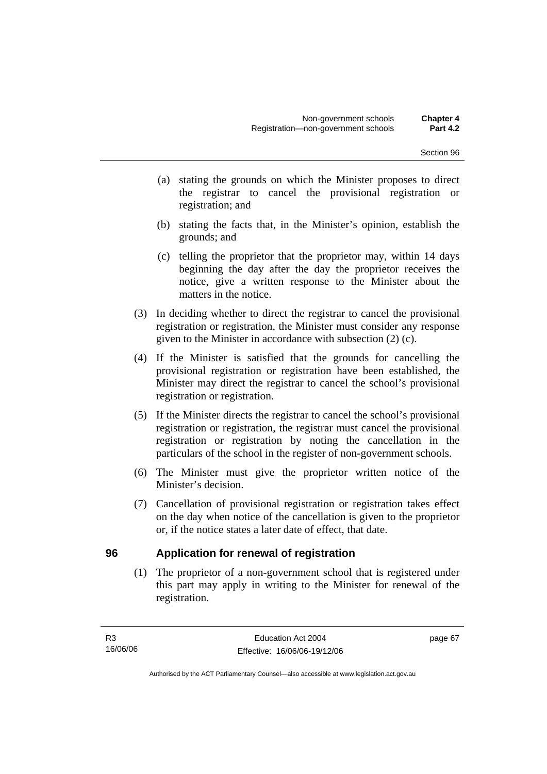- (a) stating the grounds on which the Minister proposes to direct the registrar to cancel the provisional registration or registration; and
- (b) stating the facts that, in the Minister's opinion, establish the grounds; and
- (c) telling the proprietor that the proprietor may, within 14 days beginning the day after the day the proprietor receives the notice, give a written response to the Minister about the matters in the notice.
- (3) In deciding whether to direct the registrar to cancel the provisional registration or registration, the Minister must consider any response given to the Minister in accordance with subsection (2) (c).
- (4) If the Minister is satisfied that the grounds for cancelling the provisional registration or registration have been established, the Minister may direct the registrar to cancel the school's provisional registration or registration.
- (5) If the Minister directs the registrar to cancel the school's provisional registration or registration, the registrar must cancel the provisional registration or registration by noting the cancellation in the particulars of the school in the register of non-government schools.
- (6) The Minister must give the proprietor written notice of the Minister's decision.
- (7) Cancellation of provisional registration or registration takes effect on the day when notice of the cancellation is given to the proprietor or, if the notice states a later date of effect, that date.

# **96 Application for renewal of registration**

 (1) The proprietor of a non-government school that is registered under this part may apply in writing to the Minister for renewal of the registration.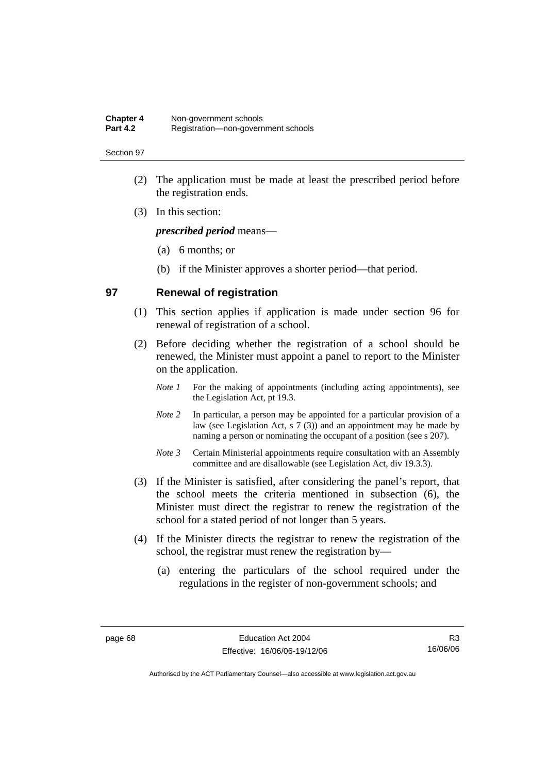- (2) The application must be made at least the prescribed period before the registration ends.
- (3) In this section:

*prescribed period* means—

- (a) 6 months; or
- (b) if the Minister approves a shorter period—that period.

#### **97 Renewal of registration**

- (1) This section applies if application is made under section 96 for renewal of registration of a school.
- (2) Before deciding whether the registration of a school should be renewed, the Minister must appoint a panel to report to the Minister on the application.
	- *Note 1* For the making of appointments (including acting appointments), see the Legislation Act, pt 19.3.
	- *Note* 2 In particular, a person may be appointed for a particular provision of a law (see Legislation Act, s 7 (3)) and an appointment may be made by naming a person or nominating the occupant of a position (see s 207).
	- *Note 3* Certain Ministerial appointments require consultation with an Assembly committee and are disallowable (see Legislation Act, div 19.3.3).
- (3) If the Minister is satisfied, after considering the panel's report, that the school meets the criteria mentioned in subsection (6), the Minister must direct the registrar to renew the registration of the school for a stated period of not longer than 5 years.
- (4) If the Minister directs the registrar to renew the registration of the school, the registrar must renew the registration by—
	- (a) entering the particulars of the school required under the regulations in the register of non-government schools; and

R3 16/06/06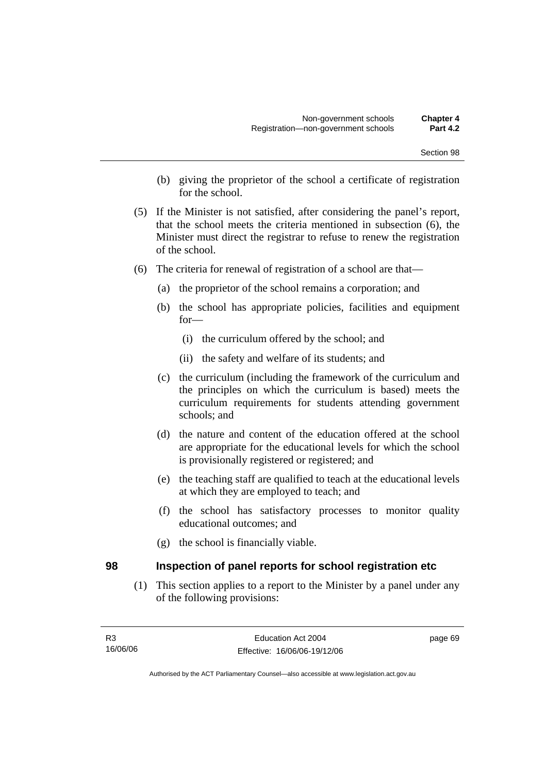- (b) giving the proprietor of the school a certificate of registration for the school.
- (5) If the Minister is not satisfied, after considering the panel's report, that the school meets the criteria mentioned in subsection (6), the Minister must direct the registrar to refuse to renew the registration of the school.
- (6) The criteria for renewal of registration of a school are that—
	- (a) the proprietor of the school remains a corporation; and
	- (b) the school has appropriate policies, facilities and equipment for—
		- (i) the curriculum offered by the school; and
		- (ii) the safety and welfare of its students; and
	- (c) the curriculum (including the framework of the curriculum and the principles on which the curriculum is based) meets the curriculum requirements for students attending government schools; and
	- (d) the nature and content of the education offered at the school are appropriate for the educational levels for which the school is provisionally registered or registered; and
	- (e) the teaching staff are qualified to teach at the educational levels at which they are employed to teach; and
	- (f) the school has satisfactory processes to monitor quality educational outcomes; and
	- (g) the school is financially viable.

#### **98 Inspection of panel reports for school registration etc**

 (1) This section applies to a report to the Minister by a panel under any of the following provisions: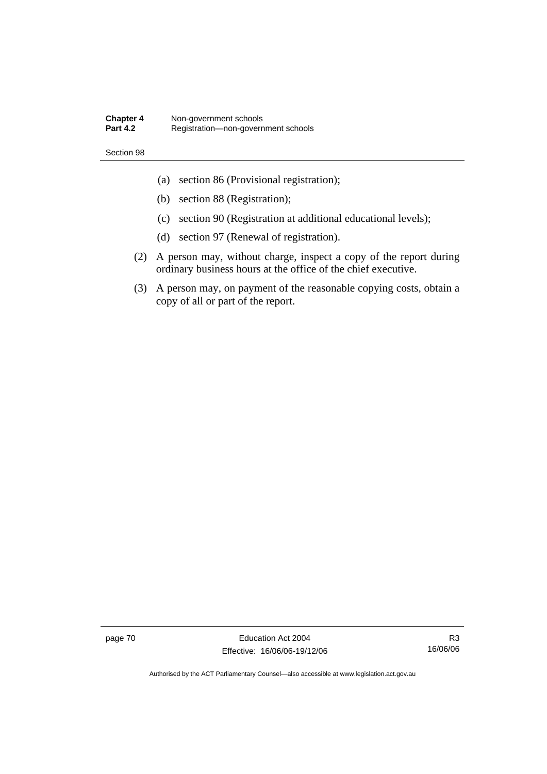#### **Chapter 4 Non-government schools**<br>**Part 4.2 Registration—non-govern Part 4.2** Registration—non-government schools

#### Section 98

- (a) section 86 (Provisional registration);
- (b) section 88 (Registration);
- (c) section 90 (Registration at additional educational levels);
- (d) section 97 (Renewal of registration).
- (2) A person may, without charge, inspect a copy of the report during ordinary business hours at the office of the chief executive.
- (3) A person may, on payment of the reasonable copying costs, obtain a copy of all or part of the report.

page 70 **Education Act 2004** Effective: 16/06/06-19/12/06

R3 16/06/06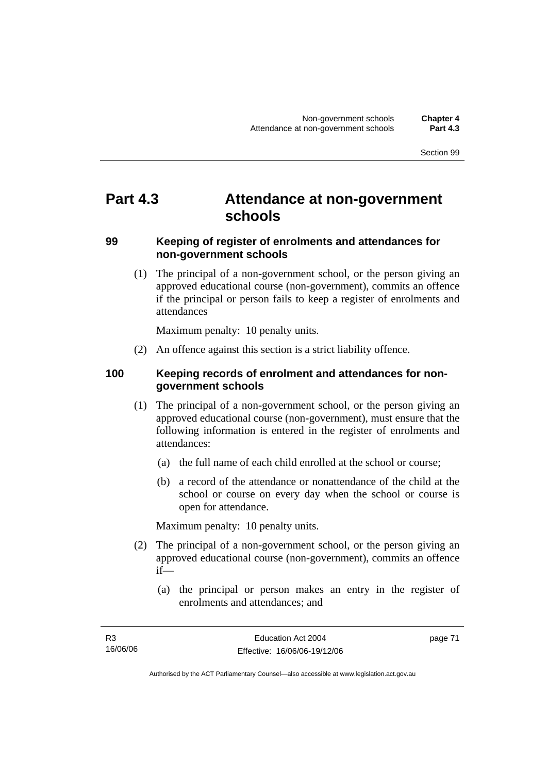# **Part 4.3 Attendance at non-government schools**

# **99 Keeping of register of enrolments and attendances for non-government schools**

 (1) The principal of a non-government school, or the person giving an approved educational course (non-government), commits an offence if the principal or person fails to keep a register of enrolments and attendances

Maximum penalty: 10 penalty units.

(2) An offence against this section is a strict liability offence.

## **100 Keeping records of enrolment and attendances for nongovernment schools**

- (1) The principal of a non-government school, or the person giving an approved educational course (non-government), must ensure that the following information is entered in the register of enrolments and attendances:
	- (a) the full name of each child enrolled at the school or course;
	- (b) a record of the attendance or nonattendance of the child at the school or course on every day when the school or course is open for attendance.

Maximum penalty: 10 penalty units.

- (2) The principal of a non-government school, or the person giving an approved educational course (non-government), commits an offence if—
	- (a) the principal or person makes an entry in the register of enrolments and attendances; and

Authorised by the ACT Parliamentary Counsel—also accessible at www.legislation.act.gov.au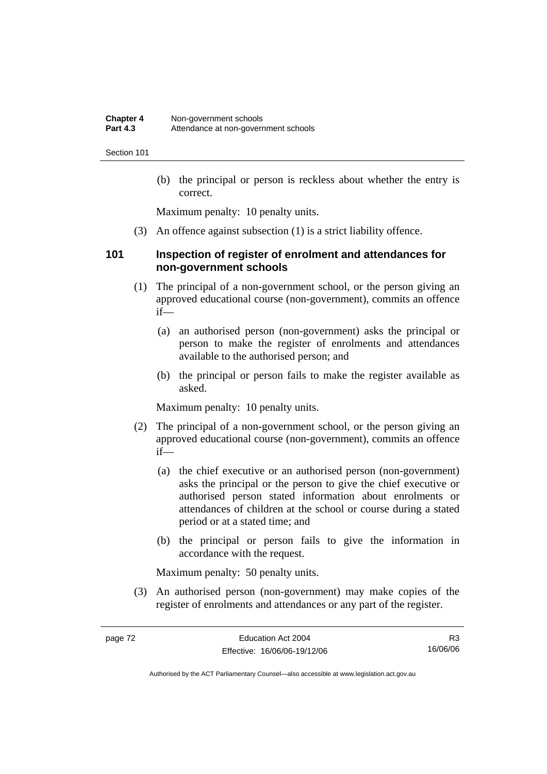(b) the principal or person is reckless about whether the entry is correct.

Maximum penalty: 10 penalty units.

(3) An offence against subsection (1) is a strict liability offence.

### **101 Inspection of register of enrolment and attendances for non-government schools**

- (1) The principal of a non-government school, or the person giving an approved educational course (non-government), commits an offence if—
	- (a) an authorised person (non-government) asks the principal or person to make the register of enrolments and attendances available to the authorised person; and
	- (b) the principal or person fails to make the register available as asked.

Maximum penalty: 10 penalty units.

- (2) The principal of a non-government school, or the person giving an approved educational course (non-government), commits an offence if—
	- (a) the chief executive or an authorised person (non-government) asks the principal or the person to give the chief executive or authorised person stated information about enrolments or attendances of children at the school or course during a stated period or at a stated time; and
	- (b) the principal or person fails to give the information in accordance with the request.

Maximum penalty: 50 penalty units.

 (3) An authorised person (non-government) may make copies of the register of enrolments and attendances or any part of the register.

R3 16/06/06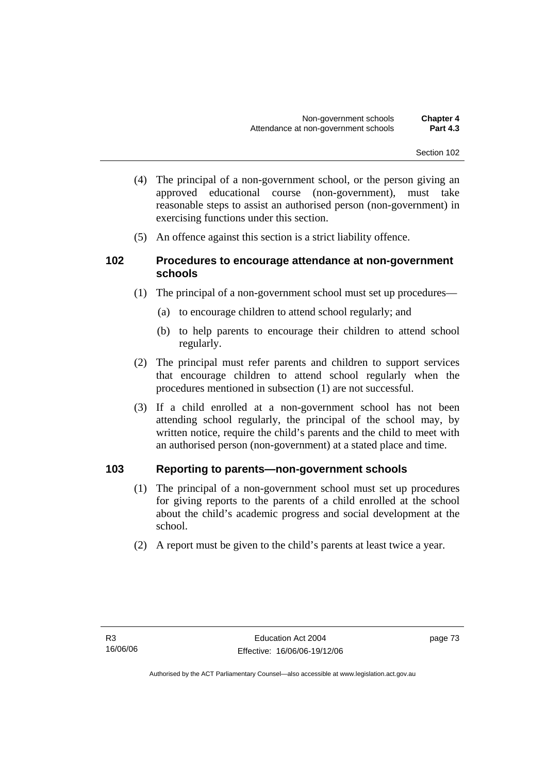- (4) The principal of a non-government school, or the person giving an approved educational course (non-government), must take reasonable steps to assist an authorised person (non-government) in exercising functions under this section.
- (5) An offence against this section is a strict liability offence.

## **102 Procedures to encourage attendance at non-government schools**

- (1) The principal of a non-government school must set up procedures—
	- (a) to encourage children to attend school regularly; and
	- (b) to help parents to encourage their children to attend school regularly.
- (2) The principal must refer parents and children to support services that encourage children to attend school regularly when the procedures mentioned in subsection (1) are not successful.
- (3) If a child enrolled at a non-government school has not been attending school regularly, the principal of the school may, by written notice, require the child's parents and the child to meet with an authorised person (non-government) at a stated place and time.

# **103 Reporting to parents—non-government schools**

- (1) The principal of a non-government school must set up procedures for giving reports to the parents of a child enrolled at the school about the child's academic progress and social development at the school.
- (2) A report must be given to the child's parents at least twice a year.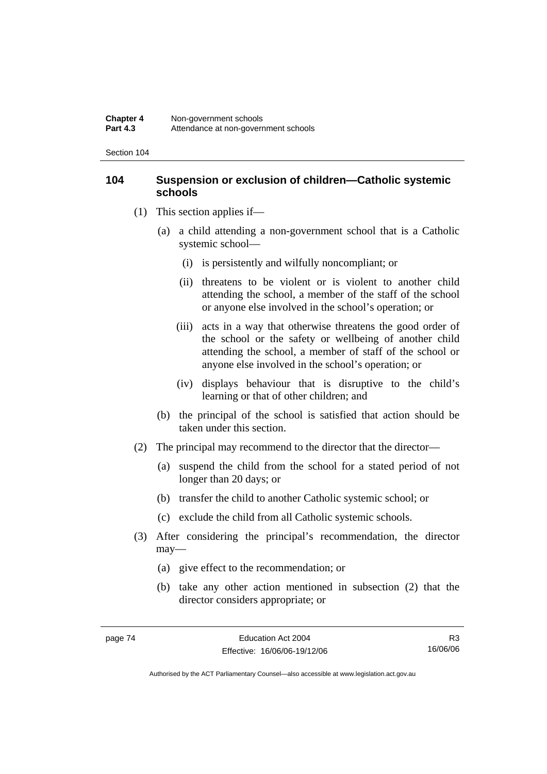## **104 Suspension or exclusion of children—Catholic systemic schools**

- (1) This section applies if—
	- (a) a child attending a non-government school that is a Catholic systemic school—
		- (i) is persistently and wilfully noncompliant; or
		- (ii) threatens to be violent or is violent to another child attending the school, a member of the staff of the school or anyone else involved in the school's operation; or
		- (iii) acts in a way that otherwise threatens the good order of the school or the safety or wellbeing of another child attending the school, a member of staff of the school or anyone else involved in the school's operation; or
		- (iv) displays behaviour that is disruptive to the child's learning or that of other children; and
	- (b) the principal of the school is satisfied that action should be taken under this section.
- (2) The principal may recommend to the director that the director—
	- (a) suspend the child from the school for a stated period of not longer than 20 days; or
	- (b) transfer the child to another Catholic systemic school; or
	- (c) exclude the child from all Catholic systemic schools.
- (3) After considering the principal's recommendation, the director may—
	- (a) give effect to the recommendation; or
	- (b) take any other action mentioned in subsection (2) that the director considers appropriate; or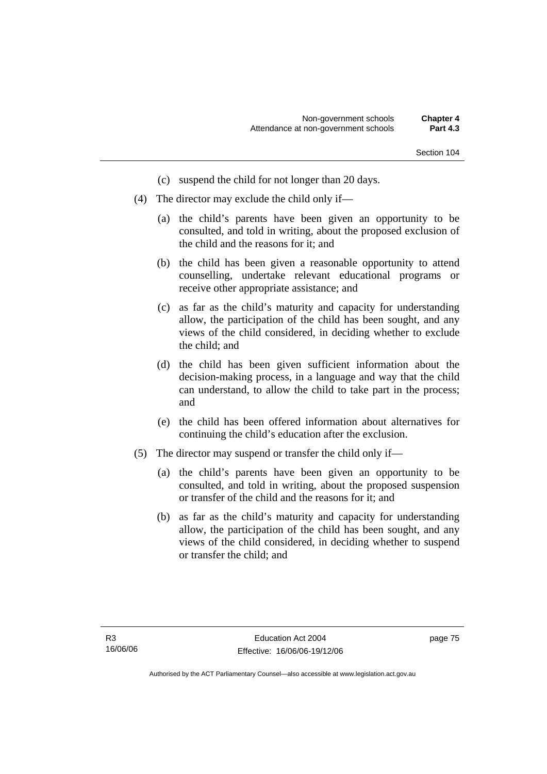- (c) suspend the child for not longer than 20 days.
- (4) The director may exclude the child only if—
	- (a) the child's parents have been given an opportunity to be consulted, and told in writing, about the proposed exclusion of the child and the reasons for it; and
	- (b) the child has been given a reasonable opportunity to attend counselling, undertake relevant educational programs or receive other appropriate assistance; and
	- (c) as far as the child's maturity and capacity for understanding allow, the participation of the child has been sought, and any views of the child considered, in deciding whether to exclude the child; and
	- (d) the child has been given sufficient information about the decision-making process, in a language and way that the child can understand, to allow the child to take part in the process; and
	- (e) the child has been offered information about alternatives for continuing the child's education after the exclusion.
- (5) The director may suspend or transfer the child only if—
	- (a) the child's parents have been given an opportunity to be consulted, and told in writing, about the proposed suspension or transfer of the child and the reasons for it; and
	- (b) as far as the child's maturity and capacity for understanding allow, the participation of the child has been sought, and any views of the child considered, in deciding whether to suspend or transfer the child; and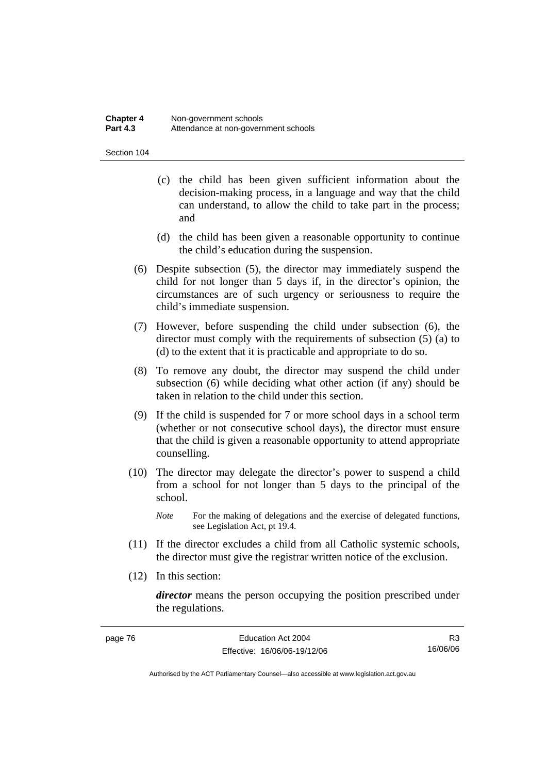#### **Chapter 4 Non-government schools**<br>**Part 4.3 Attendance at non-governed** Attendance at non-government schools

Section 104

- (c) the child has been given sufficient information about the decision-making process, in a language and way that the child can understand, to allow the child to take part in the process; and
- (d) the child has been given a reasonable opportunity to continue the child's education during the suspension.
- (6) Despite subsection (5), the director may immediately suspend the child for not longer than 5 days if, in the director's opinion, the circumstances are of such urgency or seriousness to require the child's immediate suspension.
- (7) However, before suspending the child under subsection (6), the director must comply with the requirements of subsection (5) (a) to (d) to the extent that it is practicable and appropriate to do so.
- (8) To remove any doubt, the director may suspend the child under subsection (6) while deciding what other action (if any) should be taken in relation to the child under this section.
- (9) If the child is suspended for 7 or more school days in a school term (whether or not consecutive school days), the director must ensure that the child is given a reasonable opportunity to attend appropriate counselling.
- (10) The director may delegate the director's power to suspend a child from a school for not longer than 5 days to the principal of the school.
	- *Note* For the making of delegations and the exercise of delegated functions, see Legislation Act, pt 19.4.
- (11) If the director excludes a child from all Catholic systemic schools, the director must give the registrar written notice of the exclusion.
- (12) In this section:

page 76

*director* means the person occupying the position prescribed under the regulations.

| Education Act 2004           | R <sub>3</sub> |
|------------------------------|----------------|
| Effective: 16/06/06-19/12/06 | 16/06/06       |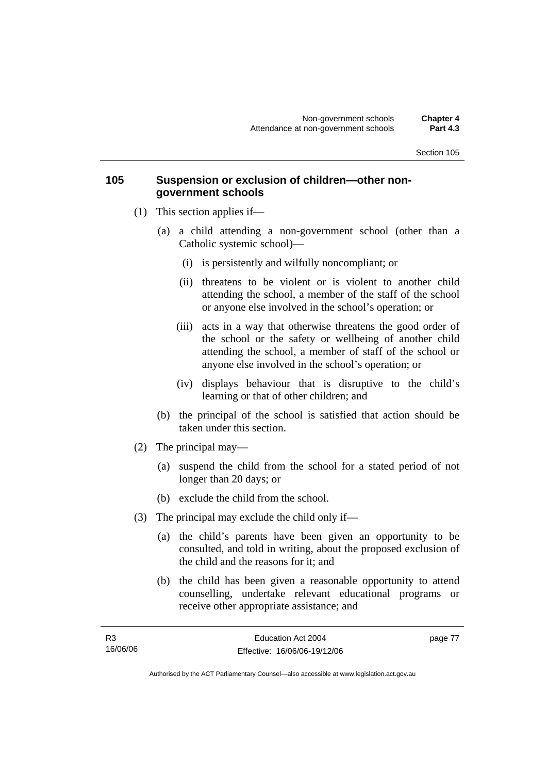### **105 Suspension or exclusion of children—other nongovernment schools**

- (1) This section applies if—
	- (a) a child attending a non-government school (other than a Catholic systemic school)—
		- (i) is persistently and wilfully noncompliant; or
		- (ii) threatens to be violent or is violent to another child attending the school, a member of the staff of the school or anyone else involved in the school's operation; or
		- (iii) acts in a way that otherwise threatens the good order of the school or the safety or wellbeing of another child attending the school, a member of staff of the school or anyone else involved in the school's operation; or
		- (iv) displays behaviour that is disruptive to the child's learning or that of other children; and
	- (b) the principal of the school is satisfied that action should be taken under this section.
- (2) The principal may—
	- (a) suspend the child from the school for a stated period of not longer than 20 days; or
	- (b) exclude the child from the school.
- (3) The principal may exclude the child only if—
	- (a) the child's parents have been given an opportunity to be consulted, and told in writing, about the proposed exclusion of the child and the reasons for it; and
	- (b) the child has been given a reasonable opportunity to attend counselling, undertake relevant educational programs or receive other appropriate assistance; and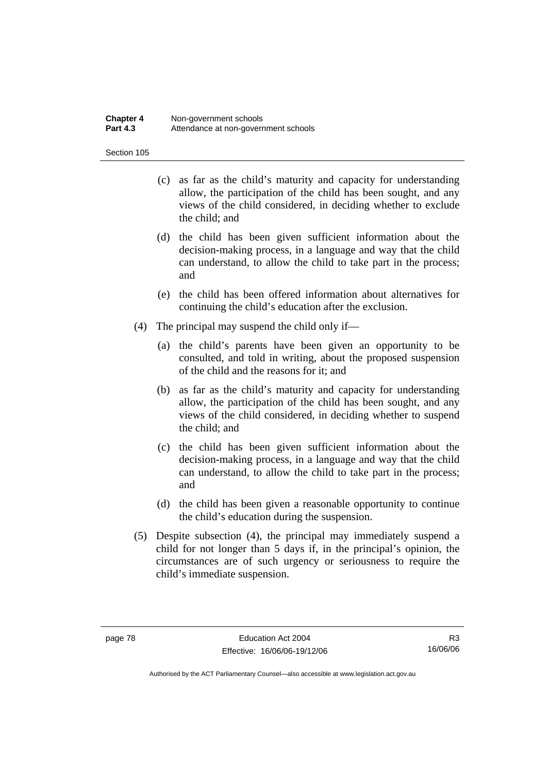#### **Chapter 4 Non-government schools**<br>**Part 4.3 Attendance at non-governed** Attendance at non-government schools

Section 105

- (c) as far as the child's maturity and capacity for understanding allow, the participation of the child has been sought, and any views of the child considered, in deciding whether to exclude the child; and
- (d) the child has been given sufficient information about the decision-making process, in a language and way that the child can understand, to allow the child to take part in the process; and
- (e) the child has been offered information about alternatives for continuing the child's education after the exclusion.
- (4) The principal may suspend the child only if—
	- (a) the child's parents have been given an opportunity to be consulted, and told in writing, about the proposed suspension of the child and the reasons for it; and
	- (b) as far as the child's maturity and capacity for understanding allow, the participation of the child has been sought, and any views of the child considered, in deciding whether to suspend the child; and
	- (c) the child has been given sufficient information about the decision-making process, in a language and way that the child can understand, to allow the child to take part in the process; and
	- (d) the child has been given a reasonable opportunity to continue the child's education during the suspension.
- (5) Despite subsection (4), the principal may immediately suspend a child for not longer than 5 days if, in the principal's opinion, the circumstances are of such urgency or seriousness to require the child's immediate suspension.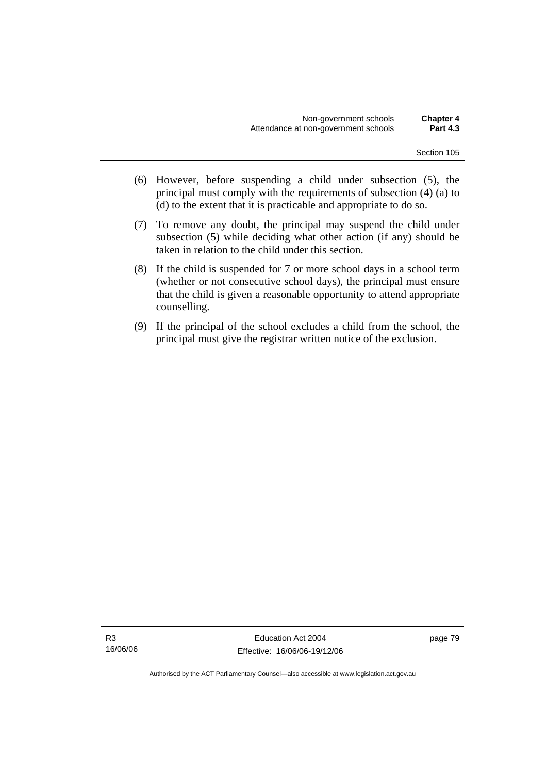- (6) However, before suspending a child under subsection (5), the principal must comply with the requirements of subsection (4) (a) to (d) to the extent that it is practicable and appropriate to do so.
- (7) To remove any doubt, the principal may suspend the child under subsection (5) while deciding what other action (if any) should be taken in relation to the child under this section.
- (8) If the child is suspended for 7 or more school days in a school term (whether or not consecutive school days), the principal must ensure that the child is given a reasonable opportunity to attend appropriate counselling.
- (9) If the principal of the school excludes a child from the school, the principal must give the registrar written notice of the exclusion.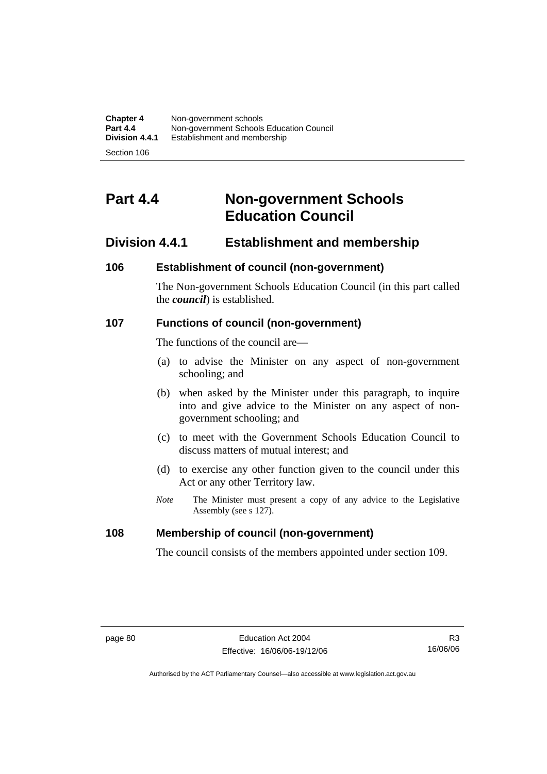| <b>Chapter 4</b> | Non-government schools                   |
|------------------|------------------------------------------|
| <b>Part 4.4</b>  | Non-government Schools Education Council |
| Division 4.4.1   | Establishment and membership             |
|                  |                                          |

# **Part 4.4 Non-government Schools Education Council**

# **Division 4.4.1 Establishment and membership**

## **106 Establishment of council (non-government)**

The Non-government Schools Education Council (in this part called the *council*) is established.

## **107 Functions of council (non-government)**

The functions of the council are—

- (a) to advise the Minister on any aspect of non-government schooling; and
- (b) when asked by the Minister under this paragraph, to inquire into and give advice to the Minister on any aspect of nongovernment schooling; and
- (c) to meet with the Government Schools Education Council to discuss matters of mutual interest; and
- (d) to exercise any other function given to the council under this Act or any other Territory law.
- *Note* The Minister must present a copy of any advice to the Legislative Assembly (see s 127).

### **108 Membership of council (non-government)**

The council consists of the members appointed under section 109.

R3 16/06/06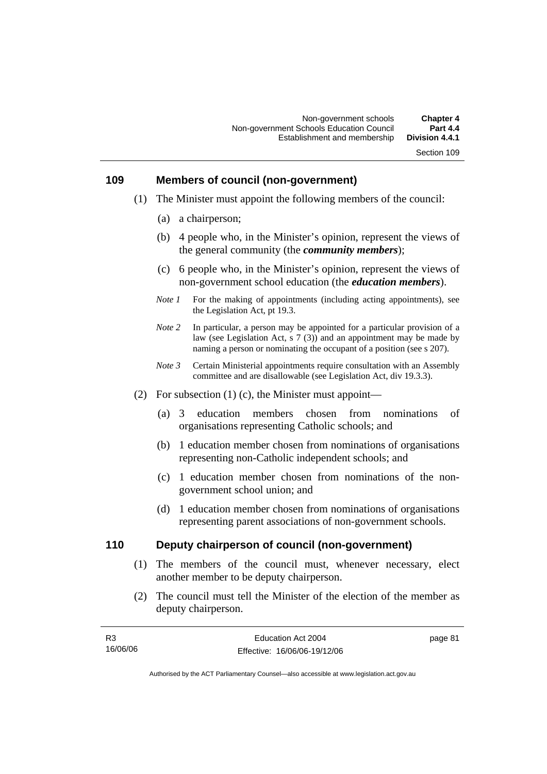#### **109 Members of council (non-government)**

- (1) The Minister must appoint the following members of the council:
	- (a) a chairperson;
	- (b) 4 people who, in the Minister's opinion, represent the views of the general community (the *community members*);
	- (c) 6 people who, in the Minister's opinion, represent the views of non-government school education (the *education members*).
	- *Note 1* For the making of appointments (including acting appointments), see the Legislation Act, pt 19.3.
	- *Note 2* In particular, a person may be appointed for a particular provision of a law (see Legislation Act, s 7 (3)) and an appointment may be made by naming a person or nominating the occupant of a position (see s 207).
	- *Note 3* Certain Ministerial appointments require consultation with an Assembly committee and are disallowable (see Legislation Act, div 19.3.3).
- (2) For subsection (1) (c), the Minister must appoint—
	- (a) 3 education members chosen from nominations of organisations representing Catholic schools; and
	- (b) 1 education member chosen from nominations of organisations representing non-Catholic independent schools; and
	- (c) 1 education member chosen from nominations of the nongovernment school union; and
	- (d) 1 education member chosen from nominations of organisations representing parent associations of non-government schools.

### **110 Deputy chairperson of council (non-government)**

- (1) The members of the council must, whenever necessary, elect another member to be deputy chairperson.
- (2) The council must tell the Minister of the election of the member as deputy chairperson.

| R3       | Education Act 2004           | page 81 |
|----------|------------------------------|---------|
| 16/06/06 | Effective: 16/06/06-19/12/06 |         |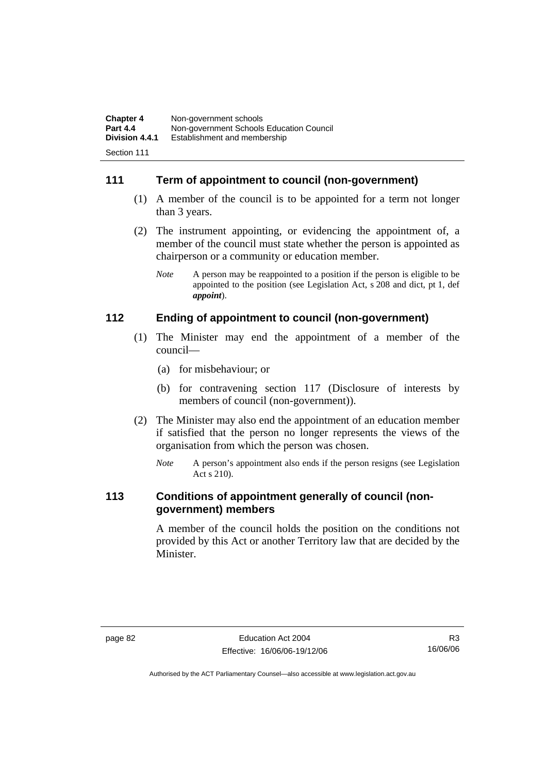| <b>Chapter 4</b> | Non-government schools                   |
|------------------|------------------------------------------|
| <b>Part 4.4</b>  | Non-government Schools Education Council |
| Division 4.4.1   | Establishment and membership             |
|                  |                                          |

# **111 Term of appointment to council (non-government)**

- (1) A member of the council is to be appointed for a term not longer than 3 years.
- (2) The instrument appointing, or evidencing the appointment of, a member of the council must state whether the person is appointed as chairperson or a community or education member.
	- *Note* A person may be reappointed to a position if the person is eligible to be appointed to the position (see Legislation Act, s 208 and dict, pt 1, def *appoint*).

## **112 Ending of appointment to council (non-government)**

- (1) The Minister may end the appointment of a member of the council—
	- (a) for misbehaviour; or
	- (b) for contravening section 117 (Disclosure of interests by members of council (non-government)).
- (2) The Minister may also end the appointment of an education member if satisfied that the person no longer represents the views of the organisation from which the person was chosen.
	- *Note* A person's appointment also ends if the person resigns (see Legislation Act s 210).

### **113 Conditions of appointment generally of council (nongovernment) members**

A member of the council holds the position on the conditions not provided by this Act or another Territory law that are decided by the Minister.

R3 16/06/06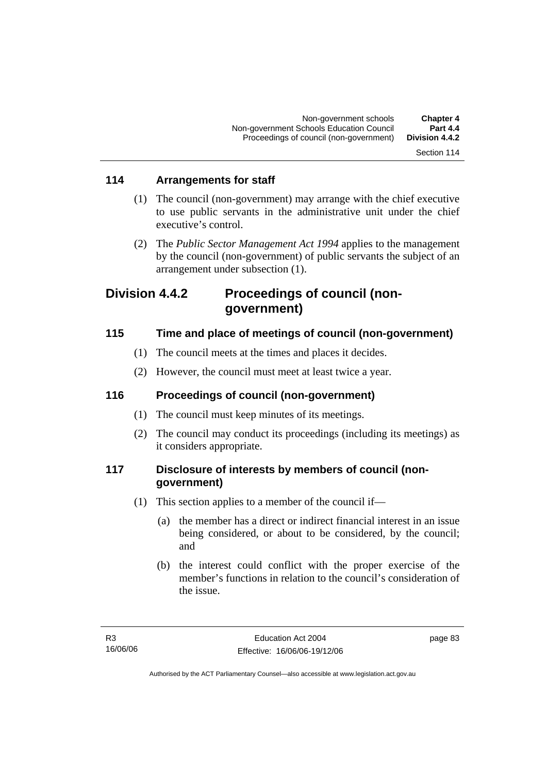# **114 Arrangements for staff**

- (1) The council (non-government) may arrange with the chief executive to use public servants in the administrative unit under the chief executive's control.
- (2) The *Public Sector Management Act 1994* applies to the management by the council (non-government) of public servants the subject of an arrangement under subsection (1).

# **Division 4.4.2 Proceedings of council (nongovernment)**

# **115 Time and place of meetings of council (non-government)**

- (1) The council meets at the times and places it decides.
- (2) However, the council must meet at least twice a year.

# **116 Proceedings of council (non-government)**

- (1) The council must keep minutes of its meetings.
- (2) The council may conduct its proceedings (including its meetings) as it considers appropriate.

# **117 Disclosure of interests by members of council (nongovernment)**

- (1) This section applies to a member of the council if—
	- (a) the member has a direct or indirect financial interest in an issue being considered, or about to be considered, by the council; and
	- (b) the interest could conflict with the proper exercise of the member's functions in relation to the council's consideration of the issue.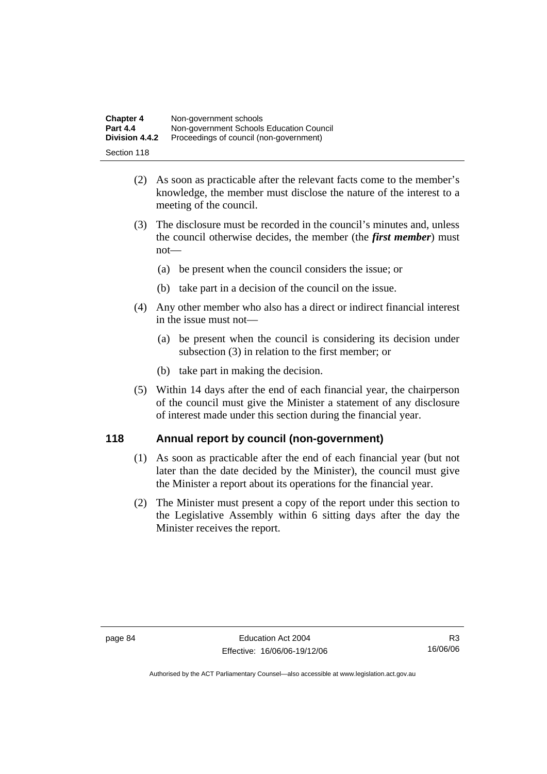| <b>Chapter 4</b> | Non-government schools                   |
|------------------|------------------------------------------|
| <b>Part 4.4</b>  | Non-government Schools Education Council |
| Division 4.4.2   | Proceedings of council (non-government)  |
| Section 118      |                                          |

- (2) As soon as practicable after the relevant facts come to the member's knowledge, the member must disclose the nature of the interest to a meeting of the council.
- (3) The disclosure must be recorded in the council's minutes and, unless the council otherwise decides, the member (the *first member*) must not—
	- (a) be present when the council considers the issue; or
	- (b) take part in a decision of the council on the issue.
- (4) Any other member who also has a direct or indirect financial interest in the issue must not—
	- (a) be present when the council is considering its decision under subsection (3) in relation to the first member; or
	- (b) take part in making the decision.
- (5) Within 14 days after the end of each financial year, the chairperson of the council must give the Minister a statement of any disclosure of interest made under this section during the financial year.

# **118 Annual report by council (non-government)**

- (1) As soon as practicable after the end of each financial year (but not later than the date decided by the Minister), the council must give the Minister a report about its operations for the financial year.
- (2) The Minister must present a copy of the report under this section to the Legislative Assembly within 6 sitting days after the day the Minister receives the report.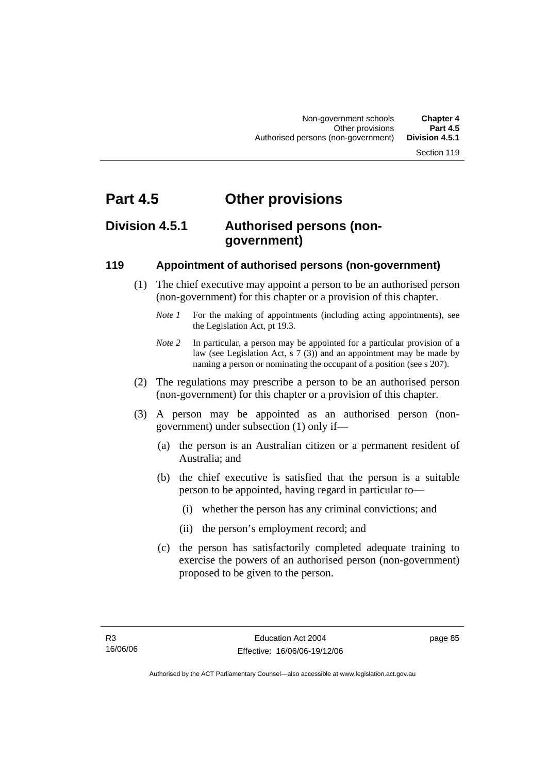# **Part 4.5 Other provisions**

# **Division 4.5.1 Authorised persons (nongovernment)**

# **119 Appointment of authorised persons (non-government)**

- (1) The chief executive may appoint a person to be an authorised person (non-government) for this chapter or a provision of this chapter.
	- *Note 1* For the making of appointments (including acting appointments), see the Legislation Act, pt 19.3.
	- *Note 2* In particular, a person may be appointed for a particular provision of a law (see Legislation Act, s 7 (3)) and an appointment may be made by naming a person or nominating the occupant of a position (see s 207).
- (2) The regulations may prescribe a person to be an authorised person (non-government) for this chapter or a provision of this chapter.
- (3) A person may be appointed as an authorised person (nongovernment) under subsection (1) only if—
	- (a) the person is an Australian citizen or a permanent resident of Australia; and
	- (b) the chief executive is satisfied that the person is a suitable person to be appointed, having regard in particular to—
		- (i) whether the person has any criminal convictions; and
		- (ii) the person's employment record; and
	- (c) the person has satisfactorily completed adequate training to exercise the powers of an authorised person (non-government) proposed to be given to the person.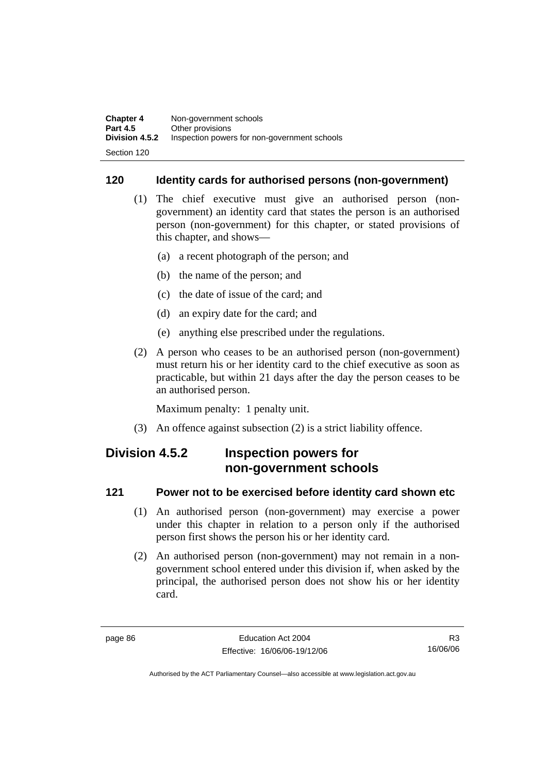# **120 Identity cards for authorised persons (non-government)**

- (1) The chief executive must give an authorised person (nongovernment) an identity card that states the person is an authorised person (non-government) for this chapter, or stated provisions of this chapter, and shows—
	- (a) a recent photograph of the person; and
	- (b) the name of the person; and
	- (c) the date of issue of the card; and
	- (d) an expiry date for the card; and
	- (e) anything else prescribed under the regulations.
- (2) A person who ceases to be an authorised person (non-government) must return his or her identity card to the chief executive as soon as practicable, but within 21 days after the day the person ceases to be an authorised person.

Maximum penalty: 1 penalty unit.

(3) An offence against subsection (2) is a strict liability offence.

# **Division 4.5.2 Inspection powers for non-government schools**

## **121 Power not to be exercised before identity card shown etc**

- (1) An authorised person (non-government) may exercise a power under this chapter in relation to a person only if the authorised person first shows the person his or her identity card.
- (2) An authorised person (non-government) may not remain in a nongovernment school entered under this division if, when asked by the principal, the authorised person does not show his or her identity card.

R3 16/06/06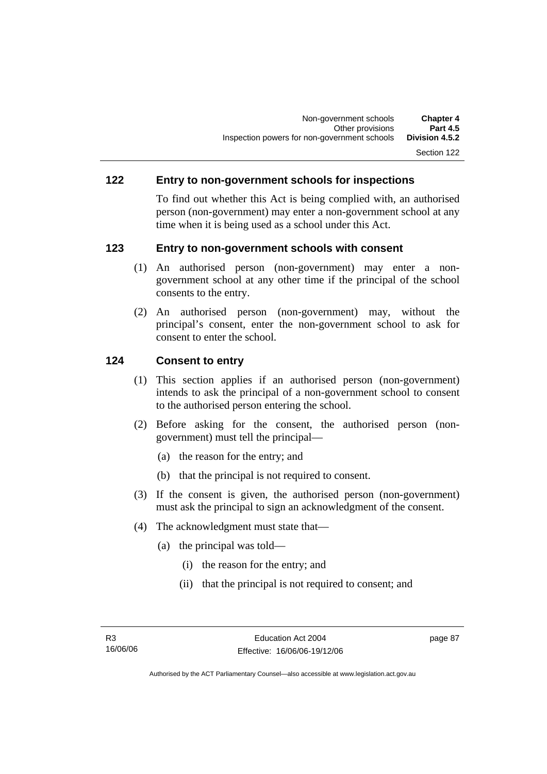## **122 Entry to non-government schools for inspections**

To find out whether this Act is being complied with, an authorised person (non-government) may enter a non-government school at any time when it is being used as a school under this Act.

## **123 Entry to non-government schools with consent**

- (1) An authorised person (non-government) may enter a nongovernment school at any other time if the principal of the school consents to the entry.
- (2) An authorised person (non-government) may, without the principal's consent, enter the non-government school to ask for consent to enter the school.

## **124 Consent to entry**

- (1) This section applies if an authorised person (non-government) intends to ask the principal of a non-government school to consent to the authorised person entering the school.
- (2) Before asking for the consent, the authorised person (nongovernment) must tell the principal—
	- (a) the reason for the entry; and
	- (b) that the principal is not required to consent.
- (3) If the consent is given, the authorised person (non-government) must ask the principal to sign an acknowledgment of the consent.
- (4) The acknowledgment must state that—
	- (a) the principal was told—
		- (i) the reason for the entry; and
		- (ii) that the principal is not required to consent; and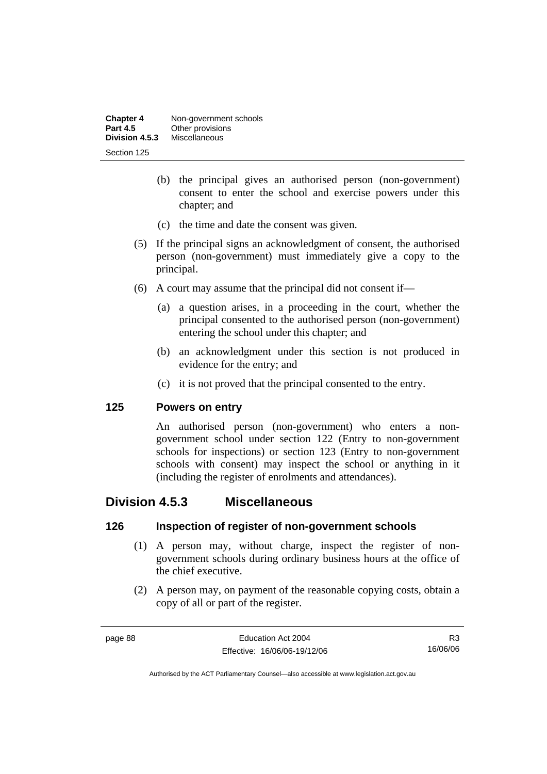| <b>Chapter 4</b> | Non-government schools |
|------------------|------------------------|
| <b>Part 4.5</b>  | Other provisions       |
| Division 4.5.3   | <b>Miscellaneous</b>   |
| Section 125      |                        |

- (b) the principal gives an authorised person (non-government) consent to enter the school and exercise powers under this chapter; and
- (c) the time and date the consent was given.
- (5) If the principal signs an acknowledgment of consent, the authorised person (non-government) must immediately give a copy to the principal.
- (6) A court may assume that the principal did not consent if—
	- (a) a question arises, in a proceeding in the court, whether the principal consented to the authorised person (non-government) entering the school under this chapter; and
	- (b) an acknowledgment under this section is not produced in evidence for the entry; and
	- (c) it is not proved that the principal consented to the entry.

### **125 Powers on entry**

An authorised person (non-government) who enters a nongovernment school under section 122 (Entry to non-government schools for inspections) or section 123 (Entry to non-government schools with consent) may inspect the school or anything in it (including the register of enrolments and attendances).

# **Division 4.5.3 Miscellaneous**

### **126 Inspection of register of non-government schools**

- (1) A person may, without charge, inspect the register of nongovernment schools during ordinary business hours at the office of the chief executive.
- (2) A person may, on payment of the reasonable copying costs, obtain a copy of all or part of the register.

R3 16/06/06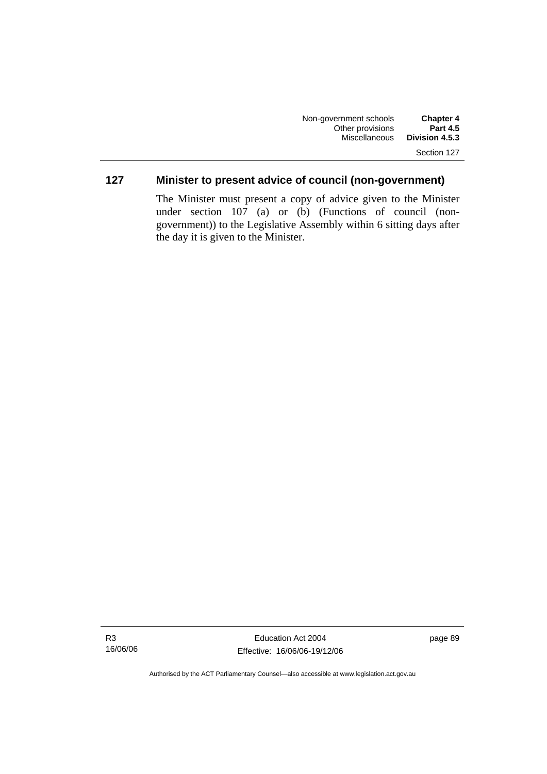# **127 Minister to present advice of council (non-government)**

The Minister must present a copy of advice given to the Minister under section 107 (a) or (b) (Functions of council (nongovernment)) to the Legislative Assembly within 6 sitting days after the day it is given to the Minister.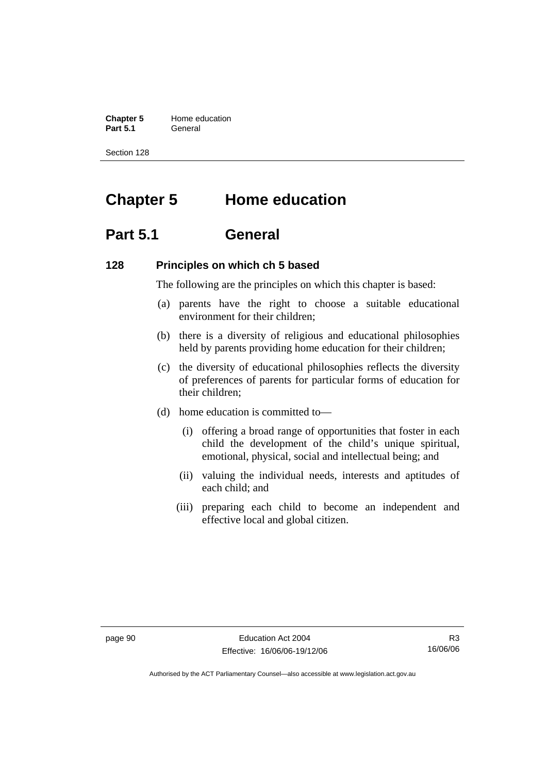**Chapter 5 Home education**<br>**Part 5.1 General Part 5.1** General

Section 128

# **Chapter 5 Home education**

# **Part 5.1 General**

### **128 Principles on which ch 5 based**

The following are the principles on which this chapter is based:

- (a) parents have the right to choose a suitable educational environment for their children;
- (b) there is a diversity of religious and educational philosophies held by parents providing home education for their children;
- (c) the diversity of educational philosophies reflects the diversity of preferences of parents for particular forms of education for their children;
- (d) home education is committed to—
	- (i) offering a broad range of opportunities that foster in each child the development of the child's unique spiritual, emotional, physical, social and intellectual being; and
	- (ii) valuing the individual needs, interests and aptitudes of each child; and
	- (iii) preparing each child to become an independent and effective local and global citizen.

R3 16/06/06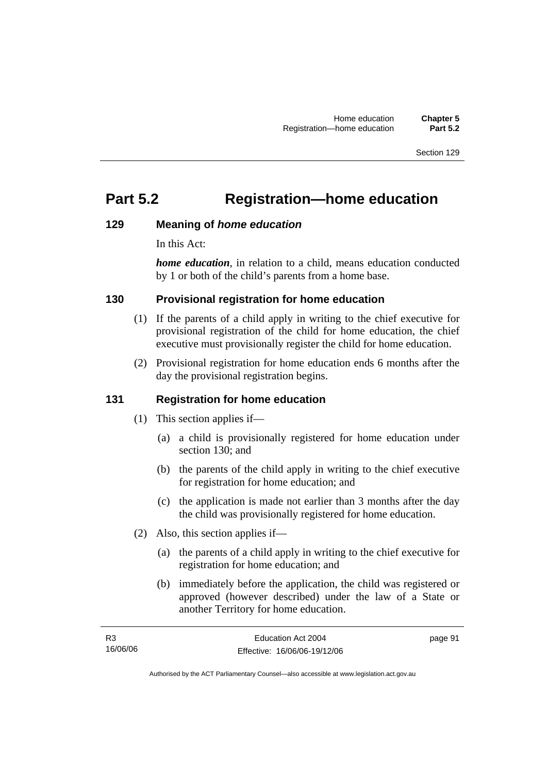# **Part 5.2 Registration—home education**

## **129 Meaning of** *home education*

In this Act:

*home education*, in relation to a child, means education conducted by 1 or both of the child's parents from a home base.

# **130 Provisional registration for home education**

- (1) If the parents of a child apply in writing to the chief executive for provisional registration of the child for home education, the chief executive must provisionally register the child for home education.
- (2) Provisional registration for home education ends 6 months after the day the provisional registration begins.

# **131 Registration for home education**

- (1) This section applies if—
	- (a) a child is provisionally registered for home education under section 130; and
	- (b) the parents of the child apply in writing to the chief executive for registration for home education; and
	- (c) the application is made not earlier than 3 months after the day the child was provisionally registered for home education.
- (2) Also, this section applies if—
	- (a) the parents of a child apply in writing to the chief executive for registration for home education; and
	- (b) immediately before the application, the child was registered or approved (however described) under the law of a State or another Territory for home education.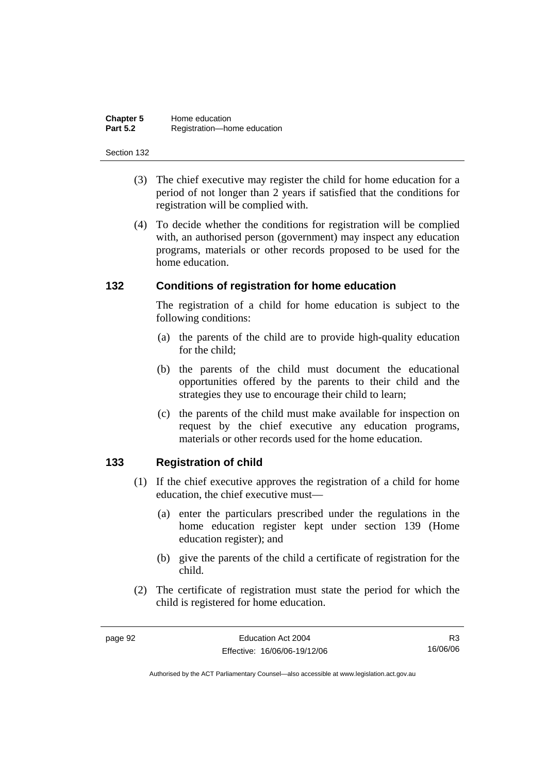| <b>Chapter 5</b> | Home education              |
|------------------|-----------------------------|
| <b>Part 5.2</b>  | Registration-home education |

- (3) The chief executive may register the child for home education for a period of not longer than 2 years if satisfied that the conditions for registration will be complied with.
- (4) To decide whether the conditions for registration will be complied with, an authorised person (government) may inspect any education programs, materials or other records proposed to be used for the home education.

### **132 Conditions of registration for home education**

The registration of a child for home education is subject to the following conditions:

- (a) the parents of the child are to provide high-quality education for the child;
- (b) the parents of the child must document the educational opportunities offered by the parents to their child and the strategies they use to encourage their child to learn;
- (c) the parents of the child must make available for inspection on request by the chief executive any education programs, materials or other records used for the home education.

### **133 Registration of child**

- (1) If the chief executive approves the registration of a child for home education, the chief executive must—
	- (a) enter the particulars prescribed under the regulations in the home education register kept under section 139 (Home education register); and
	- (b) give the parents of the child a certificate of registration for the child.
- (2) The certificate of registration must state the period for which the child is registered for home education.

R3 16/06/06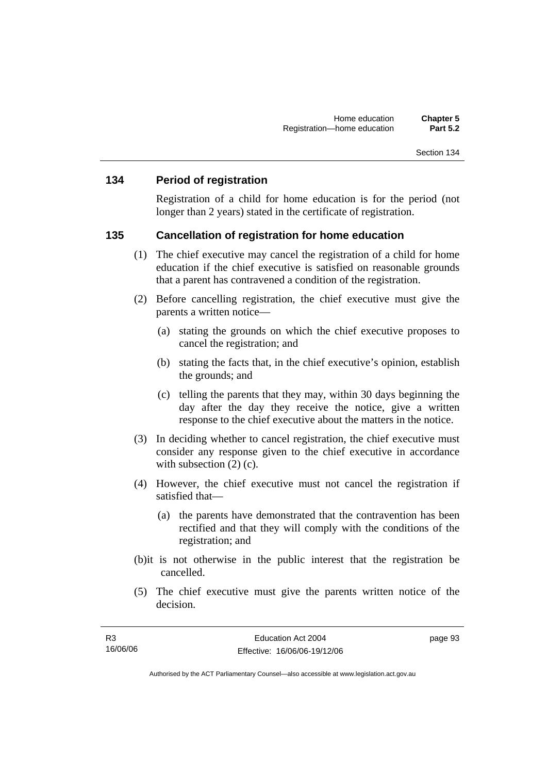### **134 Period of registration**

Registration of a child for home education is for the period (not longer than 2 years) stated in the certificate of registration.

#### **135 Cancellation of registration for home education**

- (1) The chief executive may cancel the registration of a child for home education if the chief executive is satisfied on reasonable grounds that a parent has contravened a condition of the registration.
- (2) Before cancelling registration, the chief executive must give the parents a written notice—
	- (a) stating the grounds on which the chief executive proposes to cancel the registration; and
	- (b) stating the facts that, in the chief executive's opinion, establish the grounds; and
	- (c) telling the parents that they may, within 30 days beginning the day after the day they receive the notice, give a written response to the chief executive about the matters in the notice.
- (3) In deciding whether to cancel registration, the chief executive must consider any response given to the chief executive in accordance with subsection  $(2)$  (c).
- (4) However, the chief executive must not cancel the registration if satisfied that—
	- (a) the parents have demonstrated that the contravention has been rectified and that they will comply with the conditions of the registration; and
- (b)it is not otherwise in the public interest that the registration be cancelled.
- (5) The chief executive must give the parents written notice of the decision.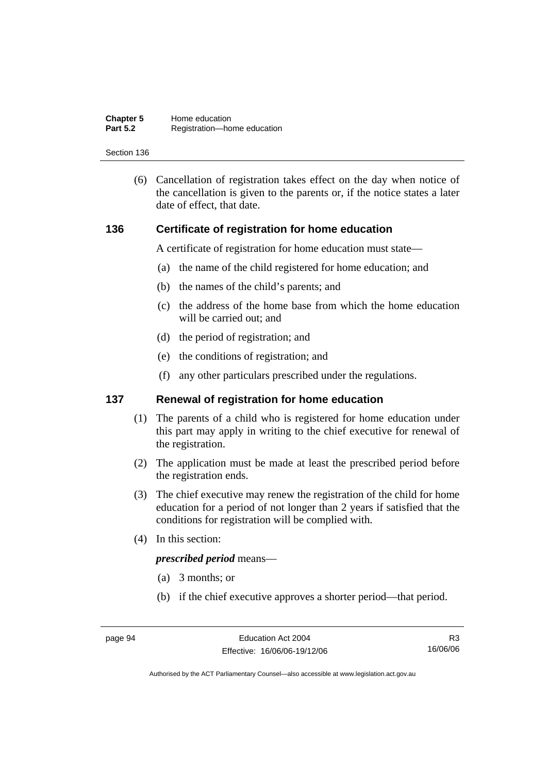| <b>Chapter 5</b> | Home education              |
|------------------|-----------------------------|
| <b>Part 5.2</b>  | Registration-home education |

 (6) Cancellation of registration takes effect on the day when notice of the cancellation is given to the parents or, if the notice states a later date of effect, that date.

#### **136 Certificate of registration for home education**

A certificate of registration for home education must state—

- (a) the name of the child registered for home education; and
- (b) the names of the child's parents; and
- (c) the address of the home base from which the home education will be carried out; and
- (d) the period of registration; and
- (e) the conditions of registration; and
- (f) any other particulars prescribed under the regulations.

## **137 Renewal of registration for home education**

- (1) The parents of a child who is registered for home education under this part may apply in writing to the chief executive for renewal of the registration.
- (2) The application must be made at least the prescribed period before the registration ends.
- (3) The chief executive may renew the registration of the child for home education for a period of not longer than 2 years if satisfied that the conditions for registration will be complied with.
- (4) In this section:

*prescribed period* means—

- (a) 3 months; or
- (b) if the chief executive approves a shorter period—that period.

R3 16/06/06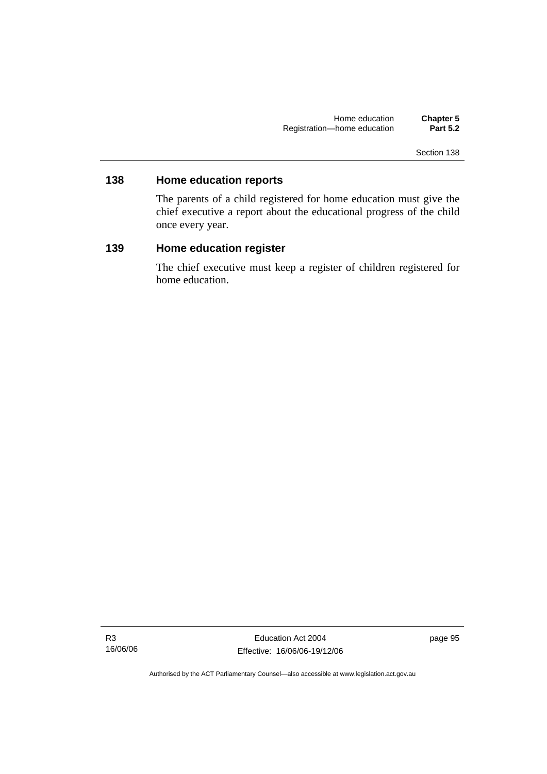# **138 Home education reports**

The parents of a child registered for home education must give the chief executive a report about the educational progress of the child once every year.

# **139 Home education register**

The chief executive must keep a register of children registered for home education.

R3 16/06/06

Education Act 2004 Effective: 16/06/06-19/12/06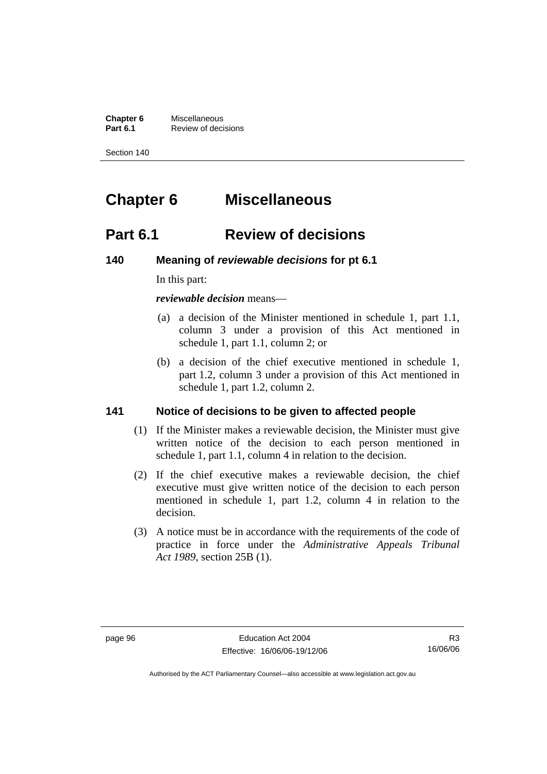**Chapter 6** Miscellaneous<br>**Part 6.1** Review of deci **Review of decisions** 

Section 140

# **Chapter 6 Miscellaneous**

# **Part 6.1 Review of decisions**

### **140 Meaning of** *reviewable decisions* **for pt 6.1**

In this part:

*reviewable decision* means—

- (a) a decision of the Minister mentioned in schedule 1, part 1.1, column 3 under a provision of this Act mentioned in schedule 1, part 1.1, column 2; or
- (b) a decision of the chief executive mentioned in schedule 1, part 1.2, column 3 under a provision of this Act mentioned in schedule 1, part 1.2, column 2.

### **141 Notice of decisions to be given to affected people**

- (1) If the Minister makes a reviewable decision, the Minister must give written notice of the decision to each person mentioned in schedule 1, part 1.1, column 4 in relation to the decision.
- (2) If the chief executive makes a reviewable decision, the chief executive must give written notice of the decision to each person mentioned in schedule 1, part 1.2, column 4 in relation to the decision.
- (3) A notice must be in accordance with the requirements of the code of practice in force under the *Administrative Appeals Tribunal Act 1989*, section 25B (1).

R3 16/06/06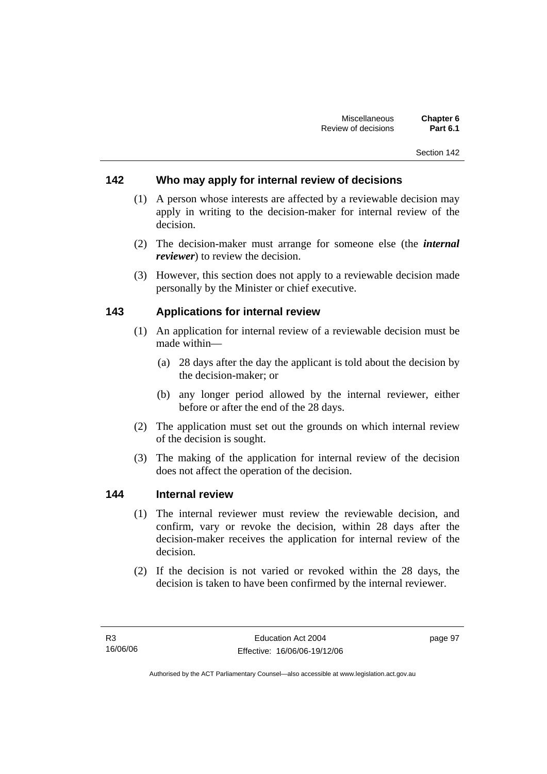# **142 Who may apply for internal review of decisions**

- (1) A person whose interests are affected by a reviewable decision may apply in writing to the decision-maker for internal review of the decision.
- (2) The decision-maker must arrange for someone else (the *internal reviewer*) to review the decision.
- (3) However, this section does not apply to a reviewable decision made personally by the Minister or chief executive.

### **143 Applications for internal review**

- (1) An application for internal review of a reviewable decision must be made within—
	- (a) 28 days after the day the applicant is told about the decision by the decision-maker; or
	- (b) any longer period allowed by the internal reviewer, either before or after the end of the 28 days.
- (2) The application must set out the grounds on which internal review of the decision is sought.
- (3) The making of the application for internal review of the decision does not affect the operation of the decision.

#### **144 Internal review**

- (1) The internal reviewer must review the reviewable decision, and confirm, vary or revoke the decision, within 28 days after the decision-maker receives the application for internal review of the decision.
- (2) If the decision is not varied or revoked within the 28 days, the decision is taken to have been confirmed by the internal reviewer.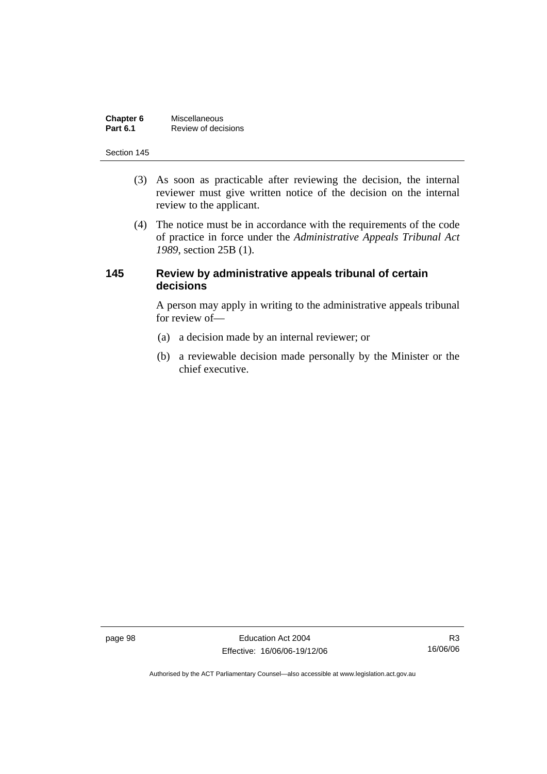| Chapter 6       | <b>Miscellaneous</b> |
|-----------------|----------------------|
| <b>Part 6.1</b> | Review of decisions  |

- (3) As soon as practicable after reviewing the decision, the internal reviewer must give written notice of the decision on the internal review to the applicant.
- (4) The notice must be in accordance with the requirements of the code of practice in force under the *Administrative Appeals Tribunal Act 1989*, section 25B (1).

## **145 Review by administrative appeals tribunal of certain decisions**

A person may apply in writing to the administrative appeals tribunal for review of—

- (a) a decision made by an internal reviewer; or
- (b) a reviewable decision made personally by the Minister or the chief executive.

page 98 Education Act 2004 Effective: 16/06/06-19/12/06

R3 16/06/06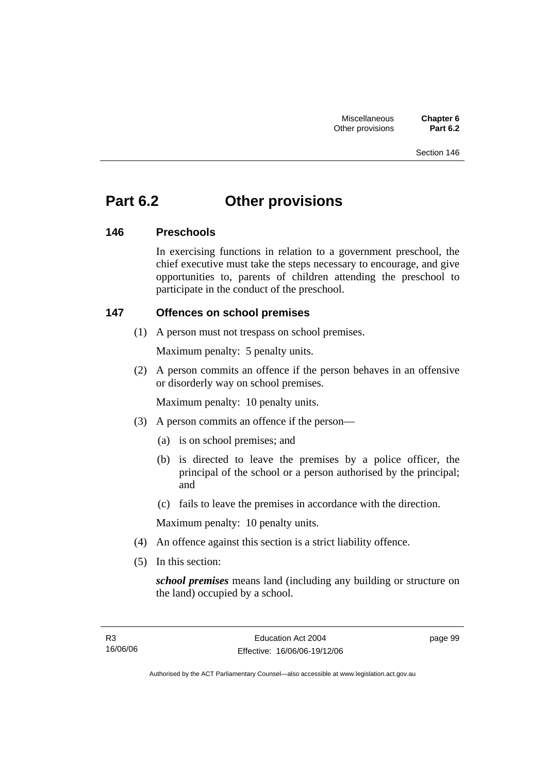## **Part 6.2 Other provisions**

## **146 Preschools**

In exercising functions in relation to a government preschool, the chief executive must take the steps necessary to encourage, and give opportunities to, parents of children attending the preschool to participate in the conduct of the preschool.

## **147 Offences on school premises**

(1) A person must not trespass on school premises.

Maximum penalty: 5 penalty units.

 (2) A person commits an offence if the person behaves in an offensive or disorderly way on school premises.

Maximum penalty: 10 penalty units.

- (3) A person commits an offence if the person—
	- (a) is on school premises; and
	- (b) is directed to leave the premises by a police officer, the principal of the school or a person authorised by the principal; and
	- (c) fails to leave the premises in accordance with the direction.

Maximum penalty: 10 penalty units.

- (4) An offence against this section is a strict liability offence.
- (5) In this section:

*school premises* means land (including any building or structure on the land) occupied by a school.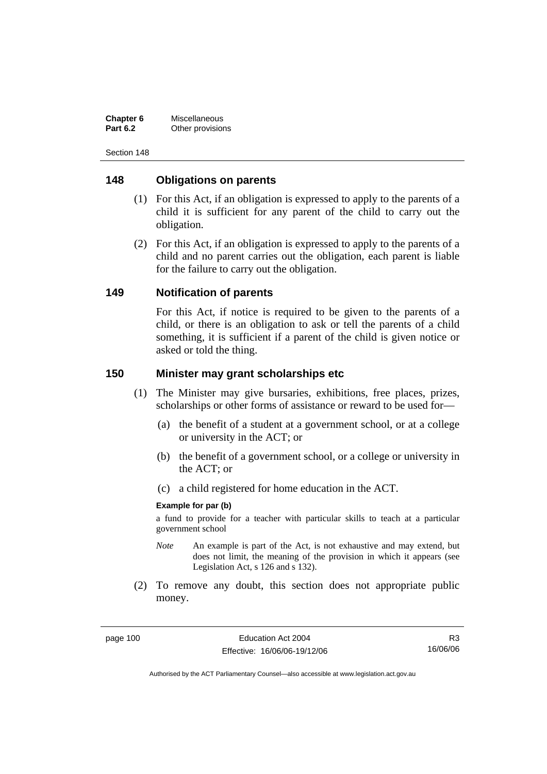| Chapter 6       | Miscellaneous    |
|-----------------|------------------|
| <b>Part 6.2</b> | Other provisions |

## **148 Obligations on parents**

- (1) For this Act, if an obligation is expressed to apply to the parents of a child it is sufficient for any parent of the child to carry out the obligation.
- (2) For this Act, if an obligation is expressed to apply to the parents of a child and no parent carries out the obligation, each parent is liable for the failure to carry out the obligation.

#### **149 Notification of parents**

For this Act, if notice is required to be given to the parents of a child, or there is an obligation to ask or tell the parents of a child something, it is sufficient if a parent of the child is given notice or asked or told the thing.

#### **150 Minister may grant scholarships etc**

- (1) The Minister may give bursaries, exhibitions, free places, prizes, scholarships or other forms of assistance or reward to be used for—
	- (a) the benefit of a student at a government school, or at a college or university in the ACT; or
	- (b) the benefit of a government school, or a college or university in the ACT; or
	- (c) a child registered for home education in the ACT.

#### **Example for par (b)**

a fund to provide for a teacher with particular skills to teach at a particular government school

- *Note* An example is part of the Act, is not exhaustive and may extend, but does not limit, the meaning of the provision in which it appears (see Legislation Act, s 126 and s 132).
- (2) To remove any doubt, this section does not appropriate public money.

R3 16/06/06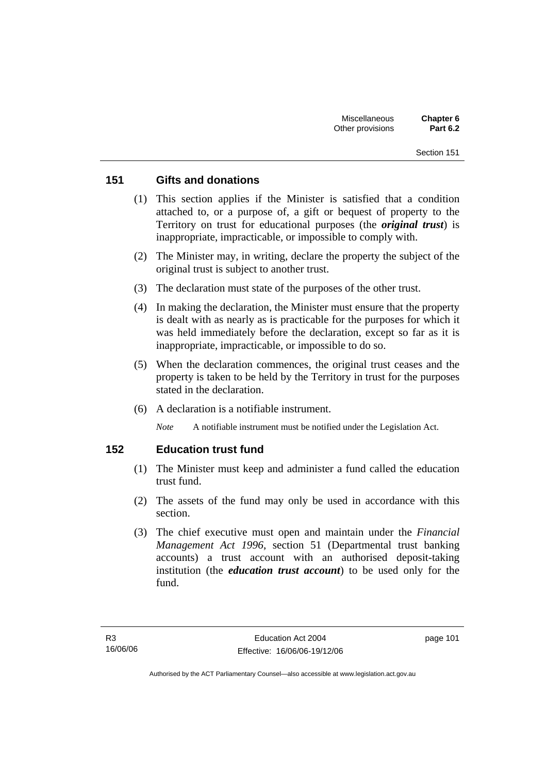## **151 Gifts and donations**

- (1) This section applies if the Minister is satisfied that a condition attached to, or a purpose of, a gift or bequest of property to the Territory on trust for educational purposes (the *original trust*) is inappropriate, impracticable, or impossible to comply with.
- (2) The Minister may, in writing, declare the property the subject of the original trust is subject to another trust.
- (3) The declaration must state of the purposes of the other trust.
- (4) In making the declaration, the Minister must ensure that the property is dealt with as nearly as is practicable for the purposes for which it was held immediately before the declaration, except so far as it is inappropriate, impracticable, or impossible to do so.
- (5) When the declaration commences, the original trust ceases and the property is taken to be held by the Territory in trust for the purposes stated in the declaration.
- (6) A declaration is a notifiable instrument.

*Note* A notifiable instrument must be notified under the Legislation Act.

## **152 Education trust fund**

- (1) The Minister must keep and administer a fund called the education trust fund.
- (2) The assets of the fund may only be used in accordance with this section.
- (3) The chief executive must open and maintain under the *Financial Management Act 1996*, section 51 (Departmental trust banking accounts) a trust account with an authorised deposit-taking institution (the *education trust account*) to be used only for the fund.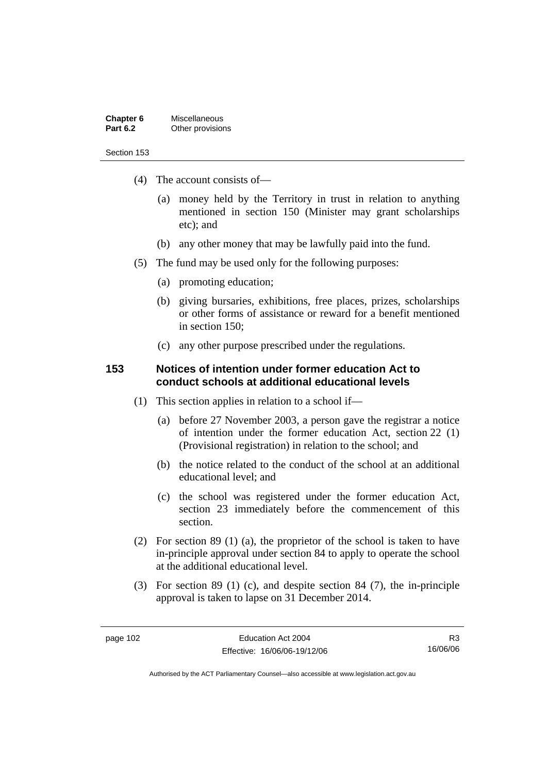| Chapter 6       | <b>Miscellaneous</b> |
|-----------------|----------------------|
| <b>Part 6.2</b> | Other provisions     |

- (4) The account consists of—
	- (a) money held by the Territory in trust in relation to anything mentioned in section 150 (Minister may grant scholarships etc); and
	- (b) any other money that may be lawfully paid into the fund.
- (5) The fund may be used only for the following purposes:
	- (a) promoting education;
	- (b) giving bursaries, exhibitions, free places, prizes, scholarships or other forms of assistance or reward for a benefit mentioned in section 150;
	- (c) any other purpose prescribed under the regulations.

#### **153 Notices of intention under former education Act to conduct schools at additional educational levels**

- (1) This section applies in relation to a school if—
	- (a) before 27 November 2003, a person gave the registrar a notice of intention under the former education Act, section 22 (1) (Provisional registration) in relation to the school; and
	- (b) the notice related to the conduct of the school at an additional educational level; and
	- (c) the school was registered under the former education Act, section 23 immediately before the commencement of this section.
- (2) For section 89 (1) (a), the proprietor of the school is taken to have in-principle approval under section 84 to apply to operate the school at the additional educational level.
- (3) For section 89 (1) (c), and despite section 84 (7), the in-principle approval is taken to lapse on 31 December 2014.

R3 16/06/06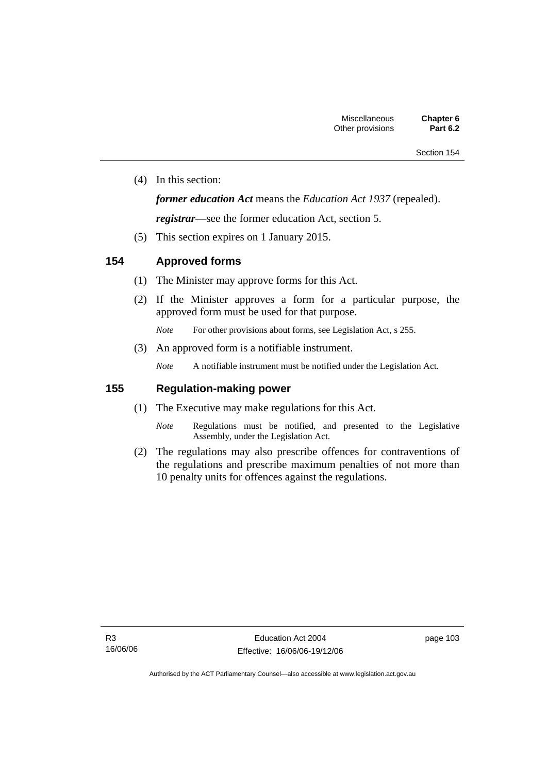(4) In this section:

### *former education Act* means the *Education Act 1937* (repealed).

*registrar*—see the former education Act, section 5.

(5) This section expires on 1 January 2015.

## **154 Approved forms**

- (1) The Minister may approve forms for this Act.
- (2) If the Minister approves a form for a particular purpose, the approved form must be used for that purpose.

*Note* For other provisions about forms, see Legislation Act, s 255.

(3) An approved form is a notifiable instrument.

*Note* A notifiable instrument must be notified under the Legislation Act.

## **155 Regulation-making power**

- (1) The Executive may make regulations for this Act.
	- *Note* Regulations must be notified, and presented to the Legislative Assembly, under the Legislation Act.
- (2) The regulations may also prescribe offences for contraventions of the regulations and prescribe maximum penalties of not more than 10 penalty units for offences against the regulations.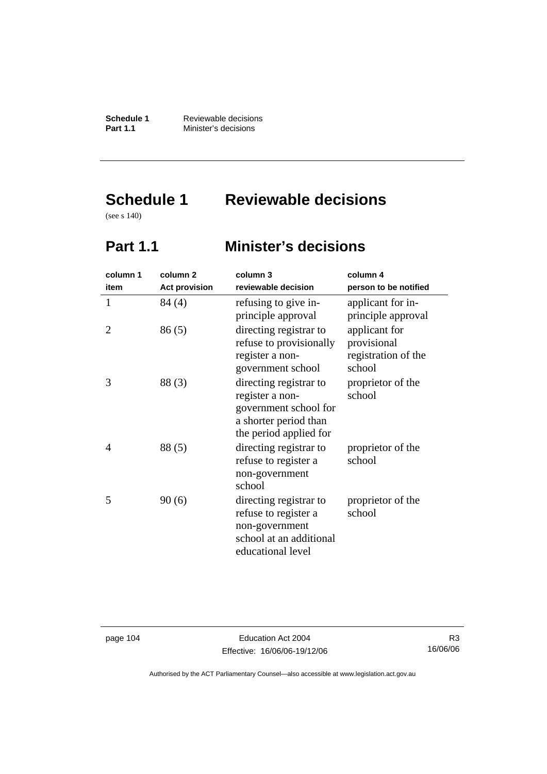**Schedule 1 Reviewable decisions**<br>**Part 1.1 Minister's decisions Minister's decisions** 

# **Schedule 1 Reviewable decisions**

(see s 140)

## **Part 1.1 Minister's decisions**

| column 1 | column <sub>2</sub>  | column 3                                                                                                              | column 4                                                      |
|----------|----------------------|-----------------------------------------------------------------------------------------------------------------------|---------------------------------------------------------------|
| item     | <b>Act provision</b> | reviewable decision                                                                                                   | person to be notified                                         |
| 1        | 84 (4)               | refusing to give in-<br>principle approval                                                                            | applicant for in-<br>principle approval                       |
| 2        | 86(5)                | directing registrar to<br>refuse to provisionally<br>register a non-<br>government school                             | applicant for<br>provisional<br>registration of the<br>school |
| 3        | 88(3)                | directing registrar to<br>register a non-<br>government school for<br>a shorter period than<br>the period applied for | proprietor of the<br>school                                   |
| 4        | 88(5)                | directing registrar to<br>refuse to register a<br>non-government<br>school                                            | proprietor of the<br>school                                   |
| 5        | 90(6)                | directing registrar to<br>refuse to register a<br>non-government<br>school at an additional<br>educational level      | proprietor of the<br>school                                   |

page 104 Education Act 2004 Effective: 16/06/06-19/12/06

R3 16/06/06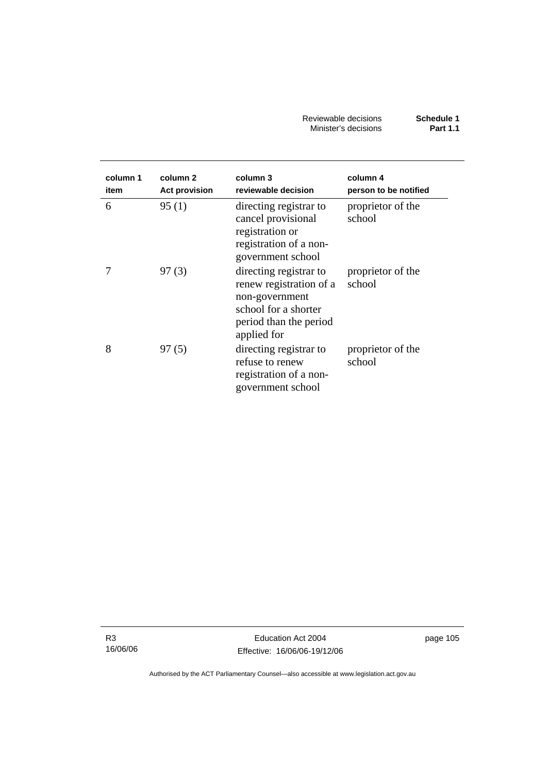Reviewable decisions **Schedule 1**  Minister's decisions **Part 1.1** 

| column 1<br>item | column 2<br><b>Act provision</b> | column 3<br>reviewable decision                                                                                                      | column 4<br>person to be notified |
|------------------|----------------------------------|--------------------------------------------------------------------------------------------------------------------------------------|-----------------------------------|
| 6                | 95(1)                            | directing registrar to<br>cancel provisional<br>registration or<br>registration of a non-<br>government school                       | proprietor of the<br>school       |
|                  | 97(3)                            | directing registrar to<br>renew registration of a<br>non-government<br>school for a shorter<br>period than the period<br>applied for | proprietor of the<br>school       |
| 8                | 97(5)                            | directing registrar to<br>refuse to renew<br>registration of a non-<br>government school                                             | proprietor of the<br>school       |

R3 16/06/06 page 105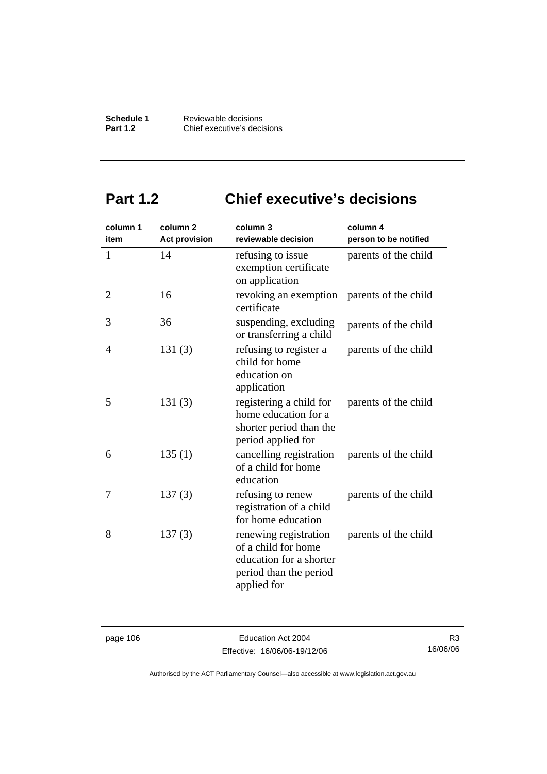**Schedule 1 Reviewable decisions**<br>**Part 1.2 Chief executive's deci-Part 1.2** Chief executive's decisions

## **Part 1.2 Chief executive's decisions**

| column 1       | column <sub>2</sub>  | column 3                                                                                                         | column 4              |
|----------------|----------------------|------------------------------------------------------------------------------------------------------------------|-----------------------|
| item           | <b>Act provision</b> | reviewable decision                                                                                              | person to be notified |
| $\mathbf{1}$   | 14                   | refusing to issue<br>exemption certificate<br>on application                                                     | parents of the child  |
| $\overline{2}$ | 16                   | revoking an exemption<br>certificate                                                                             | parents of the child  |
| 3              | 36                   | suspending, excluding<br>or transferring a child                                                                 | parents of the child  |
| 4              | 131(3)               | refusing to register a<br>child for home<br>education on<br>application                                          | parents of the child  |
| 5              | 131(3)               | registering a child for<br>home education for a<br>shorter period than the<br>period applied for                 | parents of the child  |
| 6              | 135(1)               | cancelling registration<br>of a child for home<br>education                                                      | parents of the child  |
| 7              | 137(3)               | refusing to renew<br>registration of a child<br>for home education                                               | parents of the child  |
| 8              | 137(3)               | renewing registration<br>of a child for home<br>education for a shorter<br>period than the period<br>applied for | parents of the child  |

page 106 Education Act 2004 Effective: 16/06/06-19/12/06

R3 16/06/06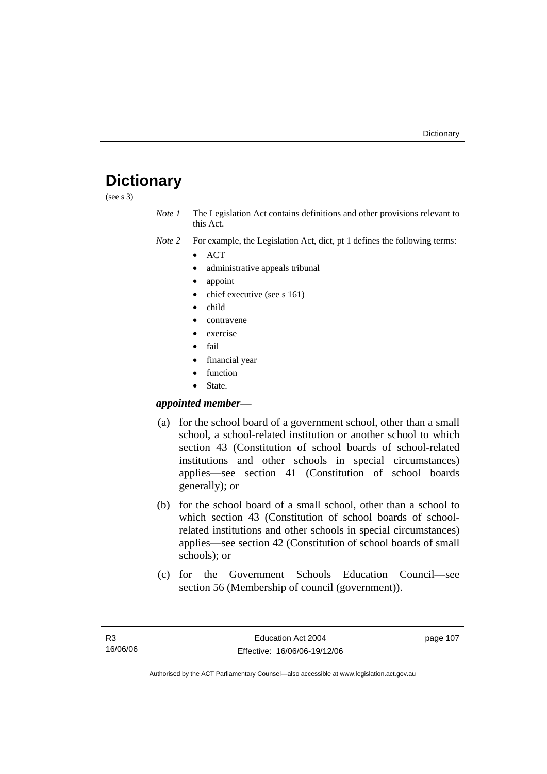## **Dictionary**

(see s 3)

*Note 1* The Legislation Act contains definitions and other provisions relevant to this Act.

*Note 2* For example, the Legislation Act, dict, pt 1 defines the following terms:

- ACT
- administrative appeals tribunal
- appoint
- chief executive (see s 161)
- child
- contravene
- exercise
- fail
- financial year
- **function**
- State.

### *appointed member*—

- (a) for the school board of a government school, other than a small school, a school-related institution or another school to which section 43 (Constitution of school boards of school-related institutions and other schools in special circumstances) applies—see section 41 (Constitution of school boards generally); or
- (b) for the school board of a small school, other than a school to which section 43 (Constitution of school boards of schoolrelated institutions and other schools in special circumstances) applies—see section 42 (Constitution of school boards of small schools); or
- (c) for the Government Schools Education Council—see section 56 (Membership of council (government)).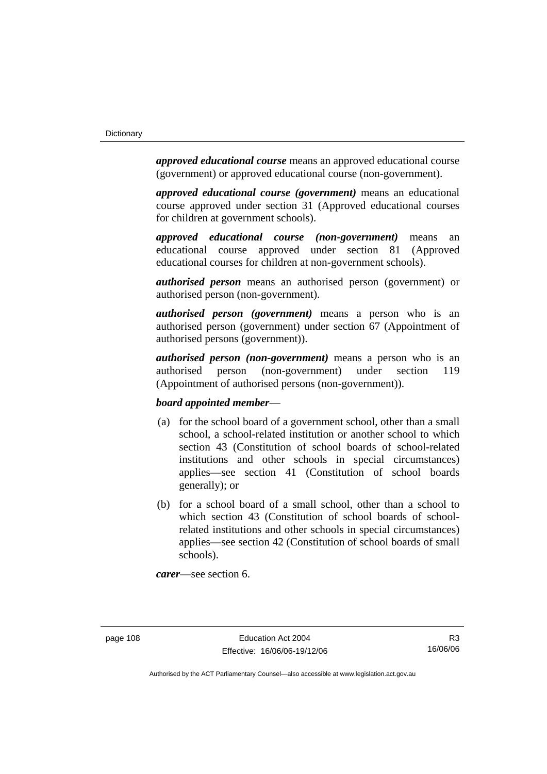*approved educational course* means an approved educational course (government) or approved educational course (non-government).

*approved educational course (government)* means an educational course approved under section 31 (Approved educational courses for children at government schools).

*approved educational course (non-government)* means an educational course approved under section 81 (Approved educational courses for children at non-government schools).

*authorised person* means an authorised person (government) or authorised person (non-government).

*authorised person (government)* means a person who is an authorised person (government) under section 67 (Appointment of authorised persons (government)).

*authorised person (non-government)* means a person who is an authorised person (non-government) under section 119 (Appointment of authorised persons (non-government)).

#### *board appointed member*—

- (a) for the school board of a government school, other than a small school, a school-related institution or another school to which section 43 (Constitution of school boards of school-related institutions and other schools in special circumstances) applies—see section 41 (Constitution of school boards generally); or
- (b) for a school board of a small school, other than a school to which section 43 (Constitution of school boards of schoolrelated institutions and other schools in special circumstances) applies—see section 42 (Constitution of school boards of small schools).

*carer*—see section 6.

R3 16/06/06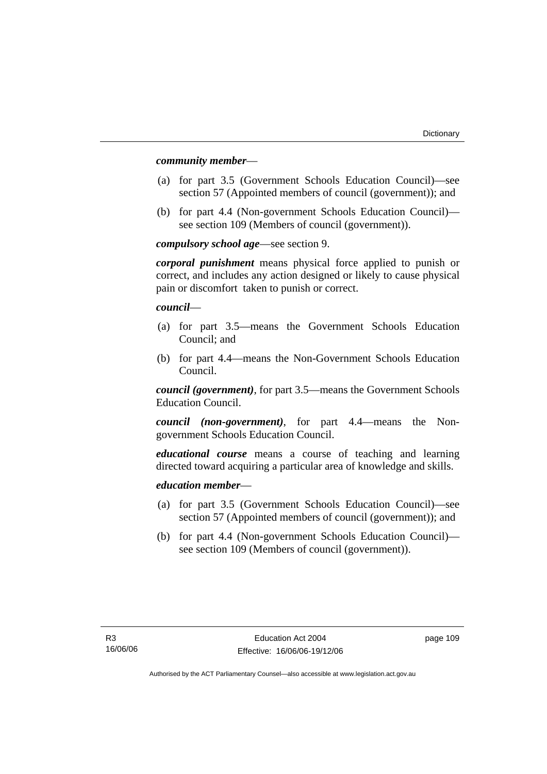#### *community member*—

- (a) for part 3.5 (Government Schools Education Council)—see section 57 (Appointed members of council (government)); and
- (b) for part 4.4 (Non-government Schools Education Council) see section 109 (Members of council (government)).

*compulsory school age*—see section 9.

*corporal punishment* means physical force applied to punish or correct, and includes any action designed or likely to cause physical pain or discomfort taken to punish or correct.

*council*—

- (a) for part 3.5—means the Government Schools Education Council; and
- (b) for part 4.4—means the Non-Government Schools Education Council.

*council (government)*, for part 3.5—means the Government Schools Education Council.

*council (non-government)*, for part 4.4—means the Nongovernment Schools Education Council.

*educational course* means a course of teaching and learning directed toward acquiring a particular area of knowledge and skills.

#### *education member*—

- (a) for part 3.5 (Government Schools Education Council)—see section 57 (Appointed members of council (government)); and
- (b) for part 4.4 (Non-government Schools Education Council) see section 109 (Members of council (government)).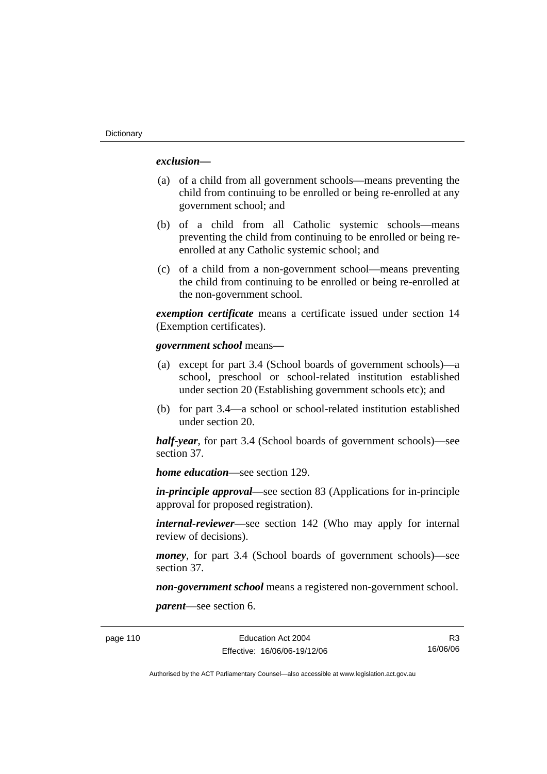#### *exclusion***—**

- (a) of a child from all government schools—means preventing the child from continuing to be enrolled or being re-enrolled at any government school; and
- (b) of a child from all Catholic systemic schools—means preventing the child from continuing to be enrolled or being reenrolled at any Catholic systemic school; and
- (c) of a child from a non-government school—means preventing the child from continuing to be enrolled or being re-enrolled at the non-government school.

*exemption certificate* means a certificate issued under section 14 (Exemption certificates).

#### *government school* means*—*

- (a) except for part 3.4 (School boards of government schools)—a school, preschool or school-related institution established under section 20 (Establishing government schools etc); and
- (b) for part 3.4—a school or school-related institution established under section 20.

*half-year*, for part 3.4 (School boards of government schools)—see section 37.

*home education*—see section 129.

*in-principle approval*—see section 83 (Applications for in-principle approval for proposed registration).

*internal-reviewer*—see section 142 (Who may apply for internal review of decisions).

*money*, for part 3.4 (School boards of government schools)—see section 37.

*non-government school* means a registered non-government school.

*parent*—see section 6.

page 110 Education Act 2004 Effective: 16/06/06-19/12/06

R3 16/06/06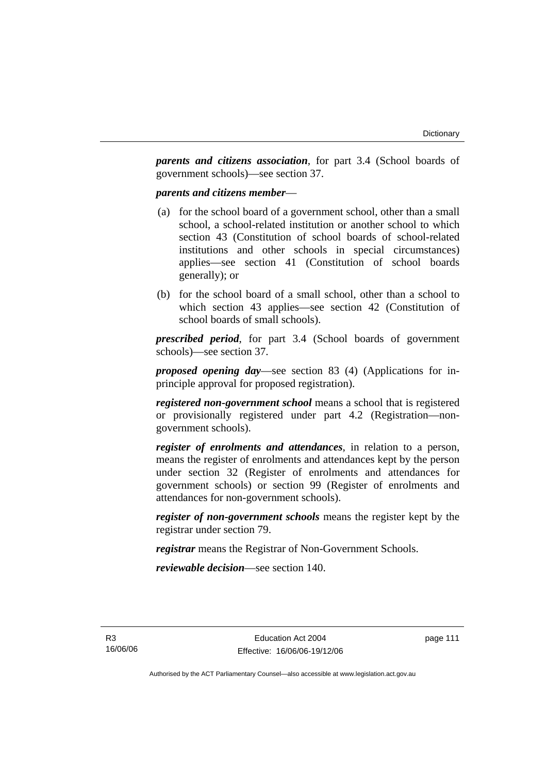*parents and citizens association*, for part 3.4 (School boards of government schools)—see section 37.

#### *parents and citizens member*—

- (a) for the school board of a government school, other than a small school, a school-related institution or another school to which section 43 (Constitution of school boards of school-related institutions and other schools in special circumstances) applies—see section 41 (Constitution of school boards generally); or
- (b) for the school board of a small school, other than a school to which section 43 applies—see section 42 (Constitution of school boards of small schools).

*prescribed period*, for part 3.4 (School boards of government schools)—see section 37.

*proposed opening day*—see section 83 (4) (Applications for inprinciple approval for proposed registration).

*registered non-government school* means a school that is registered or provisionally registered under part 4.2 (Registration—nongovernment schools).

*register of enrolments and attendances*, in relation to a person, means the register of enrolments and attendances kept by the person under section 32 (Register of enrolments and attendances for government schools) or section 99 (Register of enrolments and attendances for non-government schools).

*register of non-government schools* means the register kept by the registrar under section 79.

*registrar* means the Registrar of Non-Government Schools.

*reviewable decision*—see section 140.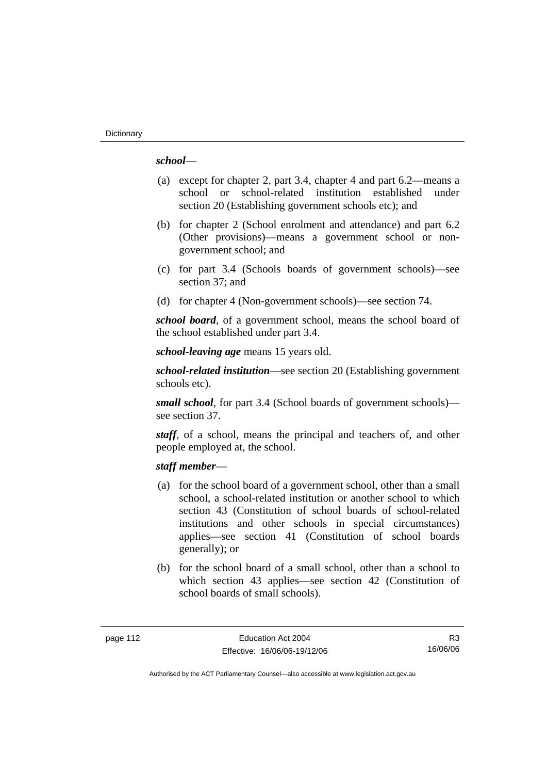#### *school*—

- (a) except for chapter 2, part 3.4, chapter 4 and part 6.2—means a school or school-related institution established under section 20 (Establishing government schools etc); and
- (b) for chapter 2 (School enrolment and attendance) and part 6.2 (Other provisions)—means a government school or nongovernment school; and
- (c) for part 3.4 (Schools boards of government schools)—see section 37; and
- (d) for chapter 4 (Non-government schools)—see section 74.

*school board*, of a government school, means the school board of the school established under part 3.4.

*school-leaving age* means 15 years old.

*school-related institution*—see section 20 (Establishing government schools etc).

*small school*, for part 3.4 (School boards of government schools) see section 37.

*staff*, of a school, means the principal and teachers of, and other people employed at, the school.

#### *staff member*—

- (a) for the school board of a government school, other than a small school, a school-related institution or another school to which section 43 (Constitution of school boards of school-related institutions and other schools in special circumstances) applies—see section 41 (Constitution of school boards generally); or
- (b) for the school board of a small school, other than a school to which section 43 applies—see section 42 (Constitution of school boards of small schools).

R3 16/06/06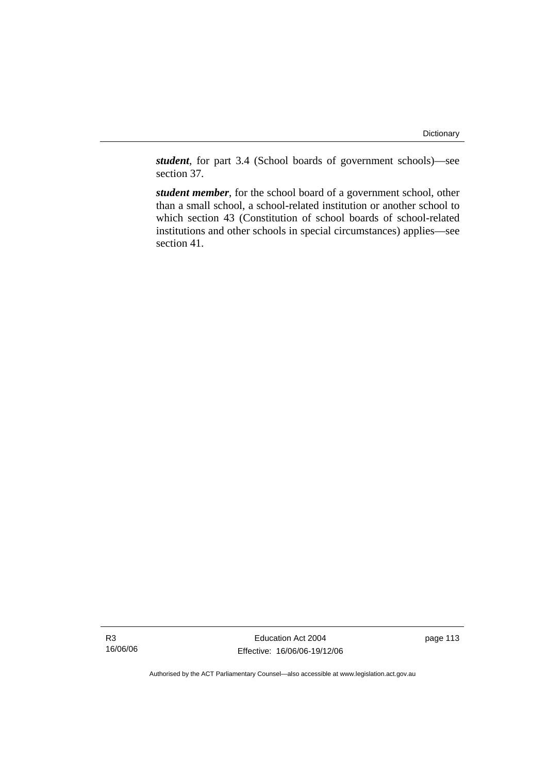*student*, for part 3.4 (School boards of government schools)—see section 37.

*student member*, for the school board of a government school, other than a small school, a school-related institution or another school to which section 43 (Constitution of school boards of school-related institutions and other schools in special circumstances) applies—see section 41.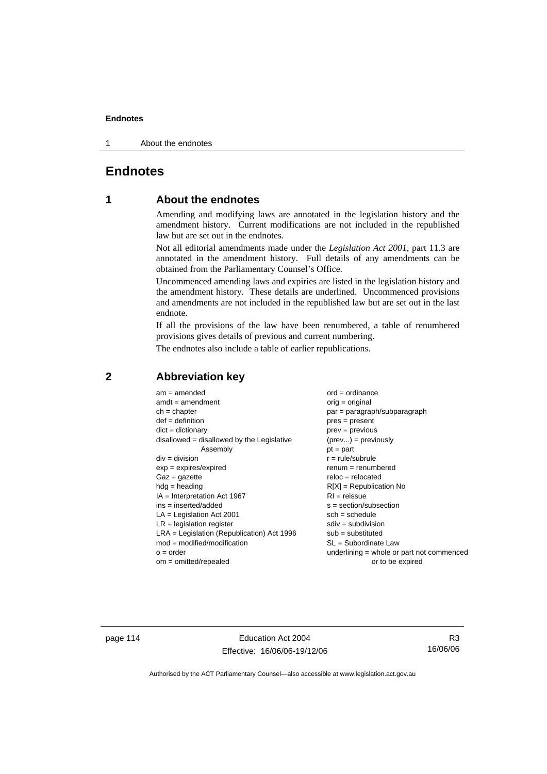1 About the endnotes

## **Endnotes**

## **1 About the endnotes**

Amending and modifying laws are annotated in the legislation history and the amendment history. Current modifications are not included in the republished law but are set out in the endnotes.

Not all editorial amendments made under the *Legislation Act 2001*, part 11.3 are annotated in the amendment history. Full details of any amendments can be obtained from the Parliamentary Counsel's Office.

Uncommenced amending laws and expiries are listed in the legislation history and the amendment history. These details are underlined. Uncommenced provisions and amendments are not included in the republished law but are set out in the last endnote.

If all the provisions of the law have been renumbered, a table of renumbered provisions gives details of previous and current numbering.

The endnotes also include a table of earlier republications.

| $am = amended$                               | $ord = ordinance$                         |
|----------------------------------------------|-------------------------------------------|
| $amdt = amendment$                           | orig = original                           |
| $ch = chapter$                               | $par = paragraph/subparagraph$            |
| $def = definition$                           | $pres = present$                          |
| $dict = dictionary$                          | $prev = previous$                         |
| disallowed = disallowed by the Legislative   | $(\text{prev}) = \text{previously}$       |
| Assembly                                     | $pt = part$                               |
| $div = division$                             | $r = rule/subrule$                        |
| $exp = expires/expired$                      | $remum = renumbered$                      |
| $Gaz = gazette$                              | $reloc = relocated$                       |
| $hdg =$ heading                              | $R[X]$ = Republication No                 |
| $IA = Interpretation Act 1967$               | $RI = reissue$                            |
| $ins = inserted/added$                       | $s = section/subsection$                  |
| $LA =$ Legislation Act 2001                  | $sch = schedule$                          |
| $LR =$ legislation register                  | $sdiv = subdivision$                      |
| $LRA =$ Legislation (Republication) Act 1996 | $sub =$ substituted                       |
| $mod = modified/modification$                | SL = Subordinate Law                      |
| $o = order$                                  | underlining = whole or part not commenced |
| $om = omitted/repealed$                      | or to be expired                          |
|                                              |                                           |

## **2 Abbreviation key**

page 114 Education Act 2004 Effective: 16/06/06-19/12/06

R3 16/06/06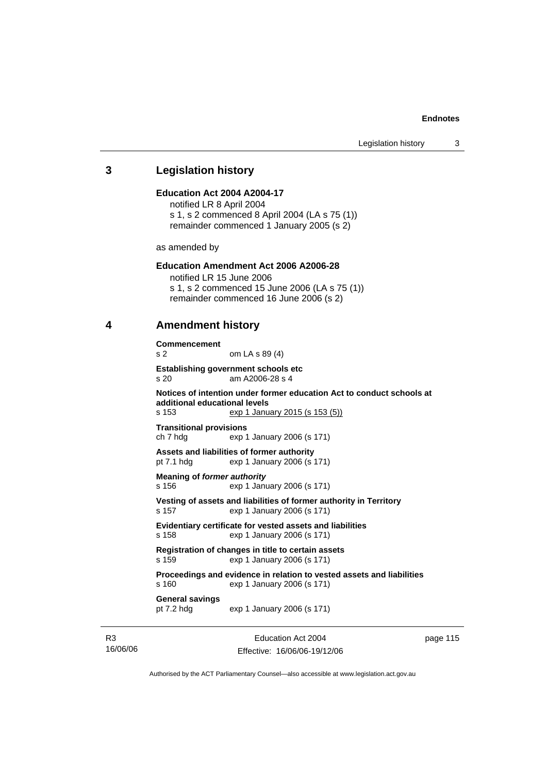#### **3 Legislation history**

#### **Education Act 2004 A2004-17**

notified LR 8 April 2004 s 1, s 2 commenced 8 April 2004 (LA s 75 (1)) remainder commenced 1 January 2005 (s 2)

as amended by

#### **Education Amendment Act 2006 A2006-28**

notified LR 15 June 2006 s 1, s 2 commenced 15 June 2006 (LA s 75 (1)) remainder commenced 16 June 2006 (s 2)

### **4 Amendment history**

**Commencement**  s 2 om LA s 89 (4) **Establishing government schools etc**  s 20 am A2006-28 s 4 **Notices of intention under former education Act to conduct schools at additional educational levels**  s 153 exp 1 January 2015 (s 153 (5)) **Transitional provisions**  ch 7 hdg exp 1 January 2006 (s 171) **Assets and liabilities of former authority**  pt 7.1 hdg exp 1 January 2006 (s 171) **Meaning of** *former authority* s 156 exp 1 January 2006 (s 171) **Vesting of assets and liabilities of former authority in Territory**  s 157 exp 1 January 2006 (s 171) **Evidentiary certificate for vested assets and liabilities**  s 158 exp 1 January 2006 (s 171) **Registration of changes in title to certain assets**  s 159 exp 1 January 2006 (s 171) **Proceedings and evidence in relation to vested assets and liabilities**  s 160 exp 1 January 2006 (s 171) **General savings**  pt 7.2 hdg exp 1 January 2006 (s 171)

R3 16/06/06

Education Act 2004 Effective: 16/06/06-19/12/06 page 115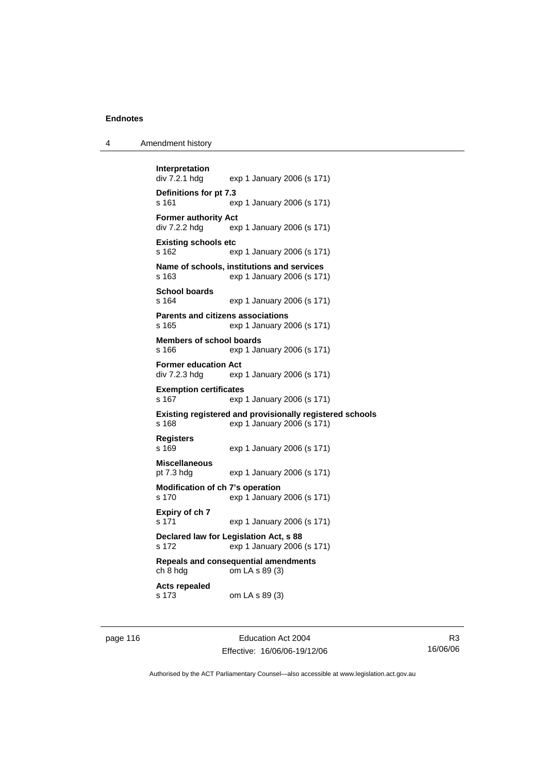| Amendment history<br>4 |  |
|------------------------|--|
|------------------------|--|

```
Interpretation 
                exp 1 January 2006 (s 171)
Definitions for pt 7.3 
s 161 exp 1 January 2006 (s 171) 
Former authority Act 
div 7.2.2 hdg exp 1 January 2006 (s 171) 
Existing schools etc 
s 162 exp 1 January 2006 (s 171) 
Name of schools, institutions and services 
s 163 exp 1 January 2006 (s 171) 
School boards 
s 164 exp 1 January 2006 (s 171) 
Parents and citizens associations 
s 165 exp 1 January 2006 (s 171) 
Members of school boards 
s 166 exp 1 January 2006 (s 171) 
Former education Act 
div 7.2.3 hdg exp 1 January 2006 (s 171) 
Exemption certificates 
s 167 exp 1 January 2006 (s 171) 
Existing registered and provisionally registered schools 
s 168 exp 1 January 2006 (s 171) 
Registers 
s 169 exp 1 January 2006 (s 171) 
Miscellaneous 
pt 7.3 hdg exp 1 January 2006 (s 171) 
Modification of ch 7's operation 
s 170 exp 1 January 2006 (s 171) 
Expiry of ch 7 
s 171 exp 1 January 2006 (s 171) 
Declared law for Legislation Act, s 88 
s 172 exp 1 January 2006 (s 171) 
Repeals and consequential amendments 
ch 8 hdg om LA s 89 (3) 
Acts repealed 
s 173 om LA s 89 (3)
```
page 116 **Education Act 2004** Effective: 16/06/06-19/12/06

R3 16/06/06